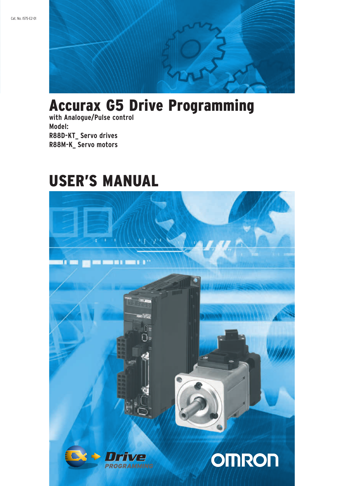

# Accurax G5 Drive Programming

**with Analogue/Pulse control Model: R88D-KT\_ Servo drives R88M-K\_ Servo motors** 

# USER'S Manual

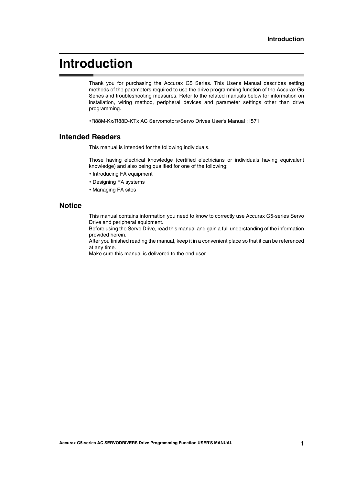### <span id="page-2-0"></span>**Introduction**

Thank you for purchasing the Accurax G5 Series. This User's Manual describes setting methods of the parameters required to use the drive programming function of the Accurax G5 Series and troubleshooting measures. Refer to the related manuals below for information on installation, wiring method, peripheral devices and parameter settings other than drive programming.

R88M-Kx/R88D-KTx AC Servomotors/Servo Drives User's Manual : I571

### **Intended Readers**

This manual is intended for the following individuals.

Those having electrical knowledge (certified electricians or individuals having equivalent knowledge) and also being qualified for one of the following:

- Introducing FA equipment
- Designing FA systems
- Managing FA sites

### **Notice**

This manual contains information you need to know to correctly use Accurax G5-series Servo Drive and peripheral equipment.

Before using the Servo Drive, read this manual and gain a full understanding of the information provided herein.

After you finished reading the manual, keep it in a convenient place so that it can be referenced at any time.

Make sure this manual is delivered to the end user.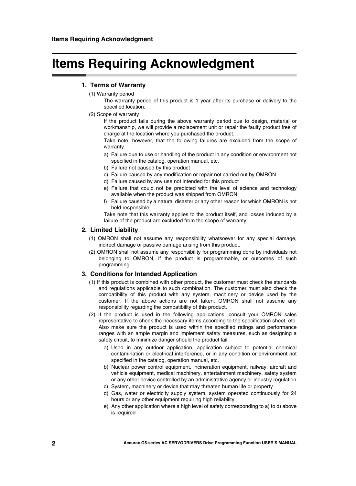## <span id="page-3-0"></span>**Items Requiring Acknowledgment**

### **1. Terms of Warranty**

(1) Warranty period

The warranty period of this product is 1 year after its purchase or delivery to the specified location.

(2) Scope of warranty

If the product fails during the above warranty period due to design, material or workmanship, we will provide a replacement unit or repair the faulty product free of charge at the location where you purchased the product.

Take note, however, that the following failures are excluded from the scope of warranty.

- a) Failure due to use or handling of the product in any condition or environment not specified in the catalog, operation manual, etc.
- b) Failure not caused by this product
- c) Failure caused by any modification or repair not carried out by OMRON
- d) Failure caused by any use not intended for this product
- e) Failure that could not be predicted with the level of science and technology available when the product was shipped from OMRON
- f) Failure caused by a natural disaster or any other reason for which OMRON is not held responsible

Take note that this warranty applies to the product itself, and losses induced by a failure of the product are excluded from the scope of warranty.

### **2. Limited Liability**

- (1) OMRON shall not assume any responsibility whatsoever for any special damage, indirect damage or passive damage arising from this product.
- (2) OMRON shall not assume any responsibility for programming done by individuals not belonging to OMRON, if the product is programmable, or outcomes of such programming.

#### **3. Conditions for Intended Application**

- (1) If this product is combined with other product, the customer must check the standards and regulations applicable to such combination. The customer must also check the compatibility of this product with any system, machinery or device used by the customer. If the above actions are not taken, OMRON shall not assume any responsibility regarding the compatibility of this product.
- (2) If the product is used in the following applications, consult your OMRON sales representative to check the necessary items according to the specification sheet, etc. Also make sure the product is used within the specified ratings and performance ranges with an ample margin and implement safety measures, such as designing a safety circuit, to minimize danger should the product fail.
	- a) Used in any outdoor application, application subject to potential chemical contamination or electrical interference, or in any condition or environment not specified in the catalog, operation manual, etc.
	- b) Nuclear power control equipment, incineration equipment, railway, aircraft and vehicle equipment, medical machinery, entertainment machinery, safety system or any other device controlled by an administrative agency or industry regulation
	- c) System, machinery or device that may threaten human life or property
	- d) Gas, water or electricity supply system, system operated continuously for 24 hours or any other equipment requiring high reliability
	- e) Any other application where a high level of safety corresponding to a) to d) above is required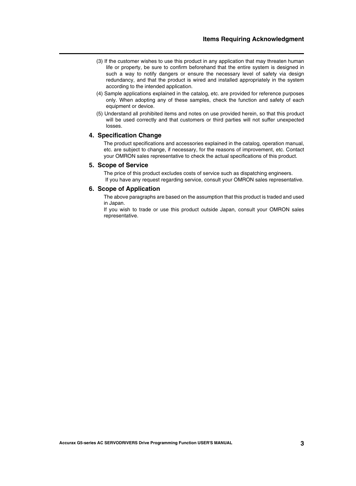- (3) If the customer wishes to use this product in any application that may threaten human life or property, be sure to confirm beforehand that the entire system is designed in such a way to notify dangers or ensure the necessary level of safety via design redundancy, and that the product is wired and installed appropriately in the system according to the intended application.
- (4) Sample applications explained in the catalog, etc. are provided for reference purposes only. When adopting any of these samples, check the function and safety of each equipment or device.
- (5) Understand all prohibited items and notes on use provided herein, so that this product will be used correctly and that customers or third parties will not suffer unexpected losses.

### **4. Specification Change**

The product specifications and accessories explained in the catalog, operation manual, etc. are subject to change, if necessary, for the reasons of improvement, etc. Contact your OMRON sales representative to check the actual specifications of this product.

### **5. Scope of Service**

The price of this product excludes costs of service such as dispatching engineers. If you have any request regarding service, consult your OMRON sales representative.

### **6. Scope of Application**

The above paragraphs are based on the assumption that this product is traded and used in Japan.

If you wish to trade or use this product outside Japan, consult your OMRON sales representative.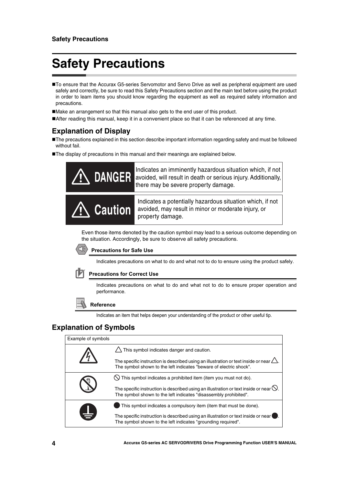# <span id="page-5-0"></span>**Safety Precautions**

■To ensure that the Accurax G5-series Servomotor and Servo Drive as well as peripheral equipment are used safely and correctly, be sure to read this Safety Precautions section and the main text before using the product in order to learn items you should know regarding the equipment as well as required safety information and precautions.

Make an arrangement so that this manual also gets to the end user of this product.

After reading this manual, keep it in a convenient place so that it can be referenced at any time.

### **Explanation of Display**

The precautions explained in this section describe important information regarding safety and must be followed without fail.

The display of precautions in this manual and their meanings are explained below.



Even those items denoted by the caution symbol may lead to a serious outcome depending on the situation. Accordingly, be sure to observe all safety precautions.



### **Precautions for Safe Use**

Indicates precautions on what to do and what not to do to ensure using the product safely.

### **Precautions for Correct Use**

Indicates precautions on what to do and what not to do to ensure proper operation and performance.

### **Reference**

Indicates an item that helps deepen your understanding of the product or other useful tip.

### **Explanation of Symbols**

| Example of symbols |                                                                                                                                                                       |
|--------------------|-----------------------------------------------------------------------------------------------------------------------------------------------------------------------|
|                    | $\triangle$ This symbol indicates danger and caution.                                                                                                                 |
|                    | The specific instruction is described using an illustration or text inside or near $\triangle$<br>The symbol shown to the left indicates "beware of electric shock".  |
|                    | $\bigcirc$ This symbol indicates a prohibited item (item you must not do).                                                                                            |
|                    | The specific instruction is described using an illustration or text inside or near $\heartsuit$ .<br>The symbol shown to the left indicates "disassembly prohibited". |
|                    | This symbol indicates a compulsory item (item that must be done).                                                                                                     |
| ¥                  | The specific instruction is described using an illustration or text inside or near<br>The symbol shown to the left indicates "grounding required".                    |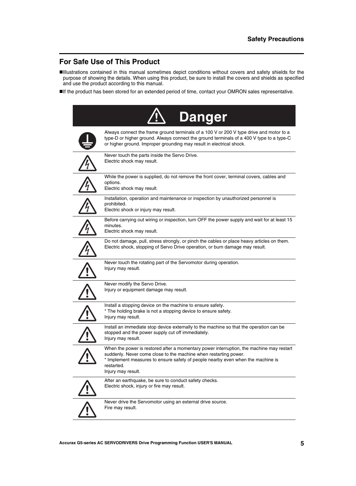### **For Safe Use of This Product**

- Illustrations contained in this manual sometimes depict conditions without covers and safety shields for the purpose of showing the details. When using this product, be sure to install the covers and shields as specified and use the product according to this manual.
- If the product has been stored for an extended period of time, contact your OMRON sales representative.

| <b>Danger</b>                                                                                                                                                                                                                                                                       |
|-------------------------------------------------------------------------------------------------------------------------------------------------------------------------------------------------------------------------------------------------------------------------------------|
| Always connect the frame ground terminals of a 100 V or 200 V type drive and motor to a<br>type-D or higher ground. Always connect the ground terminals of a 400 V type to a type-C<br>or higher ground. Improper grounding may result in electrical shock.                         |
| Never touch the parts inside the Servo Drive.<br>Electric shock may result.                                                                                                                                                                                                         |
| While the power is supplied, do not remove the front cover, terminal covers, cables and<br>options.<br>Electric shock may result.                                                                                                                                                   |
| Installation, operation and maintenance or inspection by unauthorized personnel is<br>prohibited.<br>Electric shock or injury may result.                                                                                                                                           |
| Before carrying out wiring or inspection, turn OFF the power supply and wait for at least 15<br>minutes.<br>Electric shock may result.                                                                                                                                              |
| Do not damage, pull, stress strongly, or pinch the cables or place heavy articles on them.<br>Electric shock, stopping of Servo Drive operation, or burn damage may result.                                                                                                         |
| Never touch the rotating part of the Servomotor during operation.<br>Injury may result.                                                                                                                                                                                             |
| Never modify the Servo Drive.<br>Injury or equipment damage may result.                                                                                                                                                                                                             |
| Install a stopping device on the machine to ensure safety.<br>* The holding brake is not a stopping device to ensure safety.<br>Injury may result.                                                                                                                                  |
| Install an immediate stop device externally to the machine so that the operation can be<br>stopped and the power supply cut off immediately.<br>Injury may result.                                                                                                                  |
| When the power is restored after a momentary power interruption, the machine may restart<br>suddenly. Never come close to the machine when restarting power.<br>* Implement measures to ensure safety of people nearby even when the machine is<br>restarted.<br>Injury may result. |
| After an earthquake, be sure to conduct safety checks.<br>Electric shock, injury or fire may result.                                                                                                                                                                                |
| Never drive the Servomotor using an external drive source.<br>Fire may result.                                                                                                                                                                                                      |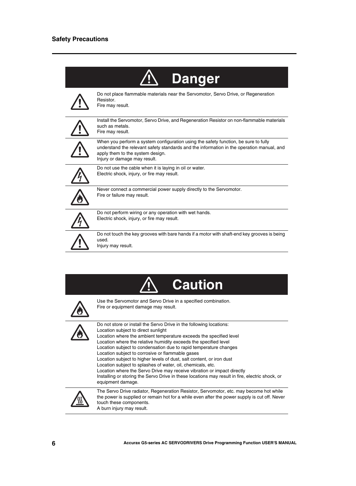| Danger                                                                                                                                                                                                                                               |
|------------------------------------------------------------------------------------------------------------------------------------------------------------------------------------------------------------------------------------------------------|
| Do not place flammable materials near the Servomotor, Servo Drive, or Regeneration<br>Resistor.<br>Fire may result.                                                                                                                                  |
| Install the Servomotor, Servo Drive, and Regeneration Resistor on non-flammable materials<br>such as metals.<br>Fire may result.                                                                                                                     |
| When you perform a system configuration using the safety function, be sure to fully<br>understand the relevant safety standards and the information in the operation manual, and<br>apply them to the system design.<br>Injury or damage may result. |
| Do not use the cable when it is laying in oil or water.<br>Electric shock, injury, or fire may result.                                                                                                                                               |
| Never connect a commercial power supply directly to the Servomotor.<br>Fire or failure may result.                                                                                                                                                   |
| Do not perform wiring or any operation with wet hands.<br>Electric shock, injury, or fire may result.                                                                                                                                                |
| Do not touch the key grooves with bare hands if a motor with shaft-end key grooves is being<br>used.<br>Injury may result.                                                                                                                           |





Use the Servomotor and Servo Drive in a specified combination. Fire or equipment damage may result.

Do not store or install the Servo Drive in the following locations:



Location subject to direct sunlight Location where the ambient temperature exceeds the specified level Location where the relative humidity exceeds the specified level Location subject to condensation due to rapid temperature changes Location subject to corrosive or flammable gases Location subject to higher levels of dust, salt content, or iron dust Location subject to splashes of water, oil, chemicals, etc. Location where the Servo Drive may receive vibration or impact directly Installing or storing the Servo Drive in these locations may result in fire, electric shock, or equipment damage.



The Servo Drive radiator, Regeneration Resistor, Servomotor, etc. may become hot while the power is supplied or remain hot for a while even after the power supply is cut off. Never touch these components.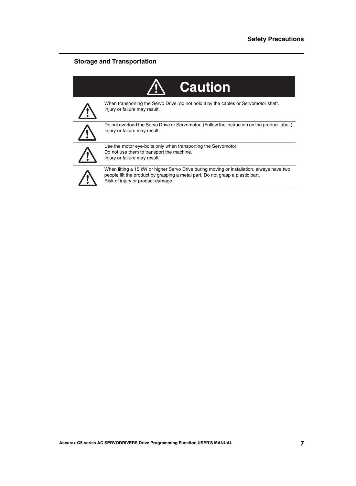### **Storage and Transportation**

| <b>Caution</b>                                                                                                                                                                                                   |
|------------------------------------------------------------------------------------------------------------------------------------------------------------------------------------------------------------------|
| When transporting the Servo Drive, do not hold it by the cables or Servomotor shaft.<br>Injury or failure may result.                                                                                            |
| Do not overload the Servo Drive or Servomotor. (Follow the instruction on the product label.)<br>Injury or failure may result.                                                                                   |
| Use the motor eye-bolts only when transporting the Servomotor.<br>Do not use them to transport the machine.<br>Injury or failure may result.                                                                     |
| When lifting a 15 kW or higher Servo Drive during moving or installation, always have two<br>people lift the product by grasping a metal part. Do not grasp a plastic part.<br>Risk of injury or product damage. |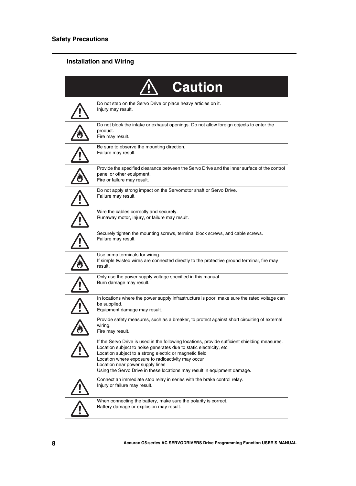### **Installation and Wiring**

| <b>Caution</b>                                                                                                                                                                                                                                                                                                                                                                                        |
|-------------------------------------------------------------------------------------------------------------------------------------------------------------------------------------------------------------------------------------------------------------------------------------------------------------------------------------------------------------------------------------------------------|
| Do not step on the Servo Drive or place heavy articles on it.<br>Injury may result.                                                                                                                                                                                                                                                                                                                   |
| Do not block the intake or exhaust openings. Do not allow foreign objects to enter the<br>product.<br>Fire may result.                                                                                                                                                                                                                                                                                |
| Be sure to observe the mounting direction.<br>Failure may result.                                                                                                                                                                                                                                                                                                                                     |
| Provide the specified clearance between the Servo Drive and the inner surface of the control<br>panel or other equipment.<br>Fire or failure may result.                                                                                                                                                                                                                                              |
| Do not apply strong impact on the Servomotor shaft or Servo Drive.<br>Failure may result.                                                                                                                                                                                                                                                                                                             |
| Wire the cables correctly and securely.<br>Runaway motor, injury, or failure may result.                                                                                                                                                                                                                                                                                                              |
| Securely tighten the mounting screws, terminal block screws, and cable screws.<br>Failure may result.                                                                                                                                                                                                                                                                                                 |
| Use crimp terminals for wiring.<br>If simple twisted wires are connected directly to the protective ground terminal, fire may<br>result.                                                                                                                                                                                                                                                              |
| Only use the power supply voltage specified in this manual.<br>Burn damage may result.                                                                                                                                                                                                                                                                                                                |
| In locations where the power supply infrastructure is poor, make sure the rated voltage can<br>be supplied.<br>Equipment damage may result.                                                                                                                                                                                                                                                           |
| Provide safety measures, such as a breaker, to protect against short circuiting of external<br>wiring.<br>Fire may result.                                                                                                                                                                                                                                                                            |
| If the Servo Drive is used in the following locations, provide sufficient shielding measures.<br>Location subject to noise generates due to static electricity, etc.<br>Location subject to a strong electric or magnetic field<br>Location where exposure to radioactivity may occur<br>Location near power supply lines<br>Using the Servo Drive in these locations may result in equipment damage. |
| Connect an immediate stop relay in series with the brake control relay.<br>Injury or failure may result.                                                                                                                                                                                                                                                                                              |
| When connecting the battery, make sure the polarity is correct.<br>Battery damage or explosion may result.                                                                                                                                                                                                                                                                                            |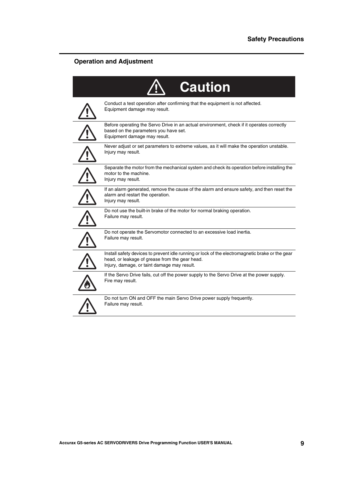### **Operation and Adjustment**

| <b>Caution</b>                                                                                                                                                                                   |
|--------------------------------------------------------------------------------------------------------------------------------------------------------------------------------------------------|
| Conduct a test operation after confirming that the equipment is not affected.<br>Equipment damage may result.                                                                                    |
| Before operating the Servo Drive in an actual environment, check if it operates correctly<br>based on the parameters you have set.<br>Equipment damage may result.                               |
| Never adjust or set parameters to extreme values, as it will make the operation unstable.<br>Injury may result.                                                                                  |
| Separate the motor from the mechanical system and check its operation before installing the<br>motor to the machine.<br>Injury may result.                                                       |
| If an alarm generated, remove the cause of the alarm and ensure safety, and then reset the<br>alarm and restart the operation.<br>Injury may result.                                             |
| Do not use the built-in brake of the motor for normal braking operation.<br>Failure may result.                                                                                                  |
| Do not operate the Servomotor connected to an excessive load inertia.<br>Failure may result.                                                                                                     |
| Install safety devices to prevent idle running or lock of the electromagnetic brake or the gear<br>head, or leakage of grease from the gear head.<br>Injury, damage, or taint damage may result. |
| If the Servo Drive fails, cut off the power supply to the Servo Drive at the power supply.<br>Fire may result.                                                                                   |
| Do not turn ON and OFF the main Servo Drive power supply frequently.<br>Failure may result.                                                                                                      |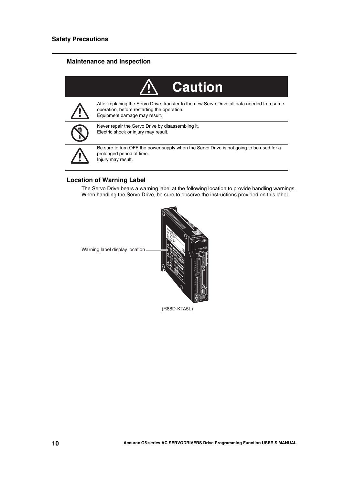### **Maintenance and Inspection**

| <b>Caution</b>                                                                                                                                                            |
|---------------------------------------------------------------------------------------------------------------------------------------------------------------------------|
| After replacing the Servo Drive, transfer to the new Servo Drive all data needed to resume<br>operation, before restarting the operation.<br>Equipment damage may result. |
| Never repair the Servo Drive by disassembling it.<br>Electric shock or injury may result.                                                                                 |
| Be sure to turn OFF the power supply when the Servo Drive is not going to be used for a<br>prolonged period of time.<br>Injury may result.                                |

### **Location of Warning Label**

The Servo Drive bears a warning label at the following location to provide handling warnings. When handling the Servo Drive, be sure to observe the instructions provided on this label.



Warning label display location -

(R88D-KTA5L)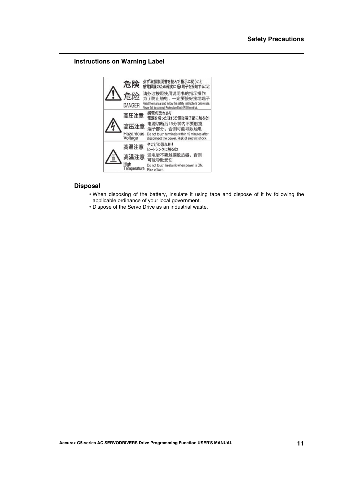### **Instructions on Warning Label**



### **Disposal**

- When disposing of the battery, insulate it using tape and dispose of it by following the applicable ordinance of your local government.
- Dispose of the Servo Drive as an industrial waste.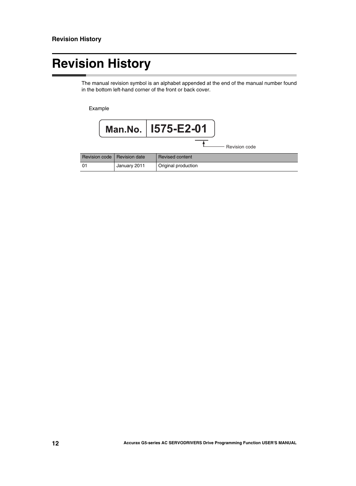# <span id="page-13-0"></span>**Revision History**

The manual revision symbol is an alphabet appended at the end of the manual number found in the bottom left-hand corner of the front or back cover.

Example

|               |               | Man.No.   1575-E2-01 |
|---------------|---------------|----------------------|
|               |               | Revision code        |
| Revision code | Revision date | Revised content      |
| 01            | January 2011  | Original production  |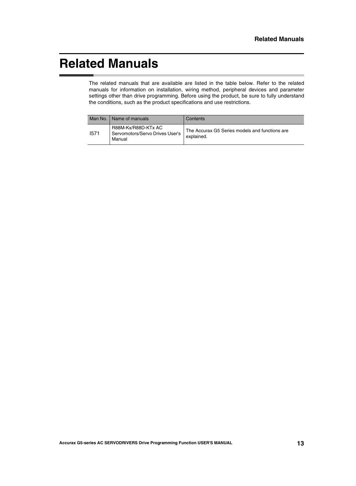## <span id="page-14-0"></span>**Related Manuals**

The related manuals that are available are listed in the table below. Refer to the related manuals for information on installation, wiring method, peripheral devices and parameter settings other than drive programming. Before using the product, be sure to fully understand the conditions, such as the product specifications and use restrictions.

| Man No. | I Name of manuals                                                | Contents                                                     |
|---------|------------------------------------------------------------------|--------------------------------------------------------------|
| 1571    | R88M-Kx/R88D-KTx AC<br>Servomotors/Servo Drives User's<br>Manual | The Accurax G5 Series models and functions are<br>explained. |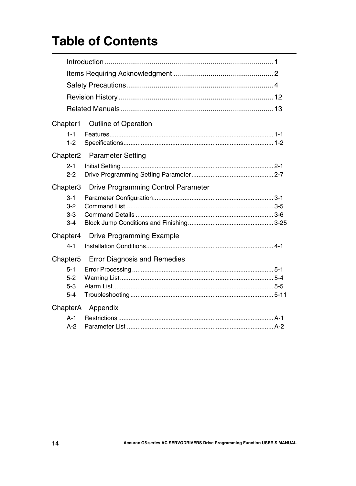# **Table of Contents**

| Chapter1                               | <b>Outline of Operation</b>                |  |  |
|----------------------------------------|--------------------------------------------|--|--|
| $1 - 1$<br>$1 - 2$                     |                                            |  |  |
| Chapter <sub>2</sub>                   | <b>Parameter Setting</b>                   |  |  |
| $2 - 1$<br>$2 - 2$                     |                                            |  |  |
| Chapter <sub>3</sub>                   | <b>Drive Programming Control Parameter</b> |  |  |
| $3 - 1$<br>$3 - 2$                     |                                            |  |  |
| $3-3$<br>$3 - 4$                       |                                            |  |  |
| Chapter4                               | <b>Drive Programming Example</b>           |  |  |
| $4 - 1$                                |                                            |  |  |
| Chapter <sub>5</sub>                   | <b>Error Diagnosis and Remedies</b>        |  |  |
| $5 - 1$<br>$5 - 2$<br>$5-3$<br>$5 - 4$ |                                            |  |  |
| ChapterA                               | Appendix                                   |  |  |
| $A-1$<br>$A-2$                         |                                            |  |  |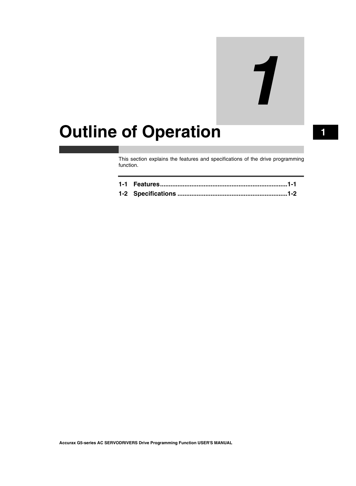# 7

# <span id="page-16-0"></span>**Outline of Operation 1**

This section explains the features and specifications of the drive programming function.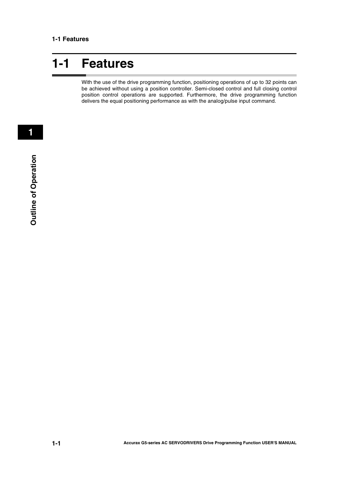# <span id="page-17-0"></span>**1-1 Features**

With the use of the drive programming function, positioning operations of up to 32 points can be achieved without using a position controller. Semi-closed control and full closing control position control operations are supported. Furthermore, the drive programming function delivers the equal positioning performance as with the analog/pulse input command.

 **1**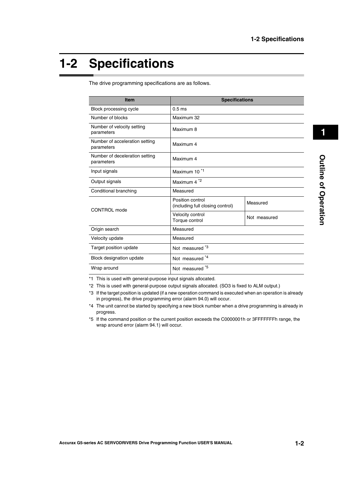## <span id="page-18-0"></span>**1-2 Specifications**

| <b>Item</b>                                  | <b>Specifications</b>                                |              |
|----------------------------------------------|------------------------------------------------------|--------------|
| Block processing cycle                       | 0.5 <sub>ms</sub>                                    |              |
| Number of blocks                             | Maximum 32                                           |              |
| Number of velocity setting<br>parameters     | Maximum 8                                            |              |
| Number of acceleration setting<br>parameters | Maximum 4                                            |              |
| Number of deceleration setting<br>parameters | Maximum 4                                            |              |
| Input signals                                | Maximum 10 <sup>*1</sup>                             |              |
| Output signals                               | Maximum 4 <sup>*2</sup>                              |              |
| Conditional branching                        | Measured                                             |              |
| CONTROL mode                                 | Position control<br>(including full closing control) | Measured     |
|                                              | Velocity control<br>Torque control                   | Not measured |
| Origin search                                | Measured                                             |              |
| Velocity update                              | Measured                                             |              |
| Target position update                       | Not measured *3                                      |              |
| Block designation update                     | Not measured *4                                      |              |
| Wrap around                                  | Not measured *5                                      |              |

The drive programming specifications are as follows.

\*1 This is used with general-purpose input signals allocated.

- \*2 This is used with general-purpose output signals allocated. (SO3 is fixed to ALM output.)
- \*3 If the target position is updated (if a new operation command is executed when an operation is already in progress), the drive programming error (alarm 94.0) will occur.
- \*4 The unit cannot be started by specifying a new block number when a drive programming is already in progress.
- \*5 If the command position or the current position exceeds the C0000001h or 3FFFFFFFh range, the wrap around error (alarm 94.1) will occur.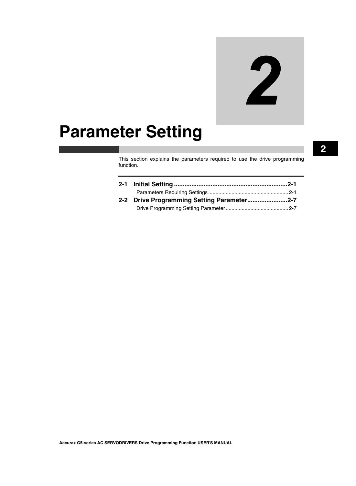# 2

# <span id="page-20-0"></span>**Parameter Setting**

This section explains the parameters required to use the drive programming function.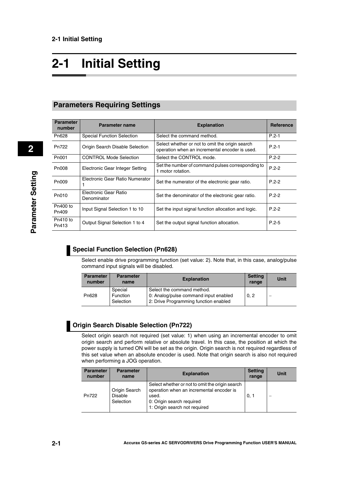# <span id="page-21-0"></span>**2-1 Initial Setting**

### <span id="page-21-1"></span>**Parameters Requiring Settings**

| <b>Parameter</b><br>number | <b>Parameter name</b>                | <b>Explanation</b>                                                                                | <b>Reference</b> |
|----------------------------|--------------------------------------|---------------------------------------------------------------------------------------------------|------------------|
| Pn628                      | <b>Special Function Selection</b>    | Select the command method.                                                                        | $P.2-1$          |
| Pn722                      | Origin Search Disable Selection      | Select whether or not to omit the origin search<br>operation when an incremental encoder is used. | $P.2 - 1$        |
| P <sub>n001</sub>          | <b>CONTROL Mode Selection</b>        | Select the CONTROL mode.                                                                          | $P.2 - 2$        |
| P <sub>n</sub> 008         | Electronic Gear Integer Setting      | Set the number of command pulses corresponding to<br>1 motor rotation.                            | $P.2 - 2$        |
| P <sub>n</sub> 009         | Electronic Gear Ratio Numerator      | Set the numerator of the electronic gear ratio.                                                   | $P.2 - 2$        |
| Pn010                      | Electronic Gear Ratio<br>Denominator | Set the denominator of the electronic gear ratio.                                                 | $P.2 - 2$        |
| Pn400 to<br>Pn409          | Input Signal Selection 1 to 10       | Set the input signal function allocation and logic.                                               | $P.2 - 2$        |
| Pn410 to<br>Pn413          | Output Signal Selection 1 to 4       | Set the output signal function allocation.                                                        | $P.2 - 5$        |

### <span id="page-21-2"></span>**Special Function Selection (Pn628)**

Select enable drive programming function (set value: 2). Note that, in this case, analog/pulse command input signals will be disabled.

| <b>Parameter</b><br>number | <b>Parameter</b><br>name | <b>Explanation</b>                                                  | <b>Setting</b><br>range | <b>Unit</b> |
|----------------------------|--------------------------|---------------------------------------------------------------------|-------------------------|-------------|
| Pn628                      | Special<br>Function      | Select the command method.<br>0: Analog/pulse command input enabled | 0.2                     |             |
|                            | Selection                | 2: Drive Programming function enabled                               |                         |             |

<span id="page-21-3"></span>

Select origin search not required (set value: 1) when using an incremental encoder to omit origin search and perform relative or absolute travel. In this case, the position at which the power supply is turned ON will be set as the origin. Origin search is not required regardless of this set value when an absolute encoder is used. Note that origin search is also not required when performing a JOG operation.

| <b>Parameter</b><br>number | <b>Parameter</b><br>name                     | <b>Explanation</b>                                                                                                                                                 | <b>Setting</b><br>range | Unit |
|----------------------------|----------------------------------------------|--------------------------------------------------------------------------------------------------------------------------------------------------------------------|-------------------------|------|
| Pn722                      | Origin Search<br><b>Disable</b><br>Selection | Select whether or not to omit the origin search<br>operation when an incremental encoder is<br>used.<br>0: Origin search required<br>1: Origin search not required | 0, 1                    |      |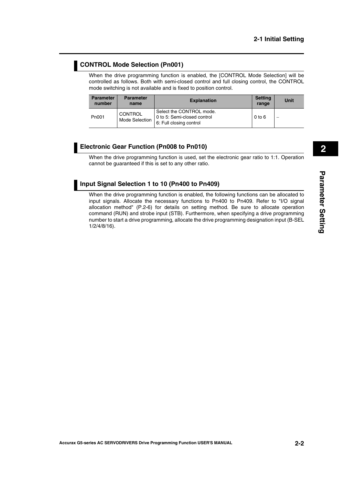### <span id="page-22-0"></span>**CONTROL Mode Selection (Pn001)**

When the drive programming function is enabled, the [CONTROL Mode Selection] will be controlled as follows. Both with semi-closed control and full closing control, the CONTROL mode switching is not available and is fixed to position control.

| <b>Parameter</b><br>number | <b>Parameter</b><br>name  | <b>Explanation</b>                                                                 | <b>Setting</b><br>range | Unit |
|----------------------------|---------------------------|------------------------------------------------------------------------------------|-------------------------|------|
| P <sub>n001</sub>          | CONTROL<br>Mode Selection | Select the CONTROL mode.<br>0 to 5: Semi-closed control<br>6: Full closing control | $0$ to $6$              |      |

### <span id="page-22-1"></span>**Electronic Gear Function (Pn008 to Pn010)**

When the drive programming function is used, set the electronic gear ratio to 1:1. Operation cannot be guaranteed if this is set to any other ratio.

### <span id="page-22-2"></span>**Input Signal Selection 1 to 10 (Pn400 to Pn409)**

When the drive programming function is enabled, the following functions can be allocated to input signals. Allocate the necessary functions to Pn400 to Pn409. Refer to "I/O signal allocation method" ([P.2-6\)](#page-26-0) for details on setting method. Be sure to allocate operation command (RUN) and strobe input (STB). Furthermore, when specifying a drive programming number to start a drive programming, allocate the drive programming designation input (B-SEL 1/2/4/8/16).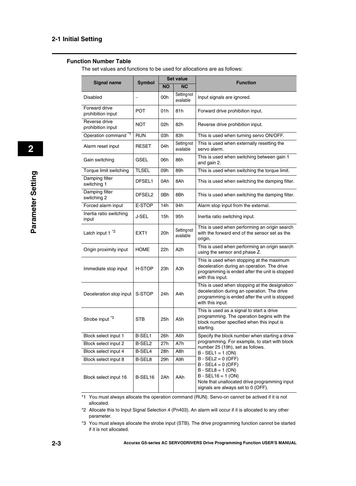### **Function Number Table**

The set values and functions to be used for allocations are as follows:

| <b>Signal name</b>                 | <b>Symbol</b>      | <b>Set value</b> |                                 | <b>Function</b>                                                                                                                                                    |  |  |
|------------------------------------|--------------------|------------------|---------------------------------|--------------------------------------------------------------------------------------------------------------------------------------------------------------------|--|--|
|                                    |                    | <b>NO</b>        | <b>NC</b>                       |                                                                                                                                                                    |  |  |
| Disabled                           |                    | 00h              | Setting not<br>available        | Input signals are ignored.                                                                                                                                         |  |  |
| Forward drive<br>prohibition input | <b>POT</b>         | 01 h             | 81h                             | Forward drive prohibition input.                                                                                                                                   |  |  |
| Reverse drive<br>prohibition input | <b>NOT</b>         | 02h              | 82h                             | Reverse drive prohibition input.                                                                                                                                   |  |  |
| Operation command                  | <b>RUN</b>         | 03h              | 83h                             | This is used when turning servo ON/OFF.                                                                                                                            |  |  |
| Alarm reset input                  | <b>RESET</b>       | 04h              | <b>Setting not</b><br>available | This is used when externally resetting the<br>servo alarm.                                                                                                         |  |  |
| Gain switching                     | <b>GSEL</b>        | 06h              | 86h                             | This is used when switching between gain 1<br>and gain 2.                                                                                                          |  |  |
| Torque limit switching             | <b>TLSEL</b>       | 09h              | 89h                             | This is used when switching the torque limit.                                                                                                                      |  |  |
| Damping filter<br>switching 1      | DFSEL1             | 0Ah              | 8Ah                             | This is used when switching the damping filter.                                                                                                                    |  |  |
| Damping filter<br>switching 2      | DFSEL <sub>2</sub> | 0Bh              | 8Bh                             | This is used when switching the damping filter.                                                                                                                    |  |  |
| Forced alarm input                 | E-STOP             | 14h              | 94h                             | Alarm stop input from the external.                                                                                                                                |  |  |
| Inertia ratio switching<br>input   | <b>J-SEL</b>       | 15h              | 95h                             | Inertia ratio switching input.                                                                                                                                     |  |  |
| Latch input 1 <sup>*2</sup>        | EXT <sub>1</sub>   | 20h              | Setting not<br>available        | This is used when performing an origin search<br>with the forward end of the sensor set as the<br>origin.                                                          |  |  |
| Origin proximity input             | <b>HOME</b>        | 22h              | A <sub>2</sub> h                | This is used when performing an origin search<br>using the sensor and phase Z.                                                                                     |  |  |
| Immediate stop input               | H-STOP             | 23h              | A <sub>3</sub> h                | This is used when stopping at the maximum<br>deceleration during an operation. The drive<br>programming is ended after the unit is stopped<br>with this input.     |  |  |
| Deceleration stop input            | S-STOP             | 24h              | A4h                             | This is used when stopping at the designation<br>deceleration during an operation. The drive<br>programming is ended after the unit is stopped<br>with this input. |  |  |
| Strobe input <sup>*3</sup>         | <b>STB</b>         | 25h              | A5h                             | This is used as a signal to start a drive<br>programming. The operation begins with the<br>block number specified when this input is<br>starting.                  |  |  |
| Block select input 1               | B-SEL1             | 26h              | A6h                             | Specify the block number when starting a drive                                                                                                                     |  |  |
| Block select input 2               | B-SEL2             | 27h              | A7h                             | programming. For example, to start with block<br>number 25 (19h), set as follows.                                                                                  |  |  |
| Block select input 4               | B-SEL4             | 28h              | A8h                             | $B - SEL1 = 1 (ON)$                                                                                                                                                |  |  |
| Block select input 8               | B-SEL8             | 29h              | A9h                             | $B - SEL2 = 0 (OFF)$                                                                                                                                               |  |  |
| Block select input 16              | B-SEL16            | 2Ah              | AAh                             | $B - SEL4 = 0 (OFF)$<br>$B - SEL8 = 1 (ON)$<br>$B - SEL16 = 1 (ON)$<br>Note that unallocated drive programming input<br>signals are always set to 0 (OFF).         |  |  |

\*1 You must always allocate the operation command (RUN). Servo-on cannot be actived if it is not allocated.

\*2 Allocate this to Input Signal Selection 4 (Pn403). An alarm will occur if it is allocated to any other parameter.

\*3 You must always allocate the strobe input (STB). The drive programming function cannot be started if it is not allocated.

 **2**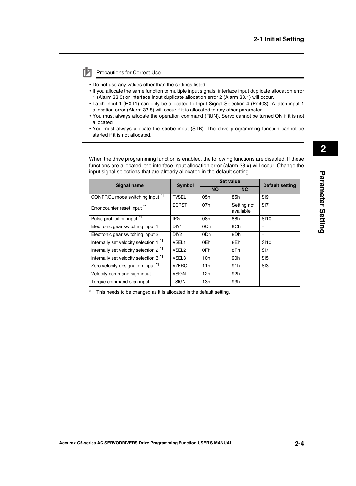### Precautions for Correct Use

- Do not use any values other than the settings listed.
- If you allocate the same function to multiple input signals, interface input duplicate allocation error 1 (Alarm 33.0) or interface input duplicate allocation error 2 (Alarm 33.1) will occur.
- Latch input 1 (EXT1) can only be allocated to Input Signal Selection 4 (Pn403). A latch input 1 allocation error (Alarm 33.8) will occur if it is allocated to any other parameter.
- You must always allocate the operation command (RUN). Servo cannot be turned ON if it is not allocated.
- You must always allocate the strobe input (STB). The drive programming function cannot be started if it is not allocated.

When the drive programming function is enabled, the following functions are disabled. If these functions are allocated, the interface input allocation error (alarm 33.x) will occur. Change the input signal selections that are already allocated in the default setting.

| <b>Signal name</b>                                | <b>Symbol</b>     |                 | <b>Set value</b>         | <b>Default setting</b>   |
|---------------------------------------------------|-------------------|-----------------|--------------------------|--------------------------|
|                                                   |                   | <b>NO</b>       | NC.                      |                          |
| CONTROL mode switching input <sup>*1</sup>        | <b>TVSEL</b>      | 05h             | 85h                      | S <sub>I9</sub>          |
| Error counter reset input *1                      | <b>ECRST</b>      | 07h             | Setting not<br>available | SI <sub>7</sub>          |
| Pulse prohibition input <sup>*1</sup>             | <b>IPG</b>        | 08h             | 88h                      | <b>SI10</b>              |
| Electronic gear switching input 1                 | DIV <sub>1</sub>  | 0Ch             | 8Ch                      |                          |
| Electronic gear switching input 2                 | DIV <sub>2</sub>  | 0 <sub>Dh</sub> | 8Dh                      |                          |
| Internally set velocity selection 1 <sup>"1</sup> | VSEL1             | 0Eh             | 8Eh                      | <b>SI10</b>              |
| Internally set velocity selection 2 <sup>*1</sup> | VSEL <sub>2</sub> | 0Fh             | 8Fh                      | SI <sub>7</sub>          |
| Internally set velocity selection 3 <sup>*1</sup> | VSEL3             | 10 <sub>h</sub> | 90h                      | SI <sub>5</sub>          |
| Zero velocity designation input <sup>*1</sup>     | <b>VZERO</b>      | 11h             | 91h                      | S <sub>13</sub>          |
| Velocity command sign input                       | <b>VSIGN</b>      | 12h             | 92h                      | $\overline{\phantom{m}}$ |
| Torque command sign input                         | <b>TSIGN</b>      | 13h             | 93h                      |                          |

\*1 This needs to be changed as it is allocated in the default setting.

**Parameter Setting**

Parameter Setting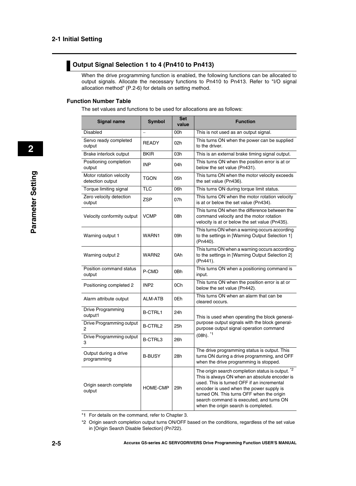### <span id="page-25-0"></span>**Output Signal Selection 1 to 4 (Pn410 to Pn413)**

When the drive programming function is enabled, the following functions can be allocated to output signals. Allocate the necessary functions to Pn410 to Pn413. Refer to "I/O signal allocation method" ([P.2-6\)](#page-26-0) for details on setting method.

### **Function Number Table**

The set values and functions to be used for allocations are as follows:

| <b>Signal name</b>                          | <b>Symbol</b>            | <b>Set</b><br>value | <b>Function</b>                                                                                                                                                                                                                                                                                                               |  |  |  |
|---------------------------------------------|--------------------------|---------------------|-------------------------------------------------------------------------------------------------------------------------------------------------------------------------------------------------------------------------------------------------------------------------------------------------------------------------------|--|--|--|
| <b>Disabled</b>                             | $\overline{\phantom{0}}$ | 00h                 | This is not used as an output signal.                                                                                                                                                                                                                                                                                         |  |  |  |
| Servo ready completed<br>output             | <b>READY</b>             | 02h                 | This turns ON when the power can be supplied<br>to the driver.                                                                                                                                                                                                                                                                |  |  |  |
| Brake interlock output                      | <b>BKIR</b>              | 03h                 | This is an external brake timing signal output.                                                                                                                                                                                                                                                                               |  |  |  |
| Positioning completion<br>output            | <b>INP</b>               | 04h                 | This turns ON when the position error is at or<br>below the set value (Pn431).                                                                                                                                                                                                                                                |  |  |  |
| Motor rotation velocity<br>detection output | TGON                     | 05h                 | This turns ON when the motor velocity exceeds<br>the set value (Pn436).                                                                                                                                                                                                                                                       |  |  |  |
| Torque limiting signal                      | TLC                      | 06h                 | This turns ON during torque limit status.                                                                                                                                                                                                                                                                                     |  |  |  |
| Zero velocity detection<br>output           | ZSP                      | 07h                 | This turns ON when the motor rotation velocity<br>is at or below the set value (Pn434).                                                                                                                                                                                                                                       |  |  |  |
| Velocity conformity output                  | <b>VCMP</b>              | 08h                 | This turns ON when the difference between the<br>command velocity and the motor rotation<br>velocity is at or below the set value (Pn435).                                                                                                                                                                                    |  |  |  |
| Warning output 1                            | WARN1                    | 09h                 | This turns ON when a warning occurs according<br>to the settings in [Warning Output Selection 1]<br>(Pn440).                                                                                                                                                                                                                  |  |  |  |
| Warning output 2                            | WARN <sub>2</sub>        | 0Ah                 | This turns ON when a warning occurs according<br>to the settings in [Warning Output Selection 2]<br>(Pn441).                                                                                                                                                                                                                  |  |  |  |
| Position command status<br>output           | P-CMD                    | 0Bh                 | This turns ON when a positioning command is<br>input.                                                                                                                                                                                                                                                                         |  |  |  |
| Positioning completed 2                     | INP <sub>2</sub>         | 0Ch                 | This turns ON when the position error is at or<br>below the set value (Pn442).                                                                                                                                                                                                                                                |  |  |  |
| Alarm attribute output                      | <b>ALM-ATB</b>           | 0Eh                 | This turns ON when an alarm that can be<br>cleared occurs.                                                                                                                                                                                                                                                                    |  |  |  |
| Drive Programming<br>output1                | <b>B-CTRL1</b>           | 24h                 | This is used when operating the block general-                                                                                                                                                                                                                                                                                |  |  |  |
| Drive Programming output<br>2               | <b>B-CTRL2</b>           | 25h                 | purpose output signals with the block general-<br>purpose output signal operation command                                                                                                                                                                                                                                     |  |  |  |
| Drive Programming output<br>3               | B-CTRL3                  | 26h                 | $(08h).$ $*1$                                                                                                                                                                                                                                                                                                                 |  |  |  |
| Output during a drive<br>programming        | <b>B-BUSY</b>            | 28h                 | The drive programming status is output. This<br>turns ON during a drive programming, and OFF<br>when the drive programming is stopped.                                                                                                                                                                                        |  |  |  |
| Origin search complete<br>output            | <b>HOME-CMP</b>          | 29h                 | The origin search completion status is output. *2<br>This is always ON when an absolute encoder is<br>used. This is turned OFF if an incremental<br>encoder is used when the power supply is<br>turned ON. This turns OFF when the origin<br>search command is executed, and turns ON<br>when the origin search is completed. |  |  |  |

<sup>\*1</sup> For details on the command, refer to Chapter 3.

 **2**

<sup>\*2</sup> Origin search completion output turns ON/OFF based on the conditions, regardless of the set value in [Origin Search Disable Selection] (Pn722).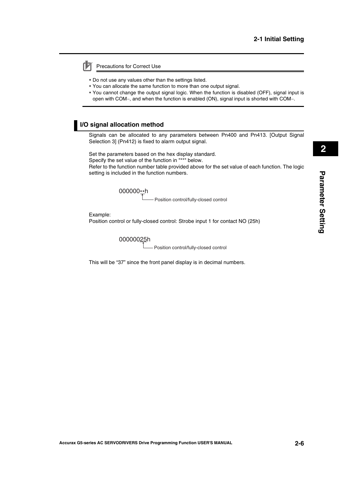Precautions for Correct Use

- Do not use any values other than the settings listed.
- You can allocate the same function to more than one output signal.
- You cannot change the output signal logic. When the function is disabled (OFF), signal input is open with COM-, and when the function is enabled (ON), signal input is shorted with COM-.

### <span id="page-26-0"></span>**I/O signal allocation method**

Signals can be allocated to any parameters between Pn400 and Pn413. [Output Signal Selection 3] (Pn412) is fixed to alarm output signal.

Set the parameters based on the hex display standard.

Specify the set value of the function in "\*\*" below.

Refer to the function number table provided above for the set value of each function. The logic setting is included in the function numbers.

000000\*\*h

Position control/fully-closed control

Example: Position control or fully-closed control: Strobe input 1 for contact NO (25h)

00000025h

Position control/fully-closed control

This will be "37" since the front panel display is in decimal numbers.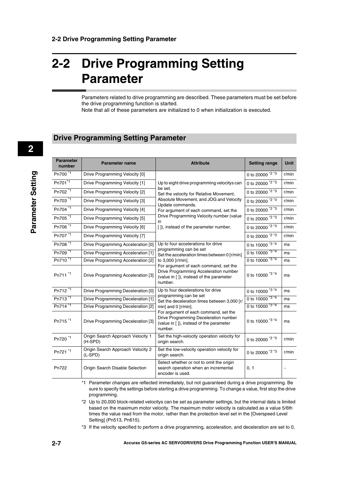# <span id="page-27-0"></span>**2-2 Drive Programming Setting Parameter**

Parameters related to drive programming are described. These parameters must be set before the drive programming function is started.

Note that all of these parameters are initialized to 0 when initialization is executed.

### <span id="page-27-1"></span>**Drive Programming Setting Parameter**

| <b>Parameter</b><br>number | <b>Parameter name</b>                          | <b>Attribute</b>                                                                                                                      | <b>Setting range</b>        | Unit  |
|----------------------------|------------------------------------------------|---------------------------------------------------------------------------------------------------------------------------------------|-----------------------------|-------|
| Pn700 <sup>1</sup>         | Drive Programming Velocity [0]                 |                                                                                                                                       | 0 to 20000 *2 *3            | r/min |
| Pn701 <sup>*1</sup>        | Drive Programming Velocity [1]                 | Up to eight drive programming velocitys can                                                                                           | 0 to 20000 *2 *3            | r/min |
| Pn702 *1                   | Drive Programming Velocity [2]                 | be set.<br>Set the velocity for Relative Movement,                                                                                    | 0 to 20000 <sup>*2 *3</sup> | r/min |
| Pn703 <sup>*1</sup>        | Drive Programming Velocity [3]                 | Absolute Movement, and JOG and Velocity                                                                                               | 0 to 20000 *2 *3            | r/min |
| Pn704 *1                   | Drive Programming Velocity [4]                 | Update commands.<br>For argument of each command, set the                                                                             | 0 to 20000 *2 *3            | r/min |
| Pn705 <sup>*1</sup>        | Drive Programming Velocity [5]                 | Drive Programming Velocity number (value<br>in                                                                                        | 0 to 20000 *2 *3            | r/min |
| Pn706 *1                   | Drive Programming Velocity [6]                 | []), instead of the parameter number.                                                                                                 | 0 to 20000 *2 *3            | r/min |
| Pn707 <sup>*1</sup>        | Drive Programming Velocity [7]                 |                                                                                                                                       | 0 to 20000 *2 *3            | r/min |
| Pn708 *1                   | Drive Programming Acceleration [0]             | Up to four accelerations for drive                                                                                                    | 0 to 10000 *3 *4            | ms    |
| Pn709 <sup>*1</sup>        | Drive Programming Acceleration [1]             | programming can be set<br>Set the acceleration times between 0 [r/min]                                                                | 0 to $10000^{134}$          | ms    |
| Pn710 <sup>*1</sup>        | Drive Programming Acceleration [2]             | to 3,000 [r/min].                                                                                                                     | 0 to $10000^{13*4}$         | ms    |
| Pn711 <sup>*1</sup>        | Drive Programming Acceleration [3]             | For argument of each command, set the<br>Drive Programming Acceleration number<br>(value in []), instead of the parameter<br>number.  | 0 to 10000 *3 *4            | ms    |
| Pn712 <sup>*1</sup>        | Drive Programming Deceleration [0]             | Up to four decelerations for drive                                                                                                    | 0 to 10000 *3 *4            | ms    |
| Pn713 <sup>*1</sup>        | Drive Programming Deceleration [1]             | programming can be set<br>Set the deceleration times between 3,000 [r/                                                                | 0 to $10000^{334}$          | ms    |
| Pn714 <sup>*1</sup>        | Drive Programming Deceleration [2]             | min] and 0 [r/min].                                                                                                                   | 0 to 10000 *3 *4            | ms    |
| Pn715 <sup>*1</sup>        | Drive Programming Deceleration [3]             | For argument of each command, set the<br>Drive Programming Deceleration number<br>(value in [ ]), instead of the parameter<br>number. | 0 to 10000 *3 *4            | ms    |
| Pn720 <sup>*1</sup>        | Origin Search Approach Velocity 1<br>(H-SPD)   | Set the high-velocity operation velocity for<br>origin search.                                                                        | 0 to 20000 *2 *3            | r/min |
| Pn721 *1                   | Origin Search Approach Velocity 2<br>$(L-SPD)$ | Set the low-velocity operation velocity for<br>origin search.                                                                         | 0 to 20000 *2 *3            | r/min |
| Pn722                      | Origin Search Disable Selection                | Select whether or not to omit the origin<br>search operation when an incremental<br>encoder is used.                                  | 0, 1                        |       |

\*1 Parameter changes are reflected immediately, but not guaranteed during a drive programming. Be sure to specify the settings before starting a drive programming. To change a value, first stop the drive programming.

\*2 Up to 20,000 block-related velocitys can be set as parameter settings, but the internal data is limited based on the maximum motor velocity. The maximum motor velocity is calculated as a value 5/6th times the value read from the motor, rather than the protection level set in the [Overspeed Level Setting] (Pn513, Pn615).

\*3 If the velocity specified to perform a drive programming, acceleration, and deceleration are set to 0,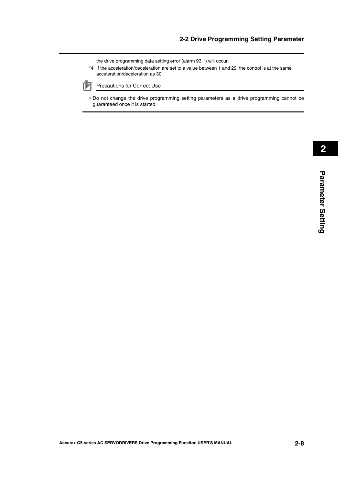the drive programming data setting error (alarm 93.1) will occur.

\*4 If the acceleration/deceleration are set to a value between 1 and 29, the control is at the same acceleration/deceleration as 30.



Precautions for Correct Use

 Do not change the drive programming setting parameters as a drive programming cannot be guaranteed once it is started.

**Parameter Setting**

Parameter Setting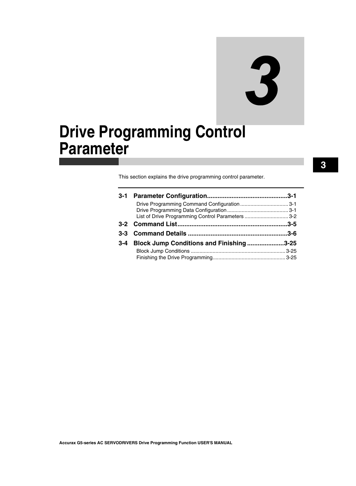# 3

# <span id="page-30-0"></span>**Drive Programming Control Parameter**

This section explains the drive programming control parameter.

| 3-1     |                                                   |  |
|---------|---------------------------------------------------|--|
|         |                                                   |  |
|         |                                                   |  |
|         | List of Drive Programming Control Parameters  3-2 |  |
|         |                                                   |  |
|         |                                                   |  |
|         |                                                   |  |
| $3 - 4$ | Block Jump Conditions and Finishing3-25           |  |
|         |                                                   |  |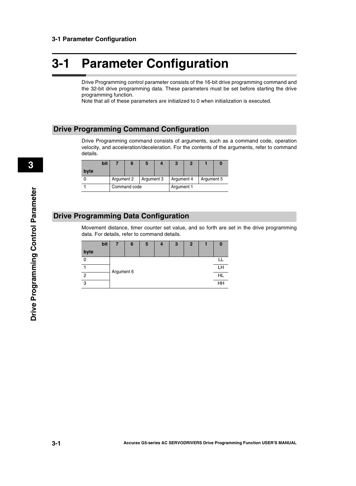## <span id="page-31-0"></span>**3-1 Parameter Configuration**

Drive Programming control parameter consists of the 16-bit drive programming command and the 32-bit drive programming data. These parameters must be set before starting the drive programming function.

Note that all of these parameters are initialized to 0 when initialization is executed.

### <span id="page-31-1"></span>**Drive Programming Command Configuration**

Drive Programming command consists of arguments, such as a command code, operation velocity, and acceleration/deceleration. For the contents of the arguments, refer to command details.

|      | bit |            |              |            |  |            |  |            |  |
|------|-----|------------|--------------|------------|--|------------|--|------------|--|
| byte |     |            |              |            |  |            |  |            |  |
|      |     | Argument 2 |              | Argument 3 |  | Argument 4 |  | Argument 5 |  |
|      |     |            | Command code |            |  | Argument 1 |  |            |  |

### <span id="page-31-2"></span>**Drive Programming Data Configuration**

Movement distance, timer counter set value, and so forth are set in the drive programming data. For details, refer to command details.

|      | bit | 6          | 5 | 4 | 3 | $\mathbf{2}$ |  |    |  |  |
|------|-----|------------|---|---|---|--------------|--|----|--|--|
| byte |     |            |   |   |   |              |  |    |  |  |
|      |     |            |   |   |   |              |  |    |  |  |
|      |     | Argument 6 |   |   |   |              |  |    |  |  |
| 2    |     |            |   |   |   |              |  | HI |  |  |
| 3    |     |            |   |   |   |              |  | HH |  |  |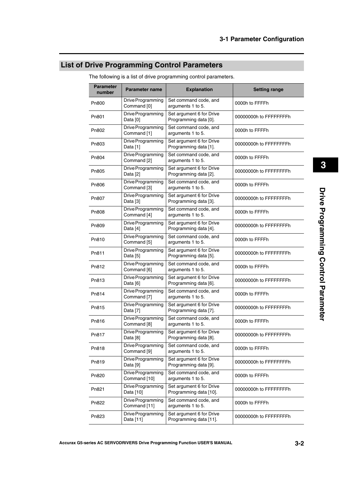### <span id="page-32-0"></span>**List of Drive Programming Control Parameters**

| <b>Parameter</b><br>number | Parameter name                              | <b>Explanation</b>                                 | <b>Setting range</b>   |  |  |
|----------------------------|---------------------------------------------|----------------------------------------------------|------------------------|--|--|
| Pn800                      | Drive Programming<br>Command [0]            | Set command code, and<br>arguments 1 to 5.         | 0000h to FFFFh         |  |  |
| Pn801                      | Drive Programming<br>Data [0]               | Set argument 6 for Drive<br>Programming data [0].  | 00000000h to FFFFFFFFh |  |  |
| Pn802                      | Drive Programming<br>Command [1]            | Set command code, and<br>arguments 1 to 5.         | 0000h to FFFFh         |  |  |
| P <sub>n</sub> 803         | Drive Programming<br>Data [1]               | Set argument 6 for Drive<br>Programming data [1].  | 00000000h to FFFFFFFFh |  |  |
| Pn804                      | Drive Programming<br>Command [2]            | Set command code, and<br>arguments 1 to 5.         | 0000h to FFFFh         |  |  |
| Pn805                      | Drive Programming<br>Data [2]               | Set argument 6 for Drive<br>Programming data [2].  | 00000000h to FFFFFFFFh |  |  |
| Pn806                      | Drive Programming<br>Command <sup>[3]</sup> | Set command code, and<br>arguments 1 to 5.         | 0000h to FFFFh         |  |  |
| Pn807                      | Drive Programming<br>Data [3]               | Set argument 6 for Drive<br>Programming data [3].  | 00000000h to FFFFFFFFh |  |  |
| P <sub>n</sub> 808         | Drive Programming<br>Command [4]            | Set command code, and<br>arguments 1 to 5.         | 0000h to FFFFh         |  |  |
| P <sub>n</sub> 809         | Drive Programming<br>Data [4]               | Set argument 6 for Drive<br>Programming data [4].  | 00000000h to FFFFFFFFh |  |  |
| Pn810                      | Drive Programming<br>Command [5]            | Set command code, and<br>arguments 1 to 5.         | 0000h to FFFFh         |  |  |
| Pn811                      | Drive Programming<br>Data [5]               | Set argument 6 for Drive<br>Programming data [5].  | 00000000h to FFFFFFFFh |  |  |
| Pn812                      | Drive Programming<br>Command [6]            | Set command code, and<br>arguments 1 to 5.         | 0000h to FFFFh         |  |  |
| Pn813                      | Drive Programming<br>Data [6]               | Set argument 6 for Drive<br>Programming data [6].  | 00000000h to FFFFFFFFh |  |  |
| Pn814                      | Drive Programming<br>Command [7]            | Set command code, and<br>arguments 1 to 5.         | 0000h to FFFFh         |  |  |
| Pn815                      | Drive Programming<br>Data [7]               | Set argument 6 for Drive<br>Programming data [7].  | 00000000h to FFFFFFFFh |  |  |
| Pn816                      | Drive Programming<br>Command <sup>[8]</sup> | Set command code, and<br>arguments 1 to 5.         | 0000h to FFFFh         |  |  |
| Pn817                      | Drive Programming<br>Data [8]               | Set argument 6 for Drive<br>Programming data [8].  | 00000000h to FFFFFFFFh |  |  |
| Pn818                      | Drive Programming<br>Command [9]            | Set command code, and<br>arguments 1 to 5.         | 0000h to FFFFh         |  |  |
| Pn819                      | Drive Programming<br>Data [9]               | Set argument 6 for Drive<br>Programming data [9].  | 00000000h to FFFFFFFFh |  |  |
| Pn820                      | Drive Programming<br>Command [10]           | Set command code, and<br>arguments 1 to 5.         | 0000h to FFFFh         |  |  |
| Pn821                      | Drive Programming<br>Data [10]              | Set argument 6 for Drive<br>Programming data [10]. | 00000000h to FFFFFFFFh |  |  |
| Pn822                      | Drive Programming<br>Command [11]           | Set command code, and<br>arguments 1 to 5.         | 0000h to FFFFh         |  |  |
| Pn823                      | Drive Programming<br>Data [11]              | Set argument 6 for Drive<br>Programming data [11]. | 00000000h to FFFFFFFFh |  |  |

The following is a list of drive programming control parameters.

 **3**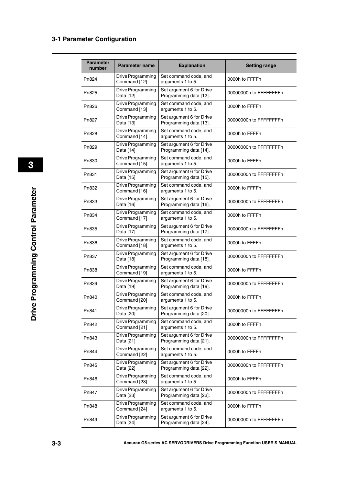| <b>Parameter</b><br>number | <b>Parameter name</b>             | <b>Explanation</b>                                 | <b>Setting range</b>   |  |
|----------------------------|-----------------------------------|----------------------------------------------------|------------------------|--|
| Pn824                      | Drive Programming<br>Command [12] | Set command code, and<br>arguments 1 to 5.         | 0000h to FFFFh         |  |
| Pn825                      | Drive Programming<br>Data [12]    | Set argument 6 for Drive<br>Programming data [12]. | 00000000h to FFFFFFFFh |  |
| Pn826                      | Drive Programming<br>Command [13] | Set command code, and<br>arguments 1 to 5.         | 0000h to FFFFh         |  |
| Pn827                      | Drive Programming<br>Data [13]    | Set argument 6 for Drive<br>Programming data [13]. | 00000000h to FFFFFFFFh |  |
| Pn828                      | Drive Programming<br>Command [14] | Set command code, and<br>arguments 1 to 5.         | 0000h to FFFFh         |  |
| Pn829                      | Drive Programming<br>Data [14]    | Set argument 6 for Drive<br>Programming data [14]. | 00000000h to FFFFFFFFh |  |
| Pn830                      | Drive Programming<br>Command [15] | Set command code, and<br>arguments 1 to 5.         | 0000h to FFFFh         |  |
| Pn831                      | Drive Programming<br>Data [15]    | Set argument 6 for Drive<br>Programming data [15]. | 00000000h to FFFFFFFFh |  |
| Pn832                      | Drive Programming<br>Command [16] | Set command code, and<br>arguments 1 to 5.         | 0000h to FFFFh         |  |
| Pn833                      | Drive Programming<br>Data [16]    | Set argument 6 for Drive<br>Programming data [16]. | 00000000h to FFFFFFFFh |  |
| Pn834                      | Drive Programming<br>Command [17] | Set command code, and<br>arguments 1 to 5.         | 0000h to FFFFh         |  |
| Pn835                      | Drive Programming<br>Data [17]    | Set argument 6 for Drive<br>Programming data [17]. | 00000000h to FFFFFFFFh |  |
| Pn836                      | Drive Programming<br>Command [18] | Set command code, and<br>arguments 1 to 5.         | 0000h to FFFFh         |  |
| Pn837                      | Drive Programming<br>Data [18]    | Set argument 6 for Drive<br>Programming data [18]. | 00000000h to FFFFFFFFh |  |
| Pn838                      | Drive Programming<br>Command [19] | Set command code, and<br>arguments 1 to 5.         | 0000h to FFFFh         |  |
| Pn839                      | Drive Programming<br>Data [19]    | Set argument 6 for Drive<br>Programming data [19]. | 00000000h to FFFFFFFFh |  |
| Pn840                      | Drive Programming<br>Command [20] | Set command code, and<br>arguments 1 to 5.         | 0000h to FFFFh         |  |
| Pn841                      | Drive Programming<br>Data [20]    | Set argument 6 for Drive<br>Programming data [20]. | 00000000h to FFFFFFFFh |  |
| Pn842                      | Drive Programming<br>Command [21] | Set command code, and<br>arguments 1 to 5.         | 0000h to FFFFh         |  |
| Pn843                      | Drive Programming<br>Data [21]    | Set argument 6 for Drive<br>Programming data [21]. | 00000000h to FFFFFFFFh |  |
| Pn844                      | Drive Programming<br>Command [22] | Set command code, and<br>arguments 1 to 5.         | 0000h to FFFFh         |  |
| Pn845                      | Drive Programming<br>Data [22]    | Set argument 6 for Drive<br>Programming data [22]. | 00000000h to FFFFFFFFh |  |
| Pn846                      | Drive Programming<br>Command [23] | Set command code, and<br>arguments 1 to 5.         | 0000h to FFFFh         |  |
| Pn847                      | Drive Programming<br>Data [23]    | Set argument 6 for Drive<br>Programming data [23]. | 00000000h to FFFFFFFFh |  |
| Pn848                      | Drive Programming<br>Command [24] | Set command code, and<br>arguments 1 to 5.         | 0000h to FFFFh         |  |
| Pn849                      | Drive Programming<br>Data [24]    | Set argument 6 for Drive<br>Programming data [24]. | 00000000h to FFFFFFFFh |  |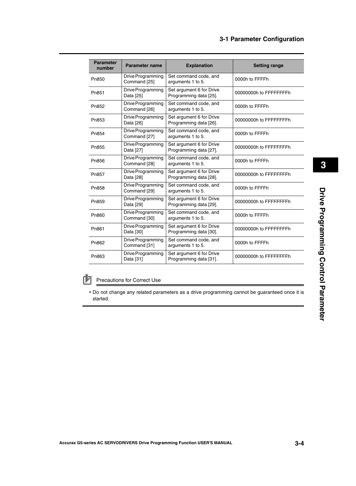| <b>Parameter</b><br>number | Parameter name                    | <b>Explanation</b>                                 | <b>Setting range</b>   |  |
|----------------------------|-----------------------------------|----------------------------------------------------|------------------------|--|
| Pn850                      | Drive Programming<br>Command [25] | Set command code, and<br>arguments 1 to 5.         | 0000h to FFFFh         |  |
| Pn851                      | Drive Programming<br>Data [25]    | Set argument 6 for Drive<br>Programming data [25]. | 00000000h to FFFFFFFFh |  |
| Pn852                      | Drive Programming<br>Command [26] | Set command code, and<br>arguments 1 to 5.         | 0000h to FFFFh         |  |
| Pn853                      | Drive Programming<br>Data [26]    | Set argument 6 for Drive<br>Programming data [26]. | 00000000h to FFFFFFFFh |  |
| Pn854                      | Drive Programming<br>Command [27] | Set command code, and<br>arguments 1 to 5.         | 0000h to FFFFh         |  |
| Pn855                      | Drive Programming<br>Data [27]    | Set argument 6 for Drive<br>Programming data [27]. | 00000000h to FFFFFFFFh |  |
| Pn856                      | Drive Programming<br>Command [28] | Set command code, and<br>arguments 1 to 5.         | 0000h to FFFFh         |  |
| Pn857                      | Drive Programming<br>Data [28]    | Set argument 6 for Drive<br>Programming data [28]. | 00000000h to FFFFFFFFh |  |
| Pn858                      | Drive Programming<br>Command [29] | Set command code, and<br>arguments 1 to 5.         | 0000h to FFFFh         |  |
| P <sub>n</sub> 859         | Drive Programming<br>Data [29]    | Set argument 6 for Drive<br>Programming data [29]. | 00000000h to FFFFFFFFh |  |
| Pn860                      | Drive Programming<br>Command [30] | Set command code, and<br>arguments 1 to 5.         | 0000h to FFFFh         |  |
| Pn861                      | Drive Programming<br>Data [30]    | Set argument 6 for Drive<br>Programming data [30]. | 00000000h to FFFFFFFFh |  |
| Pn862                      | Drive Programming<br>Command [31] | Set command code, and<br>arguments 1 to 5.         | 0000h to FFFFh         |  |
| Pn863                      | Drive Programming<br>Data [31]    | Set argument 6 for Drive<br>Programming data [31]. | 00000000h to FFFFFFFFh |  |

#### Precautions for Correct Use ſИ

 Do not change any related parameters as a drive programming cannot be guaranteed once it is started.

 **3**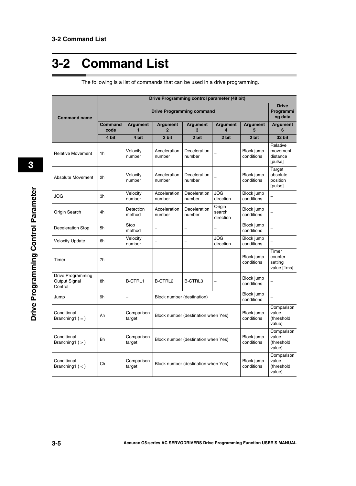# <span id="page-35-0"></span>**3-2 Command List**

|                                               | Drive Programming control parameter (48 bit) |                          |                                                                 |                        |                               |                                             |                                             |
|-----------------------------------------------|----------------------------------------------|--------------------------|-----------------------------------------------------------------|------------------------|-------------------------------|---------------------------------------------|---------------------------------------------|
| <b>Command name</b>                           | <b>Drive Programming command</b>             |                          |                                                                 |                        |                               | <b>Drive</b><br>Programmi<br>ng data        |                                             |
|                                               | Command<br>code                              | <b>Argument</b><br>1     | <b>Argument</b><br>$\overline{2}$                               | <b>Argument</b><br>3   | <b>Argument</b><br>4          | <b>Argument</b><br>5                        | <b>Argument</b><br>6                        |
|                                               | 4 bit                                        | 4 bit                    | 2 bit                                                           | 2 bit                  | 2 bit                         | 2 bit                                       | 32 bit                                      |
| <b>Relative Movement</b>                      | 1h                                           | Velocity<br>number       | Acceleration<br>number                                          | Deceleration<br>number |                               | Block jump<br>conditions                    | Relative<br>movement<br>distance<br>[pulse] |
| Absolute Movement                             | 2 <sub>h</sub>                               | Velocity<br>number       | Acceleration<br>number                                          | Deceleration<br>number |                               | Block jump<br>conditions                    | Target<br>absolute<br>position<br>[pulse]   |
| JOG                                           | 3h                                           | Velocity<br>number       | Acceleration<br>number                                          | Deceleration<br>number | <b>JOG</b><br>direction       | Block jump<br>conditions                    |                                             |
| Origin Search                                 | 4h                                           | Detection<br>method      | Acceleration<br>number                                          | Deceleration<br>number | Origin<br>search<br>direction | Block jump<br>conditions                    |                                             |
| <b>Deceleration Stop</b>                      | 5h                                           | Stop<br>method           |                                                                 |                        |                               | Block jump<br>conditions                    |                                             |
| <b>Velocity Update</b>                        | 6h                                           | Velocity<br>number       |                                                                 |                        | <b>JOG</b><br>direction       | Block jump<br>conditions                    |                                             |
| Timer                                         | 7h                                           |                          |                                                                 |                        |                               | Block jump<br>conditions                    | Timer<br>counter<br>setting<br>value [1ms]  |
| Drive Programming<br>Output Signal<br>Control | 8h                                           | <b>B-CTRL1</b>           | <b>B-CTRL2</b>                                                  | B-CTRL3                | $\overline{\phantom{0}}$      | Block jump<br>conditions                    |                                             |
| Jump                                          | 9h                                           | $\overline{\phantom{0}}$ | Block jump<br>Block number (destination)<br>conditions          |                        |                               |                                             |                                             |
| Conditional<br>Branching $( = )$              | Ah                                           | Comparison<br>target     | Block jump<br>Block number (destination when Yes)<br>conditions |                        |                               | Comparison<br>value<br>(threshold<br>value) |                                             |
| Conditional<br>Branching $(>)$                | Bh                                           | Comparison<br>target     | Block jump<br>Block number (destination when Yes)<br>conditions |                        |                               | Comparison<br>value<br>(threshold<br>value) |                                             |
| Conditional<br>Branching1 $(<)$               | Ch                                           | Comparison<br>target     | Block jump<br>Block number (destination when Yes)<br>conditions |                        |                               | Comparison<br>value<br>(threshold<br>value) |                                             |

The following is a list of commands that can be used in a drive programming.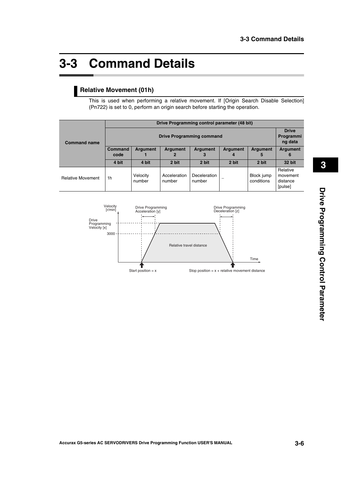# <span id="page-36-0"></span>**3-3 Command Details**

#### **Relative Movement (01h)**

This is used when performing a relative movement. If [Origin Search Disable Selection] (Pn722) is set to 0, perform an origin search before starting the operation.

|                          | Drive Programming control parameter (48 bit) |                    |                        |                        |                 |                          |                                             |
|--------------------------|----------------------------------------------|--------------------|------------------------|------------------------|-----------------|--------------------------|---------------------------------------------|
| <b>Command name</b>      | <b>Drive Programming command</b>             |                    |                        |                        |                 |                          |                                             |
|                          | Command<br>code                              | <b>Argument</b>    | <b>Argument</b>        | <b>Argument</b><br>3   | <b>Argument</b> | <b>Argument</b><br>5     | Argument<br>6                               |
|                          | 4 bit                                        | 4 bit              | 2 bit                  | 2 bit                  | 2 bit           | 2 bit                    | 32 bit                                      |
| <b>Relative Movement</b> | 1 <sub>h</sub>                               | Velocity<br>number | Acceleration<br>number | Deceleration<br>number |                 | Block jump<br>conditions | Relative<br>movement<br>distance<br>[pulse] |

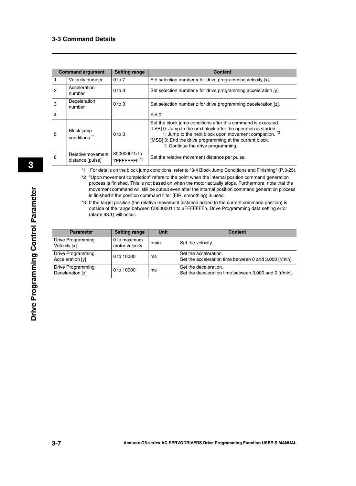|                | <b>Command argument</b><br><b>Setting range</b> |                                         | <b>Content</b>                                                                                                                                                                                                                                                                               |
|----------------|-------------------------------------------------|-----------------------------------------|----------------------------------------------------------------------------------------------------------------------------------------------------------------------------------------------------------------------------------------------------------------------------------------------|
|                | Velocity number                                 | $0$ to $7$                              | Set selection number x for drive programming velocity [x].                                                                                                                                                                                                                                   |
| $\overline{2}$ | Acceleration<br>number                          | $0$ to $3$                              | Set selection number y for drive programming acceleration [y].                                                                                                                                                                                                                               |
| 3              | <b>Deceleration</b><br>number                   | $0$ to $3$                              | Set selection number z for drive programming deceleration [z].                                                                                                                                                                                                                               |
| $\overline{4}$ |                                                 |                                         | Set 0.                                                                                                                                                                                                                                                                                       |
| 5              | Block jump<br>conditions <sup>*1</sup>          | $0$ to $3$                              | Set the block jump conditions after this command is executed.<br>[LSB] 0: Jump to the next block after the operation is started.<br>1: Jump to the next block upon movement completion. *2<br>[MSB] 0: End the drive programming at the current block.<br>1: Continue the drive programming. |
| 6              | Relative movement<br>distance [pulse]           | 80000001h to<br>7FFFFFFFh <sup>*3</sup> | Set the relative movement distance per pulse.                                                                                                                                                                                                                                                |

\*1 For details on the block jump conditions, refer to "3-4 Block Jump Conditions and Finishing" ([P.3-25](#page-55-0)).

\*2 "Upon movement completion" refers to the point when the internal position command generation process is finished. This is not based on when the motor actually stops. Furthermore, note that the movement command will still be output even after the internal position command generation process is finished if the position command filter (FIR, smoothing) is used.

\*3 If the target position (the relative movement distance added to the current command position) is outside of the range between C0000001h to 3FFFFFFFh, Drive Programming data setting error (alarm 93.1) will occur.

| <b>Parameter</b>                      | <b>Setting range</b>           | <b>Unit</b> | <b>Content</b>                                                                  |
|---------------------------------------|--------------------------------|-------------|---------------------------------------------------------------------------------|
| Drive Programming<br>Velocity [x]     | 0 to maximum<br>motor velocity | r/min       | Set the velocity.                                                               |
| Drive Programming<br>Acceleration [v] | 0 to 10000                     | ms          | Set the acceleration.<br>Set the acceleration time between 0 and 3,000 [r/min]. |
| Drive Programming<br>Deceleration [z] | 0 to 10000                     | ms          | Set the deceleration.<br>Set the deceleration time between 3,000 and 0 [r/min]. |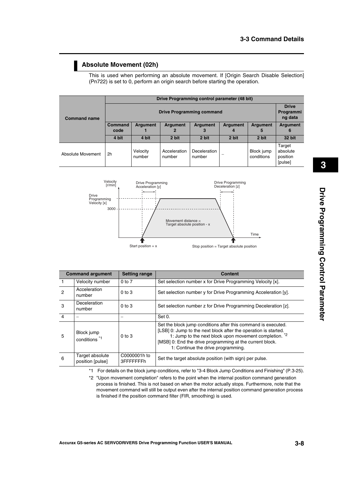#### **Absolute Movement (02h)**

This is used when performing an absolute movement. If [Origin Search Disable Selection] (Pn722) is set to 0, perform an origin search before starting the operation.

|                     | Drive Programming control parameter (48 bit) |                    |                        |                               |                      |                          |                                           |
|---------------------|----------------------------------------------|--------------------|------------------------|-------------------------------|----------------------|--------------------------|-------------------------------------------|
| <b>Command name</b> | <b>Drive Programming command</b>             |                    |                        |                               |                      |                          |                                           |
|                     | Command<br>code                              | <b>Argument</b>    | <b>Argument</b><br>2   | <b>Argument</b><br>3          | <b>Argument</b><br>4 | <b>Argument</b><br>5     | <b>Argument</b><br>6                      |
|                     | 4 bit                                        | 4 bit              | 2 bit                  | 2 bit                         | 2 bit                | 2 bit                    | 32 bit                                    |
| Absolute Movement   | 2h                                           | Velocity<br>number | Acceleration<br>number | <b>Deceleration</b><br>number |                      | Block jump<br>conditions | Target<br>absolute<br>position<br>[pulse] |



|                | <b>Command argument</b><br><b>Setting range</b> |                            | <b>Content</b>                                                                                                                                                                                                                                                                               |  |  |  |  |
|----------------|-------------------------------------------------|----------------------------|----------------------------------------------------------------------------------------------------------------------------------------------------------------------------------------------------------------------------------------------------------------------------------------------|--|--|--|--|
|                | Velocity number                                 | $0$ to $7$                 | Set selection number x for Drive Programming Velocity [x].                                                                                                                                                                                                                                   |  |  |  |  |
| $\mathcal{P}$  | Acceleration<br>number                          | $0$ to $3$                 | Set selection number y for Drive Programming Acceleration [y].                                                                                                                                                                                                                               |  |  |  |  |
| 3              | Deceleration<br>number                          | $0$ to $3$                 | Set selection number z for Drive Programming Deceleration [z].                                                                                                                                                                                                                               |  |  |  |  |
| $\overline{4}$ |                                                 |                            | Set 0.                                                                                                                                                                                                                                                                                       |  |  |  |  |
| 5              | Block jump<br>conditions <sup>*1</sup>          | $0$ to $3$                 | Set the block jump conditions after this command is executed.<br>[LSB] 0: Jump to the next block after the operation is started.<br>1: Jump to the next block upon movement completion. *2<br>[MSB] 0: End the drive programming at the current block.<br>1: Continue the drive programming. |  |  |  |  |
| 6              | Target absolute<br>position [pulse]             | C0000001h to<br>3FFFFFFFFh | Set the target absolute position (with sign) per pulse.                                                                                                                                                                                                                                      |  |  |  |  |

\*1 For details on the block jump conditions, refer to "3-4 Block Jump Conditions and Finishing" [\(P.3-25\)](#page-55-0).

\*2 "Upon movement completion" refers to the point when the internal position command generation process is finished. This is not based on when the motor actually stops. Furthermore, note that the movement command will still be output even after the internal position command generation process is finished if the position command filter (FIR, smoothing) is used.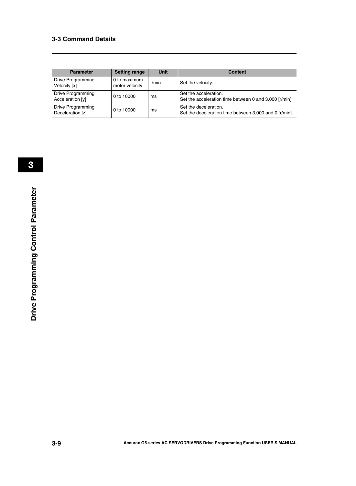| <b>Parameter</b>                      | <b>Setting range</b>           | <b>Unit</b> | <b>Content</b>                                                                  |
|---------------------------------------|--------------------------------|-------------|---------------------------------------------------------------------------------|
| Drive Programming<br>Velocity [x]     | 0 to maximum<br>motor velocity | r/min       | Set the velocity.                                                               |
| Drive Programming<br>Acceleration [y] | 0 to 10000                     | ms          | Set the acceleration.<br>Set the acceleration time between 0 and 3,000 [r/min]. |
| Drive Programming<br>Deceleration [z] | 0 to 10000                     | ms          | Set the deceleration.<br>Set the deceleration time between 3,000 and 0 [r/min]. |

**3-9**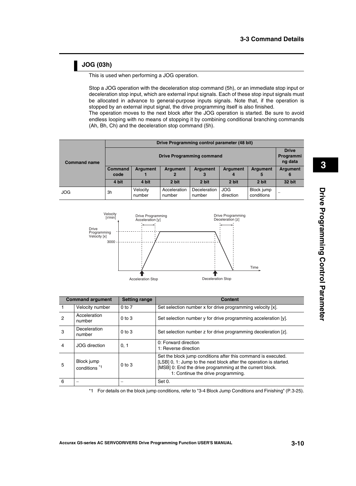#### **JOG (03h)**

This is used when performing a JOG operation.

Stop a JOG operation with the deceleration stop command (5h), or an immediate stop input or deceleration stop input, which are external input signals. Each of these stop input signals must be allocated in advance to general-purpose inputs signals. Note that, if the operation is stopped by an external input signal, the drive programming itself is also finished. The operation moves to the next block after the JOG operation is started. Be sure to avoid

endless looping with no means of stopping it by combining conditional branching commands (Ah, Bh, Ch) and the deceleration stop command (5h).

| <b>Command name</b> | Drive Programming control parameter (48 bit) |                    |                        |                        |                         |                          |                 |  |
|---------------------|----------------------------------------------|--------------------|------------------------|------------------------|-------------------------|--------------------------|-----------------|--|
|                     | <b>Drive Programming command</b>             |                    |                        |                        |                         |                          |                 |  |
|                     | <b>Command</b><br>code                       | <b>Argument</b>    | <b>Argument</b>        | <b>Argument</b>        | <b>Argument</b>         | <b>Argument</b>          | <b>Argument</b> |  |
|                     | 4 bit                                        | 4 bit              | 2 bit                  | 2 bit                  | 2 bit                   | 2 bit                    | 32 bit          |  |
| <b>JOG</b>          | 3h                                           | Velocity<br>number | Acceleration<br>number | Deceleration<br>number | <b>JOG</b><br>direction | Block jump<br>conditions |                 |  |



|   | <b>Command argument</b><br><b>Setting range</b> |            | <b>Content</b>                                                                                                                                                                                                                        |  |  |  |
|---|-------------------------------------------------|------------|---------------------------------------------------------------------------------------------------------------------------------------------------------------------------------------------------------------------------------------|--|--|--|
|   | Velocity number                                 | $0$ to $7$ | Set selection number x for drive programming velocity [x].                                                                                                                                                                            |  |  |  |
| 2 | Acceleration<br>number                          | $0$ to $3$ | Set selection number y for drive programming acceleration [y].                                                                                                                                                                        |  |  |  |
| 3 | Deceleration<br>number                          | $0$ to $3$ | Set selection number z for drive programming deceleration [z].                                                                                                                                                                        |  |  |  |
| 4 | <b>JOG</b> direction                            | 0, 1       | 0: Forward direction<br>1: Reverse direction                                                                                                                                                                                          |  |  |  |
| 5 | Block jump<br>conditions <sup>*1</sup>          | $0$ to $3$ | Set the block jump conditions after this command is executed.<br>[LSB] 0, 1: Jump to the next block after the operation is started.<br>[MSB] 0: End the drive programming at the current block.<br>1: Continue the drive programming. |  |  |  |
| 6 |                                                 |            | Set 0.                                                                                                                                                                                                                                |  |  |  |

\*1 For details on the block jump conditions, refer to "3-4 Block Jump Conditions and Finishing" [\(P.3-25\)](#page-55-0).

 **3**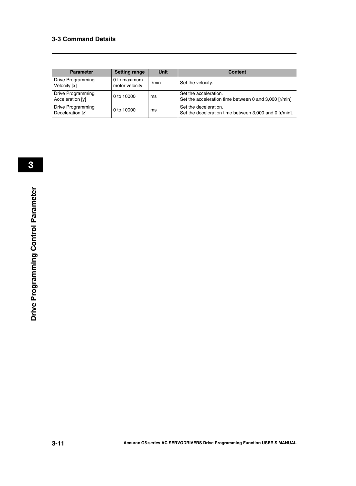| <b>Parameter</b>                      | <b>Setting range</b>           | <b>Unit</b> | <b>Content</b>                                                                  |
|---------------------------------------|--------------------------------|-------------|---------------------------------------------------------------------------------|
| Drive Programming<br>Velocity [x]     | 0 to maximum<br>motor velocity | r/min       | Set the velocity.                                                               |
| Drive Programming<br>Acceleration [y] | 0 to 10000                     | ms          | Set the acceleration.<br>Set the acceleration time between 0 and 3,000 [r/min]. |
| Drive Programming<br>Deceleration [z] | 0 to 10000                     | ms          | Set the deceleration.<br>Set the deceleration time between 3,000 and 0 [r/min]. |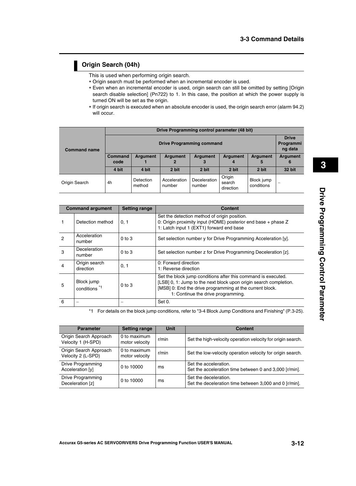#### **Origin Search (04h)**

This is used when performing origin search.

- Origin search must be performed when an incremental encoder is used.
- Even when an incremental encoder is used, origin search can still be omitted by setting [Origin search disable selection] (Pn722) to 1. In this case, the position at which the power supply is turned ON will be set as the origin.
- If origin search is executed when an absolute encoder is used, the origin search error (alarm 94.2) will occur.

|                     | Drive Programming control parameter (48 bit) |                     |                        |                        |                               |                          |                      |
|---------------------|----------------------------------------------|---------------------|------------------------|------------------------|-------------------------------|--------------------------|----------------------|
| <b>Command name</b> | <b>Drive Programming command</b>             |                     |                        |                        |                               |                          |                      |
|                     | <b>Command</b><br>code                       | <b>Argument</b>     | <b>Argument</b>        | <b>Argument</b>        | <b>Argument</b><br>Д          | <b>Argument</b><br>5     | <b>Argument</b><br>6 |
|                     | 4 bit                                        | 4 bit               | 2 bit                  | 2 bit                  | 2 bit                         | 2 bit                    | 32 bit               |
| Origin Search       | 4h                                           | Detection<br>method | Acceleration<br>number | Deceleration<br>number | Origin<br>search<br>direction | Block jump<br>conditions |                      |

|   | <b>Setting range</b><br><b>Command argument</b> |            | <b>Content</b>                                                                                                                                                                                                                       |
|---|-------------------------------------------------|------------|--------------------------------------------------------------------------------------------------------------------------------------------------------------------------------------------------------------------------------------|
|   | Detection method                                | 0, 1       | Set the detection method of origin position.<br>0: Origin proximity input (HOME) posterior end base + phase Z<br>1: Latch input 1 (EXT1) forward end base                                                                            |
| 2 | Acceleration<br>number                          | $0$ to $3$ | Set selection number y for Drive Programming Acceleration [y].                                                                                                                                                                       |
| 3 | <b>Deceleration</b><br>number                   | $0$ to $3$ | Set selection number z for Drive Programming Deceleration [z].                                                                                                                                                                       |
| 4 | Origin search<br>direction                      | 0, 1       | 0: Forward direction<br>1: Reverse direction                                                                                                                                                                                         |
| 5 | Block jump<br>conditions <sup>*1</sup>          | $0$ to $3$ | Set the block jump conditions after this command is executed.<br>[LSB] 0, 1: Jump to the next block upon origin search completion.<br>[MSB] 0: End the drive programming at the current block.<br>1: Continue the drive programming. |
| 6 |                                                 |            | Set 0.                                                                                                                                                                                                                               |

\*1 For details on the block jump conditions, refer to "3-4 Block Jump Conditions and Finishing" [\(P.3-25\)](#page-55-0).

| <b>Parameter</b>                             | <b>Setting range</b>           | Unit  | <b>Content</b>                                                                  |
|----------------------------------------------|--------------------------------|-------|---------------------------------------------------------------------------------|
| Origin Search Approach<br>Velocity 1 (H-SPD) | 0 to maximum<br>motor velocity | r/min | Set the high-velocity operation velocity for origin search.                     |
| Origin Search Approach<br>Velocity 2 (L-SPD) | 0 to maximum<br>motor velocity | r/min | Set the low-velocity operation velocity for origin search.                      |
| Drive Programming<br>Acceleration [y]        | 0 to 10000                     | ms    | Set the acceleration.<br>Set the acceleration time between 0 and 3,000 [r/min]. |
| Drive Programming<br>Deceleration [z]        | 0 to 10000                     | ms    | Set the deceleration.<br>Set the deceleration time between 3,000 and 0 [r/min]. |

**Drive Programming Control Parameter**

Drive Programming Control Parameter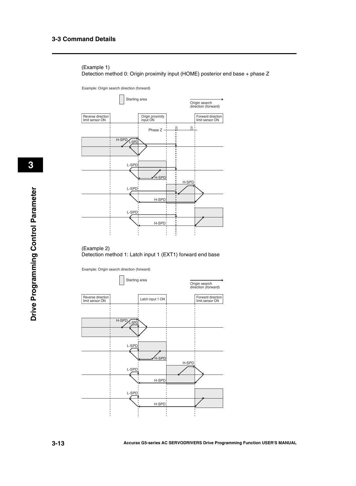#### (Example 1) Detection method 0: Origin proximity input (HOME) posterior end base + phase Z

Example: Origin search direction (forward)



#### (Example 2) Detection method 1: Latch input 1 (EXT1) forward end base

Example: Origin search direction (forward)



 **3**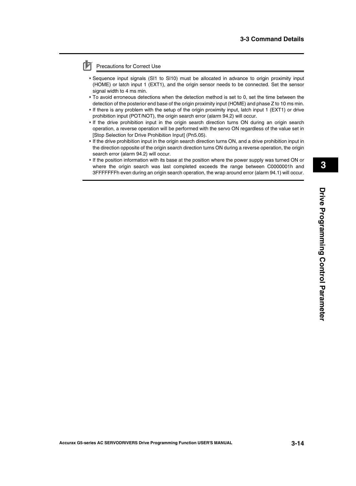#### Precautions for Correct Use

- Sequence input signals (SI1 to SI10) must be allocated in advance to origin proximity input (HOME) or latch input 1 (EXT1), and the origin sensor needs to be connected. Set the sensor signal width to 4 ms min.
- To avoid erroneous detections when the detection method is set to 0, set the time between the detection of the posterior end base of the origin proximity input (HOME) and phase Z to 10 ms min.
- If there is any problem with the setup of the origin proximity input, latch input 1 (EXT1) or drive prohibition input (POT/NOT), the origin search error (alarm 94.2) will occur.
- If the drive prohibition input in the origin search direction turns ON during an origin search operation, a reverse operation will be performed with the servo ON regardless of the value set in [Stop Selection for Drive Prohibition Input] (Pn5.05).
- If the drive prohibition input in the origin search direction turns ON, and a drive prohibition input in the direction opposite of the origin search direction turns ON during a reverse operation, the origin search error (alarm 94.2) will occur.
- If the position information with its base at the position where the power supply was turned ON or where the origin search was last completed exceeds the range between C0000001h and 3FFFFFFFh even during an origin search operation, the wrap around error (alarm 94.1) will occur.

 **3**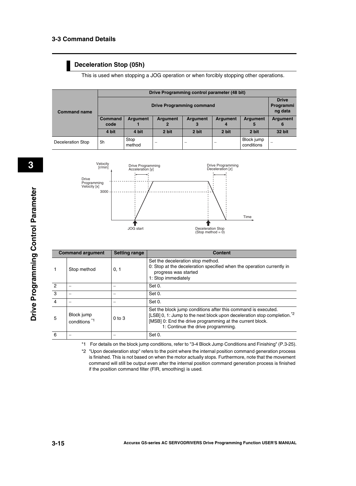#### **Deceleration Stop (05h)**

This is used when stopping a JOG operation or when forcibly stopping other operations.

|                     | Drive Programming control parameter (48 bit) |                 |                                      |                                         |       |                          |               |  |  |
|---------------------|----------------------------------------------|-----------------|--------------------------------------|-----------------------------------------|-------|--------------------------|---------------|--|--|
| <b>Command name</b> |                                              |                 | <b>Drive</b><br>Programmi<br>ng data |                                         |       |                          |               |  |  |
|                     | <b>Command</b><br>code                       | <b>Argument</b> | <b>Argument</b>                      | <b>Argument</b><br><b>Argument</b><br>4 |       | <b>Argument</b>          | Argument<br>6 |  |  |
|                     | 4 bit                                        | 4 bit           | 2 bit                                | 2 bit                                   | 2 bit | 2 bit                    | 32 bit        |  |  |
| Deceleration Stop   | 5h                                           | Stop<br>method  |                                      |                                         |       | Block jump<br>conditions |               |  |  |



|                | <b>Command argument</b>                | <b>Setting range</b> | <b>Content</b>                                                                                                                                                                                                                                         |
|----------------|----------------------------------------|----------------------|--------------------------------------------------------------------------------------------------------------------------------------------------------------------------------------------------------------------------------------------------------|
| $\mathbf{1}$   | Stop method                            | 0, 1                 | Set the deceleration stop method.<br>0: Stop at the deceleration specified when the operation currently in<br>progress was started<br>1: Stop immediately                                                                                              |
| $\overline{c}$ |                                        |                      | Set 0.                                                                                                                                                                                                                                                 |
| 3              |                                        |                      | Set 0.                                                                                                                                                                                                                                                 |
| 4              |                                        |                      | Set 0.                                                                                                                                                                                                                                                 |
| 5              | Block jump<br>conditions <sup>*1</sup> | $0$ to $3$           | Set the block jump conditions after this command is executed.<br>[LSB] 0, 1: Jump to the next block upon deceleration stop completion. <sup>*2</sup><br>[MSB] 0: End the drive programming at the current block.<br>1: Continue the drive programming. |
| 6              |                                        |                      | Set 0.                                                                                                                                                                                                                                                 |

\*1 For details on the block jump conditions, refer to "3-4 Block Jump Conditions and Finishing" ([P.3-25](#page-55-0)).

\*2 "Upon deceleration stop" refers to the point where the internal position command generation process is finished. This is not based on when the motor actually stops. Furthermore, note that the movement command will still be output even after the internal position command generation process is finished if the position command filter (FIR, smoothing) is used.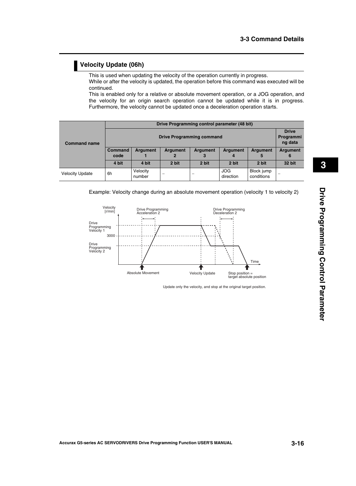#### **Velocity Update (06h)**

This is used when updating the velocity of the operation currently in progress.

While or after the velocity is updated, the operation before this command was executed will be continued.

This is enabled only for a relative or absolute movement operation, or a JOG operation, and the velocity for an origin search operation cannot be updated while it is in progress. Furthermore, the velocity cannot be updated once a deceleration operation starts.

|                        | Drive Programming control parameter (48 bit) |                    |                          |                      |                         |                          |          |  |  |  |
|------------------------|----------------------------------------------|--------------------|--------------------------|----------------------|-------------------------|--------------------------|----------|--|--|--|
| <b>Command name</b>    | <b>Drive Programming command</b>             |                    |                          |                      |                         |                          |          |  |  |  |
|                        | <b>Command</b><br>code                       | <b>Argument</b>    | <b>Argument</b>          | <b>Argument</b><br>3 | <b>Argument</b>         | <b>Argument</b><br>5     | Argument |  |  |  |
|                        | 4 bit                                        | 4 bit              | 2 bit                    | 2 bit                | 2 bit                   | 2 bit                    | 32 bit   |  |  |  |
| <b>Velocity Update</b> | 6h                                           | Velocity<br>number | $\overline{\phantom{m}}$ |                      | <b>JOG</b><br>direction | Block jump<br>conditions | -        |  |  |  |

Example: Velocity change during an absolute movement operation (velocity 1 to velocity 2)



Update only the velocity, and stop at the original target position.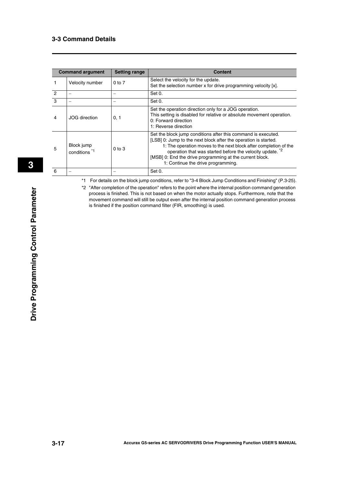|               | <b>Command argument</b>                | <b>Setting range</b> | <b>Content</b>                                                                                                                                                                                                                                                                                                                                                      |
|---------------|----------------------------------------|----------------------|---------------------------------------------------------------------------------------------------------------------------------------------------------------------------------------------------------------------------------------------------------------------------------------------------------------------------------------------------------------------|
|               | Velocity number                        | $0$ to $7$           | Select the velocity for the update.<br>Set the selection number x for drive programming velocity [x].                                                                                                                                                                                                                                                               |
| $\mathcal{P}$ |                                        |                      | Set 0.                                                                                                                                                                                                                                                                                                                                                              |
| 3             |                                        |                      | Set 0.                                                                                                                                                                                                                                                                                                                                                              |
| 4             | <b>JOG</b> direction                   | 0, 1                 | Set the operation direction only for a JOG operation.<br>This setting is disabled for relative or absolute movement operation.<br>0: Forward direction<br>1: Reverse direction                                                                                                                                                                                      |
| 5             | Block jump<br>conditions <sup>*1</sup> | $0$ to $3$           | Set the block jump conditions after this command is executed.<br>[LSB] 0: Jump to the next block after the operation is started.<br>1: The operation moves to the next block after completion of the<br>operation that was started before the velocity update. *2<br>[MSB] 0: End the drive programming at the current block.<br>1: Continue the drive programming. |
| 6             |                                        |                      | Set 0.                                                                                                                                                                                                                                                                                                                                                              |

\*1 For details on the block jump conditions, refer to "3-4 Block Jump Conditions and Finishing" ([P.3-25](#page-55-0)).

\*2 "After completion of the operation" refers to the point where the internal position command generation process is finished. This is not based on when the motor actually stops. Furthermore, note that the movement command will still be output even after the internal position command generation process is finished if the position command filter (FIR, smoothing) is used.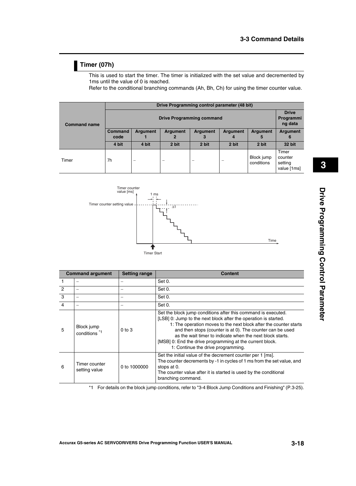#### **Timer (07h)**

This is used to start the timer. The timer is initialized with the set value and decremented by 1ms until the value of 0 is reached.

Refer to the conditional branching commands (Ah, Bh, Ch) for using the timer counter value.

|                     | Drive Programming control parameter (48 bit) |                 |          |                          |                      |                          |                                            |  |  |  |
|---------------------|----------------------------------------------|-----------------|----------|--------------------------|----------------------|--------------------------|--------------------------------------------|--|--|--|
| <b>Command name</b> | <b>Drive Programming command</b>             |                 |          |                          |                      |                          |                                            |  |  |  |
|                     | <b>Command</b><br>code                       | <b>Argument</b> | Argument | Argument<br>3            | <b>Argument</b><br>4 | <b>Argument</b><br>5     | Argument<br>6                              |  |  |  |
|                     | 4 bit                                        | 4 bit           | 2 bit    | 2 bit                    | 2 bit                | 2 bit                    | <b>32 bit</b>                              |  |  |  |
| Timer               | 7h                                           |                 |          | $\overline{\phantom{a}}$ |                      | Block jump<br>conditions | Timer<br>counter<br>setting<br>value [1ms] |  |  |  |



| <b>Command argument</b> |                                        | <b>Setting range</b> | <b>Content</b>                                                                                                                                                                                                                                                                                                                                                                                                                    |
|-------------------------|----------------------------------------|----------------------|-----------------------------------------------------------------------------------------------------------------------------------------------------------------------------------------------------------------------------------------------------------------------------------------------------------------------------------------------------------------------------------------------------------------------------------|
|                         |                                        |                      | Set 0.                                                                                                                                                                                                                                                                                                                                                                                                                            |
| $\overline{2}$          |                                        |                      | Set 0.                                                                                                                                                                                                                                                                                                                                                                                                                            |
| 3                       |                                        |                      | Set 0.                                                                                                                                                                                                                                                                                                                                                                                                                            |
| $\overline{4}$          |                                        |                      | Set 0.                                                                                                                                                                                                                                                                                                                                                                                                                            |
| 5                       | Block jump<br>conditions <sup>*1</sup> | $0$ to $3$           | Set the block jump conditions after this command is executed.<br>[LSB] 0: Jump to the next block after the operation is started.<br>1: The operation moves to the next block after the counter starts<br>and then stops (counter is at 0). The counter can be used<br>as the wait timer to indicate when the next block starts.<br>[MSB] 0: End the drive programming at the current block.<br>1: Continue the drive programming. |
| 6                       | Timer counter<br>setting value         | 0 to 1000000         | Set the initial value of the decrement counter per 1 [ms].<br>The counter decrements by -1 in cycles of 1 ms from the set value, and<br>stops at 0.<br>The counter value after it is started is used by the conditional<br>branching command.                                                                                                                                                                                     |

\*1 For details on the block jump conditions, refer to "3-4 Block Jump Conditions and Finishing" [\(P.3-25\)](#page-55-0).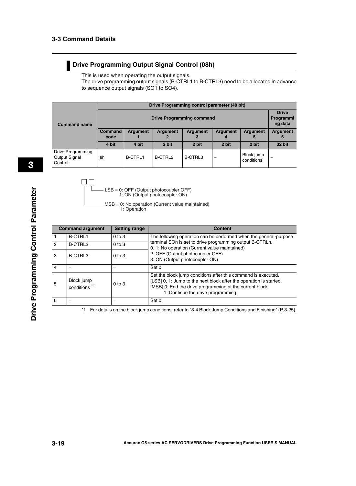#### **Drive Programming Output Signal Control (08h)**

This is used when operating the output signals.

The drive programming output signals (B-CTRL1 to B-CTRL3) need to be allocated in advance to sequence output signals (SO1 to SO4).

|                                               | Drive Programming control parameter (48 bit)                                                            |                |         |         |                 |                          |        |  |  |
|-----------------------------------------------|---------------------------------------------------------------------------------------------------------|----------------|---------|---------|-----------------|--------------------------|--------|--|--|
| <b>Command name</b>                           | <b>Drive Programming command</b>                                                                        |                |         |         |                 |                          |        |  |  |
|                                               | <b>Command</b><br><b>Argument</b><br><b>Argument</b><br><b>Argument</b><br><b>Argument</b><br>code<br>5 |                |         |         | <b>Argument</b> | Argument<br>6            |        |  |  |
|                                               | 4 bit                                                                                                   | 4 bit          | 2 bit   | 2 bit   | 2 bit           | 2 bit                    | 32 bit |  |  |
| Drive Programming<br>Output Signal<br>Control | 8h                                                                                                      | <b>B-CTRL1</b> | B-CTRL2 | B-CTRL3 |                 | Block jump<br>conditions |        |  |  |

 $\Box$   $\Box$ 

LSB = 0: OFF (Output photocoupler OFF) 1: ON (Output photocoupler ON)

MSB = 0: No operation (Current value maintained) 1: Operation

|                | <b>Command argument</b>                | <b>Setting range</b> | <b>Content</b>                                                                                                                                                                                                                        |
|----------------|----------------------------------------|----------------------|---------------------------------------------------------------------------------------------------------------------------------------------------------------------------------------------------------------------------------------|
|                | <b>B-CTRL1</b>                         | $0$ to $3$           | The following operation can be performed when the general-purpose                                                                                                                                                                     |
| 2              | B-CTRL2                                | $0$ to $3$           | terminal SOn is set to drive programming output B-CTRLn.<br>0, 1: No operation (Current value maintained)                                                                                                                             |
| 3              | B-CTRL3                                | $0$ to $3$           | 2: OFF (Output photocoupler OFF)<br>3: ON (Output photocoupler ON)                                                                                                                                                                    |
| $\overline{4}$ |                                        |                      | Set 0.                                                                                                                                                                                                                                |
| -5             | Block jump<br>conditions <sup>*1</sup> | $0$ to $3$           | Set the block jump conditions after this command is executed.<br>[LSB] 0, 1: Jump to the next block after the operation is started.<br>[MSB] 0: End the drive programming at the current block.<br>1: Continue the drive programming. |
| 6              |                                        |                      | Set 0.                                                                                                                                                                                                                                |

\*1 For details on the block jump conditions, refer to "3-4 Block Jump Conditions and Finishing" ([P.3-25](#page-55-0)).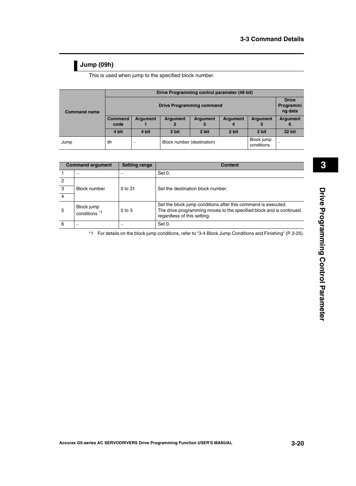#### **Jump (09h)**

This is used when jump to the specified block number.

|                     | Drive Programming control parameter (48 bit) |                          |                                          |                 |                 |                 |                           |  |  |  |  |
|---------------------|----------------------------------------------|--------------------------|------------------------------------------|-----------------|-----------------|-----------------|---------------------------|--|--|--|--|
|                     |                                              |                          | <b>Drive Programming command</b>         |                 |                 |                 | <b>Drive</b><br>Programmi |  |  |  |  |
| <b>Command name</b> |                                              |                          |                                          |                 |                 |                 |                           |  |  |  |  |
|                     | <b>Command</b>                               | <b>Argument</b>          | <b>Argument</b>                          | <b>Argument</b> | <b>Argument</b> | <b>Argument</b> | <b>Argument</b>           |  |  |  |  |
|                     | code                                         |                          |                                          |                 |                 | 5               | 6                         |  |  |  |  |
|                     | 4 bit                                        | 4 bit                    | 2 bit                                    | 2 bit           | 2 bit           | 2 bit           | 32 bit                    |  |  |  |  |
| Jump                | 9h                                           | $\overline{\phantom{a}}$ | Block number (destination)<br>conditions |                 |                 | Block jump      | -                         |  |  |  |  |

| <b>Command argument</b> |                                        | <b>Setting range</b> | <b>Content</b>                                                                                                                                                      |
|-------------------------|----------------------------------------|----------------------|---------------------------------------------------------------------------------------------------------------------------------------------------------------------|
|                         |                                        |                      | Set 0.                                                                                                                                                              |
| 2                       |                                        |                      |                                                                                                                                                                     |
| $\cdot$ 3               | <b>Block number</b>                    | $0$ to $31$          | Set the destination block number.                                                                                                                                   |
| $\overline{4}$          |                                        |                      |                                                                                                                                                                     |
| 5                       | Block jump<br>conditions <sup>*1</sup> | $0$ to $3$           | Set the block jump conditions after this command is executed.<br>The drive programming moves to the specified block and is continued<br>regardless of this setting. |
| 6                       |                                        |                      | Set 0.                                                                                                                                                              |

\*1 For details on the block jump conditions, refer to "3-4 Block Jump Conditions and Finishing" [\(P.3-25\)](#page-55-0).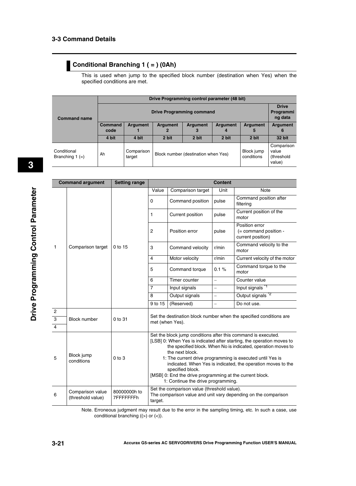#### **Conditional Branching 1 ( = ) (0Ah)**

This is used when jump to the specified block number (destination when Yes) when the specified conditions are met.

|                                |                                  |                                                                                                  | Drive Programming control parameter (48 bit) |       |                          |                                             |                      |  |  |
|--------------------------------|----------------------------------|--------------------------------------------------------------------------------------------------|----------------------------------------------|-------|--------------------------|---------------------------------------------|----------------------|--|--|
| <b>Command name</b>            | <b>Drive Programming command</b> |                                                                                                  |                                              |       |                          |                                             |                      |  |  |
|                                | <b>Command</b><br>code           | Argument<br>Argument<br>Argument<br><b>Argument</b><br><b>Argument</b><br>$\mathbf{2}$<br>3<br>5 |                                              |       |                          |                                             | <b>Argument</b><br>6 |  |  |
|                                | 4 bit                            | 4 bit                                                                                            | 2 bit                                        | 2 bit | 2 bit                    | 2 bit                                       | 32 bit               |  |  |
| Conditional<br>Branching 1 (=) | Ah                               | Comparison<br>target                                                                             | Block number (destination when Yes)          |       | Block jump<br>conditions | Comparison<br>value<br>(threshold<br>value) |                      |  |  |

|                | <b>Command argument</b>               | <b>Setting range</b>      | <b>Content</b>                                                                                                                                                                                                                                                                                                                                                                                                                                                                |                   |          |                                                              |  |  |
|----------------|---------------------------------------|---------------------------|-------------------------------------------------------------------------------------------------------------------------------------------------------------------------------------------------------------------------------------------------------------------------------------------------------------------------------------------------------------------------------------------------------------------------------------------------------------------------------|-------------------|----------|--------------------------------------------------------------|--|--|
|                |                                       |                           | Value                                                                                                                                                                                                                                                                                                                                                                                                                                                                         | Comparison target | Unit     | Note                                                         |  |  |
|                |                                       |                           | 0                                                                                                                                                                                                                                                                                                                                                                                                                                                                             | Command position  | pulse    | Command position after<br>filtering                          |  |  |
|                |                                       |                           | 1                                                                                                                                                                                                                                                                                                                                                                                                                                                                             | Current position  | pulse    | Current position of the<br>motor                             |  |  |
|                |                                       |                           | $\overline{c}$                                                                                                                                                                                                                                                                                                                                                                                                                                                                | Position error    | pulse    | Position error<br>(= command position -<br>current position) |  |  |
| 1              | Comparison target                     | 0 to 15                   | 3                                                                                                                                                                                                                                                                                                                                                                                                                                                                             | Command velocity  | r/min    | Command velocity to the<br>motor                             |  |  |
|                |                                       |                           | $\overline{4}$                                                                                                                                                                                                                                                                                                                                                                                                                                                                | Motor velocity    | r/min    | Current velocity of the motor                                |  |  |
|                |                                       |                           | 5                                                                                                                                                                                                                                                                                                                                                                                                                                                                             | Command torque    | 0.1%     | Command torque to the<br>motor                               |  |  |
|                |                                       |                           | 6                                                                                                                                                                                                                                                                                                                                                                                                                                                                             | Timer counter     | $\equiv$ | Counter value                                                |  |  |
|                |                                       |                           | $\overline{7}$                                                                                                                                                                                                                                                                                                                                                                                                                                                                | Input signals     | $\equiv$ | Input signals **                                             |  |  |
|                |                                       |                           | 8                                                                                                                                                                                                                                                                                                                                                                                                                                                                             | Output signals    | $\equiv$ | Output signals <sup>*2</sup>                                 |  |  |
|                |                                       |                           | 9 to 15                                                                                                                                                                                                                                                                                                                                                                                                                                                                       | (Reserved)        | $\equiv$ | Do not use.                                                  |  |  |
| $\overline{2}$ |                                       |                           |                                                                                                                                                                                                                                                                                                                                                                                                                                                                               |                   |          |                                                              |  |  |
| $\overline{3}$ | <b>Block number</b>                   | 0 to 31                   | Set the destination block number when the specified conditions are<br>met (when Yes).                                                                                                                                                                                                                                                                                                                                                                                         |                   |          |                                                              |  |  |
| $\overline{4}$ |                                       |                           |                                                                                                                                                                                                                                                                                                                                                                                                                                                                               |                   |          |                                                              |  |  |
| 5              | Block jump<br>conditions              | $0$ to $3$                | Set the block jump conditions after this command is executed.<br>[LSB] 0: When Yes is indicated after starting, the operation moves to<br>the specified block. When No is indicated, operation moves to<br>the next block.<br>1: The current drive programming is executed until Yes is<br>indicated. When Yes is indicated, the operation moves to the<br>specified block.<br>[MSB] 0: End the drive programming at the current block.<br>1: Continue the drive programming. |                   |          |                                                              |  |  |
| 6              | Comparison value<br>(threshold value) | 80000000h to<br>7FFFFFFFh | Set the comparison value (threshold value).<br>The comparison value and unit vary depending on the comparison<br>target.                                                                                                                                                                                                                                                                                                                                                      |                   |          |                                                              |  |  |

Note. Erroneous judgment may result due to the error in the sampling timing, etc. In such a case, use conditional branching  $((>)$  or  $(>)$ .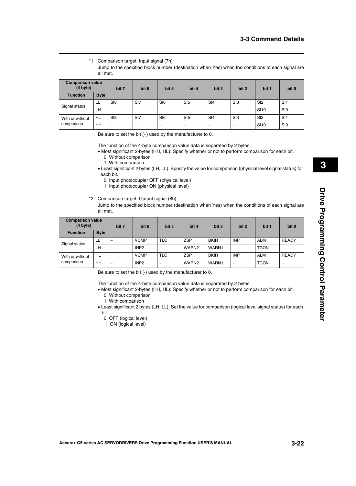\*1 Comparison target: Input signal (7h)

Jump to the specified block number (destination when Yes) when the conditions of each signal are all met.

| <b>Comparison value</b><br>(4 byte) |             | bit 7           | bit 6                    | bit 5                    | bit 4                    | bit 3                    | bit 2                    | bit 1           | bit 0           |
|-------------------------------------|-------------|-----------------|--------------------------|--------------------------|--------------------------|--------------------------|--------------------------|-----------------|-----------------|
| <b>Function</b>                     | <b>Byte</b> |                 |                          |                          |                          |                          |                          |                 |                 |
| Signal status                       | LL          | S <sub>18</sub> | S <sub>I7</sub>          | SI6                      | SI <sub>5</sub>          | SI4                      | S <sub>13</sub>          | S <sub>12</sub> | S <sub>1</sub>  |
|                                     | <b>LH</b>   | -               |                          |                          |                          | $\overline{\phantom{0}}$ | $\overline{\phantom{a}}$ | <b>SI10</b>     | S <sub>19</sub> |
| With or without<br>comparison       | HL          | S <sub>18</sub> | S <sub>I7</sub>          | SI6                      | SI <sub>5</sub>          | SI4                      | S <sub>13</sub>          | SI <sub>2</sub> | SI1             |
|                                     | HH          | -               | $\overline{\phantom{a}}$ | $\overline{\phantom{a}}$ | $\overline{\phantom{a}}$ | $\overline{\phantom{a}}$ |                          | <b>SI10</b>     | S <sub>I9</sub> |

Be sure to set the bit  $(-)$  used by the manufacturer to 0.

The function of the 4-byte comparison value data is separated by 2 bytes.

- Most significant 2-bytes (HH, HL): Specify whether or not to perform comparison for each bit. 0: Without comparison
	- 1: With comparison
- Least significant 2 bytes (LH, LL): Specify the value for comparison (physical level signal status) for each bit.
	- 0: Input photocoupler OFF (physical level)
	- 1: Input photocoupler ON (physical level)
- \*2 Comparison target: Output signal (8h)
	- Jump to the specified block number (destination when Yes) when the conditions of each signal are all met.

| <b>Comparison value</b><br>(4 byte) |             | bit 7                    | bit 6            | bit 5                    | bit 4             | bit 3       | bit 2      | bit 1       | bit 0        |
|-------------------------------------|-------------|--------------------------|------------------|--------------------------|-------------------|-------------|------------|-------------|--------------|
| <b>Function</b>                     | <b>Byte</b> |                          |                  |                          |                   |             |            |             |              |
| Signal status                       | LL          | $\overline{\phantom{a}}$ | <b>VCMP</b>      | <b>TLC</b>               | <b>ZSP</b>        | <b>BKIR</b> | <b>INP</b> | <b>ALM</b>  | <b>READY</b> |
|                                     | LH          | $\overline{\phantom{0}}$ | INP <sub>2</sub> | $\overline{\phantom{a}}$ | WARN <sub>2</sub> | WARN1       | -          | <b>TGON</b> |              |
| With or without<br>comparison       | HL          |                          | <b>VCMP</b>      | <b>TLC</b>               | <b>ZSP</b>        | <b>BKIR</b> | <b>INP</b> | <b>ALM</b>  | <b>READY</b> |
|                                     | <b>HH</b>   | $\overline{\phantom{0}}$ | INP <sub>2</sub> | $\overline{\phantom{a}}$ | WARN <sub>2</sub> | WARN1       | -          | <b>TGON</b> |              |

Be sure to set the bit (-) used by the manufacturer to 0.

The function of the 4-byte comparison value data is separated by 2 bytes.

- Most significant 2-bytes (HH, HL): Specify whether or not to perform comparison for each bit. 0: Without comparison
	- 1: With comparison
- Least significant 2 bytes (LH, LL): Set the value for comparison (logical level signal status) for each bit.
	- 0: OFF (logical level)
	- 1: ON (logical level)

 **3**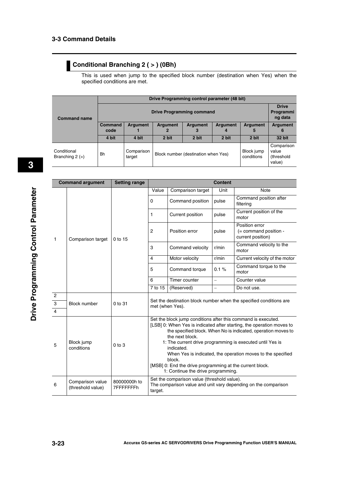#### **Conditional Branching 2 ( > ) (0Bh)**

This is used when jump to the specified block number (destination when Yes) when the specified conditions are met.

|                                |                                  | Drive Programming control parameter (48 bit) |                                                   |       |                      |               |                                             |  |  |
|--------------------------------|----------------------------------|----------------------------------------------|---------------------------------------------------|-------|----------------------|---------------|---------------------------------------------|--|--|
| <b>Command name</b>            | <b>Drive Programming command</b> |                                              |                                                   |       |                      |               |                                             |  |  |
|                                | <b>Command</b><br>code           | <b>Argument</b>                              | <b>Argument</b><br>Argument<br>Argument<br>2<br>4 |       | <b>Argument</b><br>5 | Argument<br>6 |                                             |  |  |
|                                | 4 bit                            | 4 bit                                        | 2 bit                                             | 2 bit | 2 bit                | 2 bit         | 32 bit                                      |  |  |
| Conditional<br>Branching 2 (>) | <b>Bh</b>                        | Comparison<br>target                         | Block number (destination when Yes)<br>conditions |       |                      | Block jump    | Comparison<br>value<br>(threshold<br>value) |  |  |

|                        | <b>Command argument</b>               | <b>Setting range</b>      | <b>Content</b>                                                                                                                                                                                                                                                                                                                                                                                                                                                                   |                                             |                                                              |                                                                |  |
|------------------------|---------------------------------------|---------------------------|----------------------------------------------------------------------------------------------------------------------------------------------------------------------------------------------------------------------------------------------------------------------------------------------------------------------------------------------------------------------------------------------------------------------------------------------------------------------------------|---------------------------------------------|--------------------------------------------------------------|----------------------------------------------------------------|--|
|                        |                                       |                           | Value                                                                                                                                                                                                                                                                                                                                                                                                                                                                            | Comparison target                           | Unit                                                         | <b>Note</b>                                                    |  |
|                        |                                       |                           | 0                                                                                                                                                                                                                                                                                                                                                                                                                                                                                | Command position                            | pulse                                                        | Command position after<br>filtering                            |  |
|                        |                                       |                           | 1                                                                                                                                                                                                                                                                                                                                                                                                                                                                                | Current position                            | pulse                                                        | Current position of the<br>motor                               |  |
| 1<br>Comparison target | 0 to 15                               | $\overline{c}$            | Position error                                                                                                                                                                                                                                                                                                                                                                                                                                                                   | pulse                                       | Position error<br>(= command position -<br>current position) |                                                                |  |
|                        |                                       | 3                         | Command velocity                                                                                                                                                                                                                                                                                                                                                                                                                                                                 | r/min                                       | Command velocity to the<br>motor                             |                                                                |  |
|                        |                                       | $\overline{4}$            | Motor velocity                                                                                                                                                                                                                                                                                                                                                                                                                                                                   | r/min                                       | Current velocity of the motor                                |                                                                |  |
|                        |                                       |                           | 5                                                                                                                                                                                                                                                                                                                                                                                                                                                                                | Command torque                              | 0.1%                                                         | Command torque to the<br>motor                                 |  |
|                        |                                       |                           | 6                                                                                                                                                                                                                                                                                                                                                                                                                                                                                | Timer counter                               | $\qquad \qquad -$                                            | Counter value                                                  |  |
|                        |                                       |                           | 7 to 15                                                                                                                                                                                                                                                                                                                                                                                                                                                                          | (Reserved)                                  | $\equiv$                                                     | Do not use.                                                    |  |
| $\overline{2}$         |                                       |                           | Set the destination block number when the specified conditions are<br>met (when Yes).                                                                                                                                                                                                                                                                                                                                                                                            |                                             |                                                              |                                                                |  |
| $\overline{3}$         | <b>Block number</b>                   | $0$ to $31$               |                                                                                                                                                                                                                                                                                                                                                                                                                                                                                  |                                             |                                                              |                                                                |  |
| $\overline{4}$         |                                       |                           |                                                                                                                                                                                                                                                                                                                                                                                                                                                                                  |                                             |                                                              |                                                                |  |
| 5                      | Block jump<br>conditions              | $0$ to $3$                | Set the block jump conditions after this command is executed.<br>[LSB] 0: When Yes is indicated after starting, the operation moves to<br>the specified block. When No is indicated, operation moves to<br>the next block.<br>1: The current drive programming is executed until Yes is<br>indicated.<br>When Yes is indicated, the operation moves to the specified<br>block.<br>[MSB] 0: End the drive programming at the current block.<br>1: Continue the drive programming. |                                             |                                                              |                                                                |  |
| 6                      | Comparison value<br>(threshold value) | 80000000h to<br>7FFFFFFFh | target.                                                                                                                                                                                                                                                                                                                                                                                                                                                                          | Set the comparison value (threshold value). |                                                              | The comparison value and unit vary depending on the comparison |  |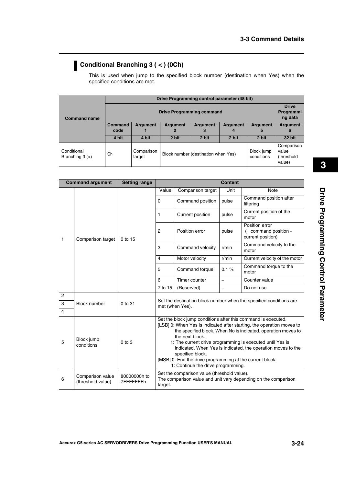#### **Conditional Branching 3 ( < ) (0Ch)**

This is used when jump to the specified block number (destination when Yes) when the specified conditions are met.

|                                  | Drive Programming control parameter (48 bit) |                                                                                         |                                     |       |       |                          |                                             |  |  |
|----------------------------------|----------------------------------------------|-----------------------------------------------------------------------------------------|-------------------------------------|-------|-------|--------------------------|---------------------------------------------|--|--|
| <b>Command name</b>              | <b>Drive Programming command</b>             |                                                                                         |                                     |       |       |                          |                                             |  |  |
|                                  | <b>Command</b><br>code                       | <b>Argument</b><br><b>Argument</b><br><b>Argument</b><br><b>Argument</b><br>3<br>2<br>4 |                                     |       |       | <b>Argument</b><br>5     | <b>Argument</b><br>6                        |  |  |
|                                  | 4 bit                                        | 4 bit                                                                                   | 2 bit                               | 2 bit | 2 bit | 2 bit                    | 32 bit                                      |  |  |
| Conditional<br>Branching $3 (<)$ | Ch                                           | Comparison<br>target                                                                    | Block number (destination when Yes) |       |       | Block jump<br>conditions | Comparison<br>value<br>(threshold<br>value) |  |  |

|                                                    | <b>Command argument</b>               | <b>Setting range</b>      | <b>Content</b>                                                                                                                                                                                                                                                                                                                                                                                                                                                                |                                                                                                               |                                                              |                                                                    |  |  |
|----------------------------------------------------|---------------------------------------|---------------------------|-------------------------------------------------------------------------------------------------------------------------------------------------------------------------------------------------------------------------------------------------------------------------------------------------------------------------------------------------------------------------------------------------------------------------------------------------------------------------------|---------------------------------------------------------------------------------------------------------------|--------------------------------------------------------------|--------------------------------------------------------------------|--|--|
|                                                    |                                       |                           | Value                                                                                                                                                                                                                                                                                                                                                                                                                                                                         | Comparison target                                                                                             | Unit                                                         | <b>Note</b>                                                        |  |  |
|                                                    |                                       |                           | $\Omega$                                                                                                                                                                                                                                                                                                                                                                                                                                                                      | Command position                                                                                              | pulse                                                        | Command position after<br>filtering                                |  |  |
|                                                    |                                       |                           | $\mathbf{1}$                                                                                                                                                                                                                                                                                                                                                                                                                                                                  | Current position                                                                                              | pulse                                                        | Current position of the<br>motor                                   |  |  |
| 1<br>Comparison target                             | 0 to 15                               | $\overline{c}$            | Position error                                                                                                                                                                                                                                                                                                                                                                                                                                                                | pulse                                                                                                         | Position error<br>(= command position -<br>current position) |                                                                    |  |  |
|                                                    |                                       | 3                         | Command velocity                                                                                                                                                                                                                                                                                                                                                                                                                                                              | r/min                                                                                                         | Command velocity to the<br>motor                             |                                                                    |  |  |
|                                                    |                                       | $\overline{4}$            | Motor velocity                                                                                                                                                                                                                                                                                                                                                                                                                                                                | r/min                                                                                                         | Current velocity of the motor                                |                                                                    |  |  |
|                                                    |                                       |                           | 5                                                                                                                                                                                                                                                                                                                                                                                                                                                                             | Command torque                                                                                                | 0.1%                                                         | Command torque to the<br>motor                                     |  |  |
|                                                    |                                       |                           | 6                                                                                                                                                                                                                                                                                                                                                                                                                                                                             | Timer counter                                                                                                 | $\equiv$                                                     | Counter value                                                      |  |  |
|                                                    |                                       |                           | 7 to 15                                                                                                                                                                                                                                                                                                                                                                                                                                                                       | (Reserved)                                                                                                    | $\qquad \qquad -$                                            | Do not use.                                                        |  |  |
| $\overline{c}$<br>$\overline{3}$<br>$\overline{4}$ | <b>Block number</b>                   | 0 to 31                   |                                                                                                                                                                                                                                                                                                                                                                                                                                                                               | met (when Yes).                                                                                               |                                                              | Set the destination block number when the specified conditions are |  |  |
| 5                                                  | Block jump<br>conditions              | $0$ to $3$                | Set the block jump conditions after this command is executed.<br>[LSB] 0: When Yes is indicated after starting, the operation moves to<br>the specified block. When No is indicated, operation moves to<br>the next block.<br>1: The current drive programming is executed until Yes is<br>indicated. When Yes is indicated, the operation moves to the<br>specified block.<br>[MSB] 0: End the drive programming at the current block.<br>1: Continue the drive programming. |                                                                                                               |                                                              |                                                                    |  |  |
| 6                                                  | Comparison value<br>(threshold value) | 80000000h to<br>7FFFFFFFh | target.                                                                                                                                                                                                                                                                                                                                                                                                                                                                       | Set the comparison value (threshold value).<br>The comparison value and unit vary depending on the comparison |                                                              |                                                                    |  |  |

 **3**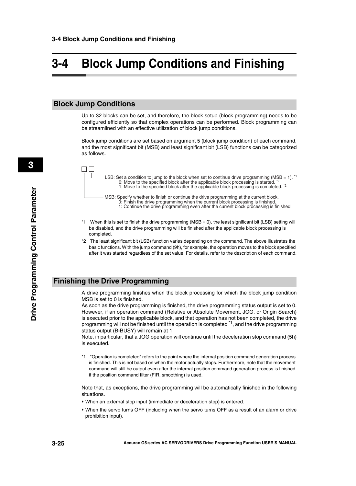### <span id="page-55-0"></span>**3-4 Block Jump Conditions and Finishing**

#### **Block Jump Conditions**

Up to 32 blocks can be set, and therefore, the block setup (block programming) needs to be configured efficiently so that complex operations can be performed. Block programming can be streamlined with an effective utilization of block jump conditions.

Block jump conditions are set based on argument 5 (block jump condition) of each command, and the most significant bit (MSB) and least significant bit (LSB) functions can be categorized as follows.



- \*1 When this is set to finish the drive programming (MSB = 0), the least significant bit (LSB) setting will be disabled, and the drive programming will be finished after the applicable block processing is completed.
- \*2 The least significant bit (LSB) function varies depending on the command. The above illustrates the basic functions. With the jump command (9h), for example, the operation moves to the block specified after it was started regardless of the set value. For details, refer to the description of each command.

#### **Finishing the Drive Programming**

A drive programming finishes when the block processing for which the block jump condition MSB is set to 0 is finished.

As soon as the drive programming is finished, the drive programming status output is set to 0. However, if an operation command (Relative or Absolute Movement, JOG, or Origin Search) is executed prior to the applicable block, and that operation has not been completed, the drive programming will not be finished until the operation is completed <sup>\*1</sup>, and the drive programming status output (B-BUSY) will remain at 1.

Note, in particular, that a JOG operation will continue until the deceleration stop command (5h) is executed.

\*1 "Operation is completed" refers to the point where the internal position command generation process is finished. This is not based on when the motor actually stops. Furthermore, note that the movement command will still be output even after the internal position command generation process is finished if the position command filter (FIR, smoothing) is used.

Note that, as exceptions, the drive programming will be automatically finished in the following situations.

- When an external stop input (immediate or deceleration stop) is entered.
- When the servo turns OFF (including when the servo turns OFF as a result of an alarm or drive prohibition input).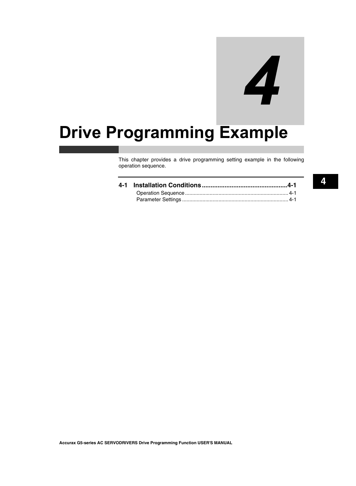# 4

# **Drive Programming Example**

This chapter provides a drive programming setting example in the following operation sequence.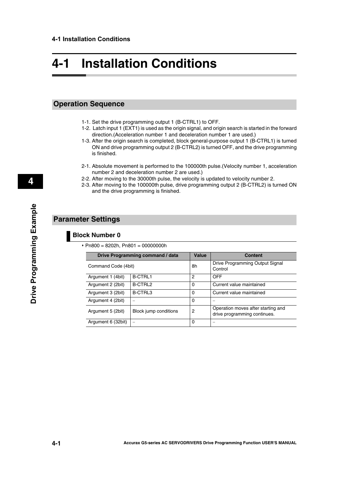## <span id="page-57-0"></span>**4-1 Installation Conditions**

#### <span id="page-57-1"></span>**Operation Sequence**

- 1-1. Set the drive programming output 1 (B-CTRL1) to OFF.
- 1-2. Latch input 1 (EXT1) is used as the origin signal, and origin search is started in the forward direction.(Acceleration number 1 and deceleration number 1 are used.)
- 1-3. After the origin search is completed, block general-purpose output 1 (B-CTRL1) is turned ON and drive programming output 2 (B-CTRL2) is turned OFF, and the drive programming is finished.
- 2-1. Absolute movement is performed to the 100000th pulse.(Velocity number 1, acceleration number 2 and deceleration number 2 are used.)
- 2-2. After moving to the 30000th pulse, the velocity is updated to velocity number 2.
- 2-3. After moving to the 100000th pulse, drive programming output 2 (B-CTRL2) is turned ON and the drive programming is finished.

#### <span id="page-57-2"></span>**Parameter Settings**

#### **Block Number 0**

 $\cdot$  Pn800 = 8202h, Pn801 = 00000000h

|                     | Drive Programming command / data | Value       | <b>Content</b>                                                     |
|---------------------|----------------------------------|-------------|--------------------------------------------------------------------|
| Command Code (4bit) |                                  | 8h          | Drive Programming Output Signal<br>Control                         |
| Argument 1 (4bit)   | <b>B-CTRL1</b>                   | 2           | OFF                                                                |
| Argument 2 (2bit)   | B-CTRL2                          | $\mathbf 0$ | Current value maintained                                           |
| Argument 3 (2bit)   | B-CTRL3                          | 0           | Current value maintained                                           |
| Argument 4 (2bit)   |                                  | 0           |                                                                    |
| Argument 5 (2bit)   | Block jump conditions            | 2           | Operation moves after starting and<br>drive programming continues. |
| Argument 6 (32bit)  | $\overline{\phantom{0}}$         | 0           |                                                                    |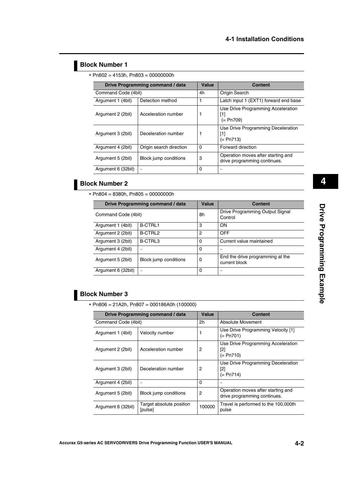#### **Block Number 1**

 $\cdot$  Pn802 = 4153h, Pn803 = 00000000h

|                    | Drive Programming command / data | <b>Value</b> | <b>Content</b>                                                     |
|--------------------|----------------------------------|--------------|--------------------------------------------------------------------|
|                    | Command Code (4bit)              |              | Origin Search                                                      |
| Argument 1 (4bit)  | Detection method                 |              | Latch input 1 (EXT1) forward end base                              |
| Argument 2 (2bit)  | Acceleration number              | 1            | Use Drive Programming Acceleration<br>[1]<br>(= Pn709)             |
| Argument 3 (2bit)  | Deceleration number              |              | Use Drive Programming Deceleration<br>[1]<br>(= Pn713)             |
| Argument 4 (2bit)  | Origin search direction          | 0            | Forward direction                                                  |
| Argument 5 (2bit)  | Block jump conditions            | 3            | Operation moves after starting and<br>drive programming continues. |
| Argument 6 (32bit) |                                  | 0            |                                                                    |

#### **Block Number 2**

 $\cdot$  Pn804 = 8380h, Pn805 = 00000000h

|                     | Drive Programming command / data |    | <b>Content</b>                                    |
|---------------------|----------------------------------|----|---------------------------------------------------|
| Command Code (4bit) |                                  | 8h | Drive Programming Output Signal<br>Control        |
| Argument 1 (4bit)   | <b>B-CTRL1</b>                   | 3  | <b>ON</b>                                         |
| Argument 2 (2bit)   | B-CTRL2                          | 2  | <b>OFF</b>                                        |
| Argument 3 (2bit)   | B-CTRL3                          | 0  | Current value maintained                          |
| Argument 4 (2bit)   |                                  | 0  |                                                   |
| Argument 5 (2bit)   | Block jump conditions            | 0  | End the drive programming at the<br>current block |
| Argument 6 (32bit)  |                                  | 0  |                                                   |

#### **Block Number 3**

Pn806 = 21A2h, Pn807 = 000186A0h (100000)

|                     | <b>Drive Programming command / data</b> | Value          | <b>Content</b>                                                         |
|---------------------|-----------------------------------------|----------------|------------------------------------------------------------------------|
| Command Code (4bit) |                                         | 2 <sub>h</sub> | Absolute Movement                                                      |
| Argument 1 (4bit)   | Velocity number                         |                | Use Drive Programming Velocity [1]<br>(= Pn701)                        |
| Argument 2 (2bit)   | Acceleration number                     | 2              | Use Drive Programming Acceleration<br>[2]<br>$(= Pn710)$               |
| Argument 3 (2bit)   | Deceleration number                     | 2              | Use Drive Programming Deceleration<br>$\lceil 2 \rceil$<br>$(= Pn714)$ |
| Argument 4 (2bit)   |                                         | 0              |                                                                        |
| Argument 5 (2bit)   | Block jump conditions                   | 2              | Operation moves after starting and<br>drive programming continues.     |
| Argument 6 (32bit)  | Target absolute position<br>[pulse]     | 100000         | Travel is performed to the 100,000th<br>pulse                          |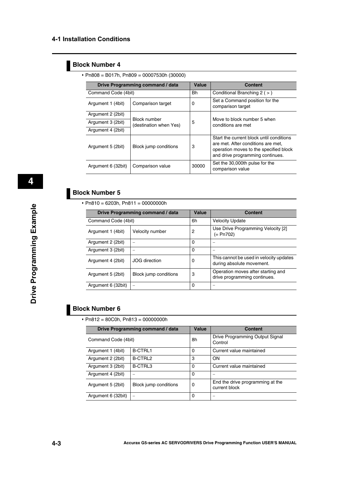#### **Block Number 4**

|  | • Pn808 = B017h, Pn809 = 00007530h (30000) |  |  |
|--|--------------------------------------------|--|--|
|--|--------------------------------------------|--|--|

|                     | Drive Programming command / data       | <b>Value</b> | Content                                                                                                                                                      |  |
|---------------------|----------------------------------------|--------------|--------------------------------------------------------------------------------------------------------------------------------------------------------------|--|
| Command Code (4bit) |                                        | Bh           | Conditional Branching $2$ ( $>$ )                                                                                                                            |  |
| Argument 1 (4bit)   | Comparison target                      | 0            | Set a Command position for the<br>comparison target                                                                                                          |  |
| Argument 2 (2bit)   |                                        |              |                                                                                                                                                              |  |
| Argument 3 (2bit)   | Block number<br>(destination when Yes) | 5            | Move to block number 5 when<br>conditions are met                                                                                                            |  |
| Argument 4 (2bit)   |                                        |              |                                                                                                                                                              |  |
| Argument 5 (2bit)   | Block jump conditions                  | 3            | Start the current block until conditions<br>are met. After conditions are met,<br>operation moves to the specified block<br>and drive programming continues. |  |
| Argument 6 (32bit)  | Comparison value                       | 30000        | Set the 30,000th pulse for the<br>comparison value                                                                                                           |  |

#### **Block Number 5**

 $\cdot$  Pn810 = 6203h, Pn811 = 00000000h

|                     | Drive Programming command / data | Value    | <b>Content</b>                                                       |
|---------------------|----------------------------------|----------|----------------------------------------------------------------------|
| Command Code (4bit) |                                  | 6h       | <b>Velocity Update</b>                                               |
| Argument 1 (4bit)   | Velocity number                  | 2        | Use Drive Programming Velocity [2]<br>(= Pn702)                      |
| Argument 2 (2bit)   |                                  | $\Omega$ |                                                                      |
| Argument 3 (2bit)   |                                  | 0        |                                                                      |
| Argument 4 (2bit)   | <b>JOG</b> direction             | 0        | This cannot be used in velocity updates<br>during absolute movement. |
| Argument 5 (2bit)   | Block jump conditions            | 3        | Operation moves after starting and<br>drive programming continues.   |
| Argument 6 (32bit)  |                                  | 0        |                                                                      |

#### **Block Number 6**

Pn812 = 80C0h, Pn813 = 00000000h

|                     | Drive Programming command / data | Value    | <b>Content</b>                                    |
|---------------------|----------------------------------|----------|---------------------------------------------------|
| Command Code (4bit) |                                  | 8h       | Drive Programming Output Signal<br>Control        |
| Argument 1 (4bit)   | <b>B-CTRL1</b>                   | $\Omega$ | Current value maintained                          |
| Argument 2 (2bit)   | B-CTRL2                          | 3        | ON                                                |
| Argument 3 (2bit)   | <b>B-CTRL3</b>                   | 0        | Current value maintained                          |
| Argument 4 (2bit)   |                                  | 0        |                                                   |
| Argument 5 (2bit)   | Block jump conditions            | 0        | End the drive programming at the<br>current block |
| Argument 6 (32bit)  | $\overline{\phantom{0}}$         | 0        |                                                   |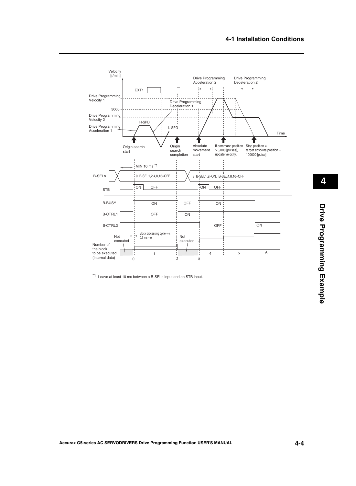

\*1 Leave at least 10 ms between a B-SELn input and an STB input.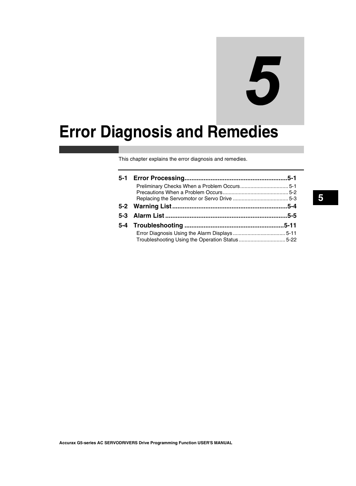# 5

# **Error Diagnosis and Remedies**

This chapter explains the error diagnosis and remedies.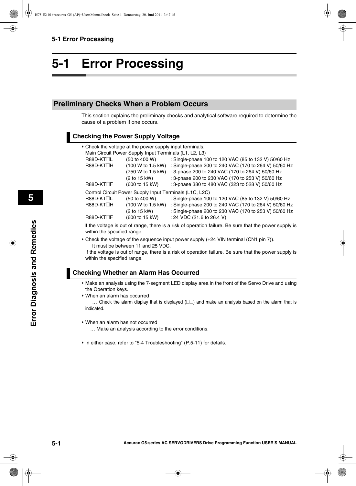### <span id="page-63-0"></span>**5-1 Error Processing**

#### <span id="page-63-1"></span>**Preliminary Checks When a Problem Occurs**

This section explains the preliminary checks and analytical software required to determine the cause of a problem if one occurs.

#### **Checking the Power Supply Voltage**

|                        | • Check the voltage at the power supply input terminals. |                                                                                                       |
|------------------------|----------------------------------------------------------|-------------------------------------------------------------------------------------------------------|
|                        | Main Circuit Power Supply Input Terminals (L1, L2, L3)   |                                                                                                       |
| R88D-KT <sub>L</sub>   | (50 to 400 W)                                            | : Single-phase 100 to 120 VAC (85 to 132 V) 50/60 Hz                                                  |
| R88D-KT□H              | (100 W to 1.5 kW)                                        | : Single-phase 200 to 240 VAC (170 to 264 V) 50/60 Hz                                                 |
|                        | (750 W to 1.5 kW)                                        | : 3-phase 200 to 240 VAC (170 to 264 V) 50/60 Hz                                                      |
|                        | (2 to 15 kW)                                             | : 3-phase 200 to 230 VAC (170 to 253 V) 50/60 Hz                                                      |
| R88D-KT <sub>L</sub> F | (600 to 15 kW)                                           | : 3-phase 380 to 480 VAC (323 to 528 V) 50/60 Hz                                                      |
|                        | Control Circuit Power Supply Input Terminals (L1C, L2C)  |                                                                                                       |
| R88D-KT <sub>L</sub>   | (50 to 400 W)                                            | : Single-phase 100 to 120 VAC (85 to 132 V) 50/60 Hz                                                  |
| R88D-KT□H              | (100 W to 1.5 kW)                                        | : Single-phase 200 to 240 VAC (170 to 264 V) 50/60 Hz                                                 |
|                        | (2 to 15 kW)                                             | : Single-phase 200 to 230 VAC (170 to 253 V) 50/60 Hz                                                 |
| R88D-KT□F              | (600 to 15 kW)                                           | : 24 VDC (21.6 to 26.4 V)                                                                             |
|                        |                                                          | If the voltage is out of range there is a risk of operation failure. Be sure that the nower supply is |

If the voltage is out of range, there is a risk of operation failure. Be sure that the power supply is within the specified range.

 Check the voltage of the sequence input power supply (+24 VIN terminal (CN1 pin 7)). It must be between 11 and 25 VDC.

If the voltage is out of range, there is a risk of operation failure. Be sure that the power supply is within the specified range.

#### **Checking Whether an Alarm Has Occurred**

- Make an analysis using the 7-segment LED display area in the front of the Servo Drive and using the Operation keys.
- When an alarm has occurred

 $\ldots$  Check the alarm display that is displayed ( $\square \square$ ) and make an analysis based on the alarm that is indicated.

- When an alarm has not occurred
	- ... Make an analysis according to the error conditions.
- In either case, refer to "5-4 Troubleshooting" (P.5-11) for details.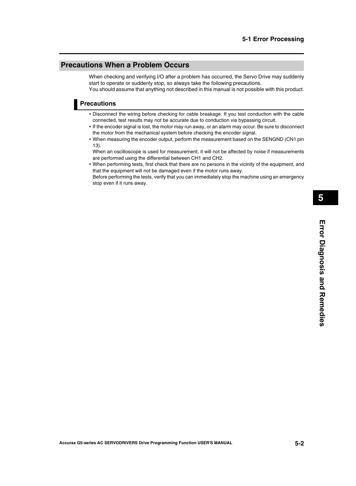#### <span id="page-64-0"></span>**Precautions When a Problem Occurs**

When checking and verifying I/O after a problem has occurred, the Servo Drive may suddenly start to operate or suddenly stop, so always take the following precautions. You should assume that anything not described in this manual is not possible with this product.

**Precautions**

- Disconnect the wiring before checking for cable breakage. If you test conduction with the cable connected, test results may not be accurate due to conduction via bypassing circuit.
- If the encoder signal is lost, the motor may run away, or an alarm may occur. Be sure to disconnect the motor from the mechanical system before checking the encoder signal.
- When measuring the encoder output, perform the measurement based on the SENGND (CN1 pin 13).

When an oscilloscope is used for measurement, it will not be affected by noise if measurements are performed using the differential between CH1 and CH2.

 When performing tests, first check that there are no persons in the vicinity of the equipment, and that the equipment will not be damaged even if the motor runs away.

Before performing the tests, verify that you can immediately stop the machine using an emergency stop even if it runs away.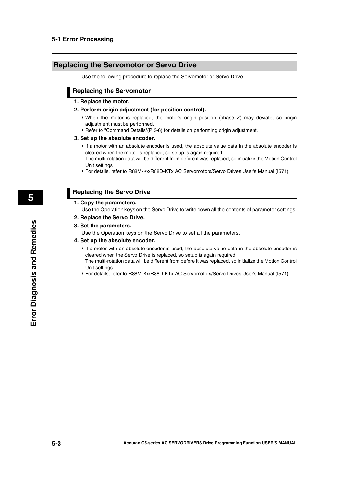#### <span id="page-65-0"></span>**Replacing the Servomotor or Servo Drive**

Use the following procedure to replace the Servomotor or Servo Drive.

#### **Replacing the Servomotor**

#### **1. Replace the motor.**

#### **2. Perform origin adjustment (for position control).**

- When the motor is replaced, the motor's origin position (phase Z) may deviate, so origin adjustment must be performed.
- Refer to ["Command Details"\(P.3-6\)](#page-36-0) for details on performing origin adjustment.

#### **3. Set up the absolute encoder.**

- If a motor with an absolute encoder is used, the absolute value data in the absolute encoder is cleared when the motor is replaced, so setup is again required.
	- The multi-rotation data will be different from before it was replaced, so initialize the Motion Control Unit settings.
- For details, refer to R88M-Kx/R88D-KTx AC Servomotors/Servo Drives User's Manual (I571).

#### **Replacing the Servo Drive**

#### **1. Copy the parameters.**

Use the Operation keys on the Servo Drive to write down all the contents of parameter settings.

#### **2. Replace the Servo Drive.**

#### **3. Set the parameters.**

Use the Operation keys on the Servo Drive to set all the parameters.

#### **4. Set up the absolute encoder.**

- If a motor with an absolute encoder is used, the absolute value data in the absolute encoder is cleared when the Servo Drive is replaced, so setup is again required. The multi-rotation data will be different from before it was replaced, so initialize the Motion Control Unit settings.
- For details, refer to R88M-Kx/R88D-KTx AC Servomotors/Servo Drives User's Manual (I571).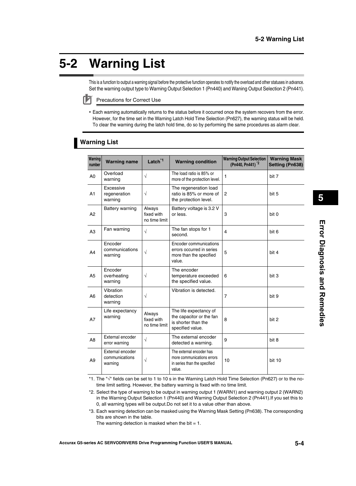## <span id="page-66-0"></span>**5-2 Warning List**

This is a function to output a warning signal before the protective function operates to notify the overload and other statuses in advance. Set the warning output type to Warning Output Selection 1 (Pn440) and Waning Output Selection 2 (Pn441).

Precautions for Correct Use

 Each warning automatically returns to the status before it occurred once the system recovers from the error. However, for the time set in the Warning Latch Hold Time Selection (Pn627), the warning status will be held. To clear the warning during the latch hold time, do so by performing the same procedures as alarm clear.

#### **Warning List**

| Warning        | <b>Warning name</b>                           | Latch <sup>*1</sup>                   | <b>Warning condition</b>                                                                         | <b>Warning Output Selection</b> | <b>Warning Mask</b> |
|----------------|-----------------------------------------------|---------------------------------------|--------------------------------------------------------------------------------------------------|---------------------------------|---------------------|
| number         |                                               |                                       |                                                                                                  | (Pn440, Pn441) <sup>*2</sup>    | Setting (Pn638)     |
| A <sub>0</sub> | Overload<br>warning                           | $\sqrt{}$                             | The load ratio is 85% or<br>more of the protection level.                                        | 1                               | bit 7               |
| A1             | Excessive<br>regeneration<br>warning          | $\sqrt{ }$                            | The regeneration load<br>ratio is 85% or more of<br>the protection level.                        | $\overline{c}$                  | bit 5               |
| A2             | Battery warning                               | Always<br>fixed with<br>no time limit | Battery voltage is 3.2 V<br>or less.                                                             | 3                               | bit 0               |
| A3             | Fan warning                                   | $\sqrt{ }$                            | The fan stops for 1<br>second.                                                                   | $\overline{4}$                  | bit 6               |
| A4             | Encoder<br>communications<br>warning          | $\sqrt{ }$                            | Encoder communications<br>errors occurred in series<br>more than the specified<br>value.         | 5                               | bit 4               |
| A <sub>5</sub> | Encoder<br>overheating<br>warning             | $\sqrt{}$                             | The encoder<br>temperature exceeded<br>the specified value.                                      | 6                               | bit 3               |
| A <sub>6</sub> | Vibration<br>detection<br>warning             | $\sqrt{}$                             | Vibration is detected.                                                                           | 7                               | bit 9               |
| A7             | Life expectancy<br>warning                    | Always<br>fixed with<br>no time limit | The life expectancy of<br>the capacitor or the fan<br>is shorter than the<br>specified value.    | 8                               | bit 2               |
| A <sub>8</sub> | External encoder<br>error warning             | $\sqrt{}$                             | The external encoder<br>detected a warning.                                                      | 9                               | bit 8               |
| A <sub>9</sub> | External encoder<br>communications<br>warning | $\sqrt{}$                             | The external encoder has<br>more communications errors<br>in series than the specified<br>value. | 10                              | bit 10              |

\*1. The " $\sqrt{ }$ " fields can be set to 1 to 10 s in the Warning Latch Hold Time Selection (Pn627) or to the notime limit setting. However, the battery warning is fixed with no time limit.

\*2. Select the type of warning to be output in warning output 1 (WARN1) and warning output 2 (WARN2) in the Warning Output Selection 1 (Pn440) and Warning Output Selection 2 (Pn441).If you set this to 0, all warning types will be output.Do not set it to a value other than above.

\*3. Each warning detection can be masked using the Warning Mask Setting (Pn638). The corresponding bits are shown in the table.

The warning detection is masked when the bit  $= 1$ .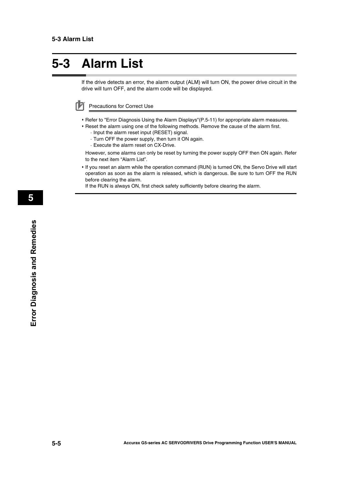## <span id="page-67-0"></span>**5-3 Alarm List**

If the drive detects an error, the alarm output (ALM) will turn ON, the power drive circuit in the drive will turn OFF, and the alarm code will be displayed.

Precautions for Correct Use

- Refer to ["Error Diagnosis Using the Alarm Displays"\(P.5-11\)](#page-73-1) for appropriate alarm measures.
- Reset the alarm using one of the following methods. Remove the cause of the alarm first.
	- · Input the alarm reset input (RESET) signal.
	- · Turn OFF the power supply, then turn it ON again.
	- · Execute the alarm reset on CX-Drive.

However, some alarms can only be reset by turning the power supply OFF then ON again. Refer to the next item "Alarm List".

 If you reset an alarm while the operation command (RUN) is turned ON, the Servo Drive will start operation as soon as the alarm is released, which is dangerous. Be sure to turn OFF the RUN before clearing the alarm.

If the RUN is always ON, first check safety sufficiently before clearing the alarm.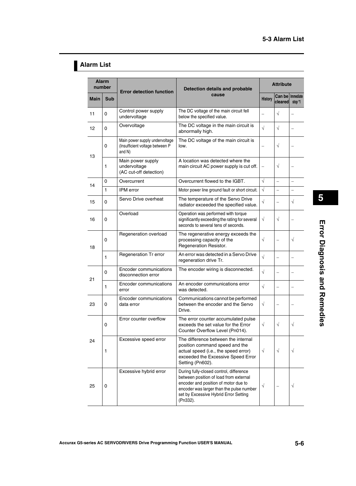#### **Alarm List**

| <b>Alarm</b><br>number |             | <b>Error detection function</b>                                             | Detection details and probable                                                                                                                                                                                             | <b>Attribute</b> |                               |                          |
|------------------------|-------------|-----------------------------------------------------------------------------|----------------------------------------------------------------------------------------------------------------------------------------------------------------------------------------------------------------------------|------------------|-------------------------------|--------------------------|
| <b>Main</b>            | <b>Sub</b>  |                                                                             | cause                                                                                                                                                                                                                      | <b>History</b>   | Can be   Immediate<br>cleared | stop *1                  |
| 11                     | 0           | Control power supply<br>undervoltage                                        | The DC voltage of the main circuit fell<br>below the specified value.                                                                                                                                                      |                  | $\sqrt{}$                     |                          |
| 12                     | $\mathbf 0$ | Overvoltage                                                                 | The DC voltage in the main circuit is<br>abnormally high.                                                                                                                                                                  | $\sqrt{}$        | $\sqrt{}$                     |                          |
| 13                     | 0           | Main power supply undervoltage<br>(Insufficient voltage between P<br>and N) | The DC voltage of the main circuit is<br>low.                                                                                                                                                                              |                  | $\sqrt{}$                     |                          |
|                        | 1           | Main power supply<br>undervoltage<br>(AC cut-off detection)                 | A location was detected where the<br>main circuit AC power supply is cut off.                                                                                                                                              |                  | $\sqrt{}$                     |                          |
| 14                     | 0           | Overcurrent                                                                 | Overcurrent flowed to the IGBT.                                                                                                                                                                                            | $\sqrt{ }$       | $\equiv$                      | $\overline{a}$           |
|                        | 1           | IPM error                                                                   | Motor power line ground fault or short circuit.                                                                                                                                                                            | $\sqrt{ }$       | $\overline{\phantom{0}}$      | $\overline{\phantom{0}}$ |
| 15                     | 0           | Servo Drive overheat                                                        | The temperature of the Servo Drive<br>radiator exceeded the specified value.                                                                                                                                               | $\sqrt{ }$       |                               | $\sqrt{}$                |
| 16                     | 0           | Overload                                                                    | Operation was performed with torque<br>significantly exceeding the rating for several<br>seconds to several tens of seconds.                                                                                               | $\sqrt{}$        | $\sqrt{}$                     |                          |
| 18                     | 0           | Regeneration overload                                                       | The regenerative energy exceeds the<br>processing capacity of the<br>Regeneration Resistor.                                                                                                                                | $\sqrt{}$        |                               | $\sqrt{}$                |
|                        | 1           | Regeneration Tr error                                                       | An error was detected in a Servo Drive<br>regeneration drive Tr.                                                                                                                                                           | $\sqrt{ }$       |                               |                          |
| 21                     | 0           | Encoder communications<br>disconnection error                               | The encoder wiring is disconnected.                                                                                                                                                                                        | $\sqrt{ }$       |                               |                          |
|                        | 1           | Encoder communications<br>error                                             | An encoder communications error<br>was detected.                                                                                                                                                                           | $\sqrt{}$        |                               |                          |
| 23                     | 0           | Encoder communications<br>data error                                        | Communications cannot be performed<br>between the encoder and the Servo<br>Drive.                                                                                                                                          | $\sqrt{}$        |                               |                          |
|                        | 0           | Error counter overflow                                                      | The error counter accumulated pulse<br>exceeds the set value for the Error<br>Counter Overflow Level (Pn014).                                                                                                              | $\sqrt{ }$       | $\sqrt{}$                     | $\sqrt{}$                |
| 24                     | 1           | Excessive speed error                                                       | The difference between the internal<br>position command speed and the<br>actual speed (i.e., the speed error)<br>exceeded the Excessive Speed Error<br>Setting (Pn602).                                                    | $\sqrt{}$        | $\sqrt{}$                     | $\sqrt{}$                |
| 25                     | 0           | Excessive hybrid error                                                      | During fully-closed control, difference<br>between position of load from external<br>encoder and position of motor due to<br>encoder was larger than the pulse number<br>set by Excessive Hybrid Error Setting<br>(Pn332). | $\sqrt{}$        |                               | V                        |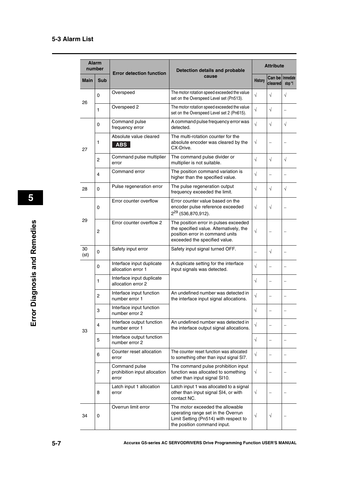| <b>Alarm</b><br>number |                  |                                                        | <b>Detection details and probable</b>                                                                                                                | <b>Attribute</b> |            |                              |
|------------------------|------------------|--------------------------------------------------------|------------------------------------------------------------------------------------------------------------------------------------------------------|------------------|------------|------------------------------|
| Main                   | <b>Sub</b>       | <b>Error detection function</b>                        | cause                                                                                                                                                | <b>History</b>   | cleared    | Can be   Immediate<br>stop*1 |
| 26                     | 0                | Overspeed                                              | The motor rotation speed exceeded the value<br>set on the Overspeed Level set (Pn513).                                                               | $\sqrt{}$        | $\sqrt{}$  | $\sqrt{ }$                   |
|                        | 1                | Overspeed 2                                            | The motor rotation speed exceeded the value<br>set on the Overspeed Level set 2 (Pn615).                                                             | $\sqrt{}$        | $\sqrt{}$  |                              |
|                        | 0                | Command pulse<br>frequency error                       | A command pulse frequency error was<br>detected.                                                                                                     | $\sqrt{ }$       | $\sqrt{}$  | $\sqrt{}$                    |
| 27                     | 1                | Absolute value cleared<br><b>ABS</b>                   | The multi-rotation counter for the<br>absolute encoder was cleared by the<br>CX-Drive.                                                               | $\sqrt{}$        |            |                              |
|                        | $\overline{c}$   | Command pulse multiplier<br>error                      | The command pulse divider or<br>multiplier is not suitable.                                                                                          | $\sqrt{}$        | $\sqrt{ }$ | $\sqrt{}$                    |
|                        | 4                | Command error                                          | The position command variation is<br>higher than the specified value.                                                                                | $\sqrt{}$        |            |                              |
| 28                     | $\mathbf 0$      | Pulse regeneration error                               | The pulse regeneration output<br>frequency exceeded the limit.                                                                                       | $\sqrt{}$        | $\sqrt{ }$ | $\sqrt{ }$                   |
|                        | $\mathbf 0$      | Error counter overflow                                 | Error counter value based on the<br>encoder pulse reference exceeded<br>2 <sup>29</sup> (536,870,912).                                               | $\sqrt{}$        | $\sqrt{ }$ |                              |
| 29                     | $\overline{c}$   | Error counter overflow 2                               | The position error in pulses exceeded<br>the specified value. Alternatively, the<br>position error in command units<br>exceeded the specified value. | $\sqrt{}$        |            |                              |
| 30<br>(st)             | 0                | Safety input error                                     | Safety input signal turned OFF.                                                                                                                      |                  | $\sqrt{}$  |                              |
|                        | 0                | Interface input duplicate<br>allocation error 1        | A duplicate setting for the interface<br>input signals was detected.                                                                                 | $\sqrt{}$        |            |                              |
|                        | 1                | Interface input duplicate<br>allocation error 2        |                                                                                                                                                      | $\sqrt{}$        |            |                              |
|                        | $\boldsymbol{2}$ | Interface input function<br>number error 1             | An undefined number was detected in<br>the interface input signal allocations.                                                                       | $\sqrt{}$        |            |                              |
|                        | 3                | Interface input function<br>number error 2             |                                                                                                                                                      | $\sqrt{}$        |            |                              |
| 33                     | 4                | Interface output function<br>number error 1            | An undefined number was detected in<br>the interface output signal allocations.                                                                      | $\sqrt{}$        |            |                              |
|                        | 5                | Interface output function<br>number error 2            |                                                                                                                                                      | $\sqrt{}$        |            |                              |
|                        | 6                | Counter reset allocation<br>error                      | The counter reset function was allocated<br>to something other than input signal SI7.                                                                | $\sqrt{}$        |            |                              |
|                        | 7                | Command pulse<br>prohibition input allocation<br>error | The command pulse prohibition input<br>function was allocated to something<br>other than input signal SI10.                                          | $\sqrt{}$        |            |                              |
|                        | 8                | Latch input 1 allocation<br>error                      | Latch input 1 was allocated to a signal<br>other than input signal SI4, or with<br>contact NC.                                                       | $\sqrt{}$        |            |                              |
| 34                     | 0                | Overrun limit error                                    | The motor exceeded the allowable<br>operating range set in the Overrun<br>Limit Setting (Pn514) with respect to<br>the position command input.       | $\sqrt{}$        | $\sqrt{}$  |                              |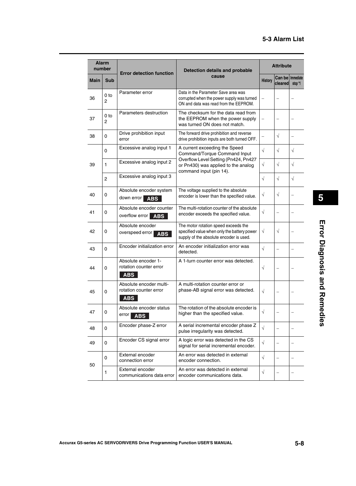| <b>Alarm</b><br>number |                      | <b>Error detection function</b>                                 | Detection details and probable                                                                                                 | <b>Attribute</b> |                               |           |
|------------------------|----------------------|-----------------------------------------------------------------|--------------------------------------------------------------------------------------------------------------------------------|------------------|-------------------------------|-----------|
| <b>Main</b>            | <b>Sub</b>           |                                                                 | cause                                                                                                                          | <b>History</b>   | Can be   Immediate<br>cleared | stop *1   |
| 36                     | 0 <sub>to</sub><br>2 | Parameter error                                                 | Data in the Parameter Save area was<br>corrupted when the power supply was turned<br>ON and data was read from the EEPROM.     |                  |                               |           |
| 37                     | 0 <sub>to</sub><br>2 | Parameters destruction                                          | The checksum for the data read from<br>the EEPROM when the power supply<br>was turned ON does not match.                       |                  |                               |           |
| 38                     | 0                    | Drive prohibition input<br>error                                | The forward drive prohibition and reverse<br>drive prohibition inputs are both turned OFF.                                     |                  | $\sqrt{ }$                    |           |
|                        | 0                    | Excessive analog input 1                                        | A current exceeding the Speed<br>Command/Torque Command Input                                                                  | $\sqrt{ }$       | $\sqrt{}$                     | $\sqrt{}$ |
| 39                     | $\mathbf{1}$         | Excessive analog input 2                                        | Overflow Level Setting (Pn424, Pn427<br>or Pn430) was applied to the analog<br>command input (pin 14).                         | $\sqrt{}$        | $\sqrt{}$                     | $\sqrt{}$ |
|                        | $\overline{c}$       | Excessive analog input 3                                        |                                                                                                                                | $\sqrt{}$        | $\sqrt{}$                     | $\sqrt{}$ |
| 40                     | 0                    | Absolute encoder system<br>down error<br><b>ABS</b>             | The voltage supplied to the absolute<br>encoder is lower than the specified value.                                             | $\sqrt{ }$       | $\sqrt{}$                     |           |
| 41                     | 0                    | Absolute encoder counter<br>overflow error<br><b>ABS</b>        | The multi-rotation counter of the absolute<br>encoder exceeds the specified value.                                             | $\sqrt{}$        |                               |           |
| 42                     | 0                    | Absolute encoder<br>overspeed error<br><b>ABS</b>               | The motor rotation speed exceeds the<br>specified value when only the battery power<br>supply of the absolute encoder is used. | $\sqrt{}$        | $\sqrt{}$                     |           |
| 43                     | 0                    | Encoder initialization error                                    | An encoder initialization error was<br>detected.                                                                               | $\sqrt{}$        |                               |           |
| 44                     | $\mathbf 0$          | Absolute encoder 1-<br>rotation counter error<br><b>ABS</b>     | A 1-turn counter error was detected.                                                                                           | $\sqrt{}$        |                               |           |
| 45                     | 0                    | Absolute encoder multi-<br>rotation counter error<br><b>ABS</b> | A multi-rotation counter error or<br>phase-AB signal error was detected.                                                       | $\sqrt{}$        |                               |           |
| 47                     | 0                    | Absolute encoder status<br>error  <br><b>ABS</b>                | The rotation of the absolute encoder is<br>higher than the specified value.                                                    | $\sqrt{}$        |                               |           |
| 48                     | 0                    | Encoder phase-Z error                                           | A serial incremental encoder phase Z<br>pulse irregularity was detected.                                                       | $\sqrt{ }$       |                               |           |
| 49                     | 0                    | Encoder CS signal error                                         | A logic error was detected in the CS<br>signal for serial incremental encoder.                                                 | $\sqrt{}$        |                               |           |
| 50                     | 0                    | External encoder<br>connection error                            | An error was detected in external<br>encoder connection.                                                                       | $\sqrt{}$        |                               |           |
|                        | 1                    | External encoder<br>communications data error                   | An error was detected in external<br>encoder communications data.                                                              | $\sqrt{}$        |                               |           |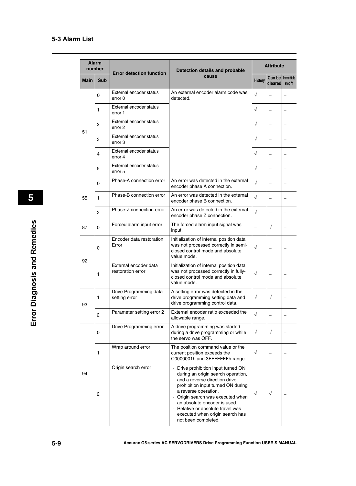|      | <b>Alarm</b><br>number | <b>Error detection function</b>            | Detection details and probable                                                                                                                                                                                                                                                                                                           | <b>Attribute</b>         |                                                                                                                 |         |  |
|------|------------------------|--------------------------------------------|------------------------------------------------------------------------------------------------------------------------------------------------------------------------------------------------------------------------------------------------------------------------------------------------------------------------------------------|--------------------------|-----------------------------------------------------------------------------------------------------------------|---------|--|
| Main | <b>Sub</b>             |                                            | cause                                                                                                                                                                                                                                                                                                                                    | <b>History</b>           |                                                                                                                 | stop *1 |  |
|      | 0                      | External encoder status<br>error 0         | An external encoder alarm code was<br>detected.                                                                                                                                                                                                                                                                                          | $\sqrt{}$                |                                                                                                                 |         |  |
|      | 1                      | External encoder status<br>error 1         |                                                                                                                                                                                                                                                                                                                                          | $\sqrt{}$                |                                                                                                                 |         |  |
| 51   | 2                      | External encoder status<br>error 2         |                                                                                                                                                                                                                                                                                                                                          | $\sqrt{}$                |                                                                                                                 |         |  |
|      | 3                      | External encoder status<br>error 3         |                                                                                                                                                                                                                                                                                                                                          | $\sqrt{}$                |                                                                                                                 |         |  |
|      | 4                      | External encoder status<br>error 4         |                                                                                                                                                                                                                                                                                                                                          | $\sqrt{}$                |                                                                                                                 |         |  |
|      | 5                      | External encoder status<br>error 5         |                                                                                                                                                                                                                                                                                                                                          | $\sqrt{}$                | Can be   Immediate<br>cleared<br>$\sqrt{ }$<br>$\overline{\phantom{0}}$<br>$\sqrt{ }$<br>$\sqrt{}$<br>$\sqrt{}$ |         |  |
|      | 0                      | Phase-A connection error                   | An error was detected in the external<br>encoder phase A connection.                                                                                                                                                                                                                                                                     | $\sqrt{}$                |                                                                                                                 |         |  |
| 55   | 1                      | Phase-B connection error                   | An error was detected in the external<br>encoder phase B connection.                                                                                                                                                                                                                                                                     | $\sqrt{ }$               |                                                                                                                 |         |  |
|      | $\overline{2}$         | Phase-Z connection error                   | An error was detected in the external<br>encoder phase Z connection.                                                                                                                                                                                                                                                                     | $\sqrt{}$                |                                                                                                                 |         |  |
| 87   | $\Omega$               | Forced alarm input error                   | The forced alarm input signal was<br>input.                                                                                                                                                                                                                                                                                              | $\overline{\phantom{0}}$ |                                                                                                                 |         |  |
| 92   | $\mathbf 0$            | Encoder data restoration<br>Error          | Initialization of internal position data<br>was not processed correctly in semi-<br>closed control mode and absolute<br>value mode.                                                                                                                                                                                                      | $\sqrt{}$                |                                                                                                                 |         |  |
|      | 1                      | External encoder data<br>restoration error | Initialization of internal position data<br>was not processed correctly in fully-<br>closed control mode and absolute<br>value mode.                                                                                                                                                                                                     | $\sqrt{}$                |                                                                                                                 |         |  |
| 93   | 1                      | Drive Programming data<br>setting error    | A setting error was detected in the<br>drive programming setting data and<br>drive programming control data.                                                                                                                                                                                                                             | $\sqrt{}$                |                                                                                                                 |         |  |
|      | $\overline{c}$         | Parameter setting error 2                  | External encoder ratio exceeded the<br>allowable range.                                                                                                                                                                                                                                                                                  | $\sqrt{}$                |                                                                                                                 |         |  |
|      | 0                      | Drive Programming error                    | A drive programming was started<br>during a drive programming or while<br>the servo was OFF.                                                                                                                                                                                                                                             | $\sqrt{}$                |                                                                                                                 |         |  |
|      | 1                      | Wrap around error                          | The position command value or the<br>current position exceeds the<br>C0000001h and 3FFFFFFFh range.                                                                                                                                                                                                                                      | $\sqrt{}$                |                                                                                                                 |         |  |
| 94   | $\overline{c}$         | Origin search error                        | Drive prohibition input turned ON<br>during an origin search operation,<br>and a reverse direction drive<br>prohibition input turned ON during<br>a reverse operation.<br>Origin search was executed when<br>an absolute encoder is used.<br>· Relative or absolute travel was<br>executed when origin search has<br>not been completed. | V                        |                                                                                                                 |         |  |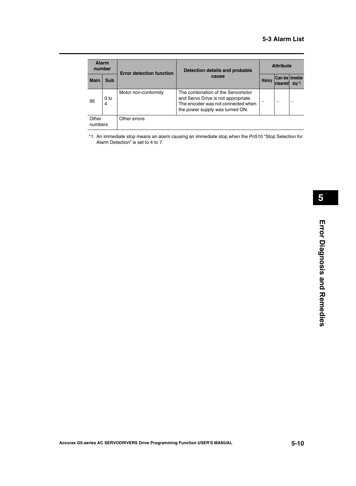| <b>Alarm</b><br>number |                      | <b>Error detection function</b> | Detection details and probable                                                                                                                    | <b>Attribute</b> |                                           |         |
|------------------------|----------------------|---------------------------------|---------------------------------------------------------------------------------------------------------------------------------------------------|------------------|-------------------------------------------|---------|
| <b>Main</b>            | <b>Sub</b>           |                                 | cause                                                                                                                                             | History          | <b>Can be Immediate</b><br><b>cleared</b> | stop *1 |
| 95                     | 0 <sub>to</sub><br>4 | Motor non-conformity            | The combination of the Servomotor<br>and Servo Drive is not appropriate.<br>The encoder was not connected when<br>the power supply was turned ON. |                  |                                           |         |
| Other<br>numbers       |                      | Other errors                    |                                                                                                                                                   |                  |                                           |         |

\*1. An immediate stop means an alarm causing an immediate stop when the Pn510 "Stop Selection for Alarm Detection" is set to 4 to 7.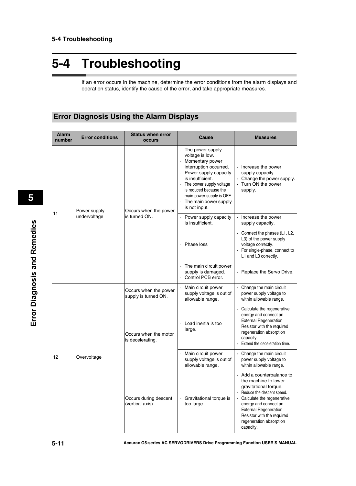If an error occurs in the machine, determine the error conditions from the alarm displays and operation status, identify the cause of the error, and take appropriate measures.

### **Error Diagnosis Using the Alarm Displays**

| <b>Alarm</b><br>number | <b>Error conditions</b> | <b>Status when error</b><br><b>occurs</b>     | Cause                                                                                                                                                                                                                                                            | <b>Measures</b>                                                                                                                                                                                                                                                    |
|------------------------|-------------------------|-----------------------------------------------|------------------------------------------------------------------------------------------------------------------------------------------------------------------------------------------------------------------------------------------------------------------|--------------------------------------------------------------------------------------------------------------------------------------------------------------------------------------------------------------------------------------------------------------------|
|                        | Power supply            | Occurs when the power                         | · The power supply<br>voltage is low.<br>· Momentary power<br>interruption occurred.<br>Power supply capacity<br>is insufficient.<br>· The power supply voltage<br>is reduced because the<br>main power supply is OFF.<br>The main power supply<br>is not input. | · Increase the power<br>supply capacity.<br>· Change the power supply.<br>Turn ON the power<br>supply.                                                                                                                                                             |
| 11                     | undervoltage            | is turned ON.                                 | · Power supply capacity<br>is insufficient.                                                                                                                                                                                                                      | Increase the power<br>supply capacity.                                                                                                                                                                                                                             |
|                        |                         |                                               | · Phase loss                                                                                                                                                                                                                                                     | $\cdot$ Connect the phases (L1, L2,<br>L3) of the power supply<br>voltage correctly.<br>For single-phase, connect to<br>L1 and L3 correctly.                                                                                                                       |
|                        |                         |                                               | The main circuit power<br>supply is damaged.<br>Control PCB error.                                                                                                                                                                                               | · Replace the Servo Drive.                                                                                                                                                                                                                                         |
| 12                     |                         | Occurs when the power<br>supply is turned ON. | Main circuit power<br>supply voltage is out of<br>allowable range.                                                                                                                                                                                               | Change the main circuit<br>$\ddot{\phantom{0}}$<br>power supply voltage to<br>within allowable range.                                                                                                                                                              |
|                        |                         | Occurs when the motor<br>is decelerating.     | Load inertia is too<br>large.                                                                                                                                                                                                                                    | Calculate the regenerative<br>energy and connect an<br><b>External Regeneration</b><br>Resistor with the required<br>regeneration absorption<br>capacity.<br>Extend the deceleration time.                                                                         |
|                        | Overvoltage             |                                               | Main circuit power<br>supply voltage is out of<br>allowable range.                                                                                                                                                                                               | Change the main circuit<br>power supply voltage to<br>within allowable range.                                                                                                                                                                                      |
|                        |                         | Occurs during descent<br>(vertical axis).     | Gravitational torque is<br>$\ddot{\phantom{0}}$<br>too large.                                                                                                                                                                                                    | Add a counterbalance to<br>the machine to lower<br>gravitational torque.<br>Reduce the descent speed.<br>Calculate the regenerative<br>energy and connect an<br><b>External Regeneration</b><br>Resistor with the required<br>regeneration absorption<br>capacity. |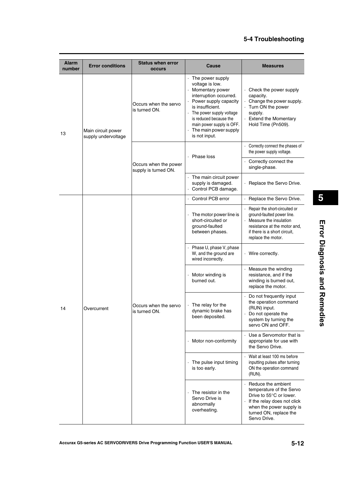| <b>Alarm</b><br>number | <b>Error conditions</b>                   | <b>Status when error</b><br><b>occurs</b>     | Cause                                                                                                                                                                                                                                                      | <b>Measures</b>                                                                                                                                                                |
|------------------------|-------------------------------------------|-----------------------------------------------|------------------------------------------------------------------------------------------------------------------------------------------------------------------------------------------------------------------------------------------------------------|--------------------------------------------------------------------------------------------------------------------------------------------------------------------------------|
| 13                     | Main circuit power<br>supply undervoltage | Occurs when the servo<br>is turned ON.        | The power supply<br>voltage is low.<br>Momentary power<br>interruption occurred.<br>Power supply capacity<br>is insufficient.<br>The power supply voltage<br>is reduced because the<br>main power supply is OFF.<br>The main power supply<br>is not input. | . Check the power supply<br>capacity.<br>· Change the power supply.<br>· Turn ON the power<br>supply.<br>· Extend the Momentary<br>Hold Time (Pn509).                          |
|                        |                                           |                                               | Phase loss                                                                                                                                                                                                                                                 | Correctly connect the phases of<br>the power supply voltage.                                                                                                                   |
|                        |                                           | Occurs when the power<br>supply is turned ON. |                                                                                                                                                                                                                                                            | Correctly connect the<br>single-phase.                                                                                                                                         |
|                        |                                           |                                               | The main circuit power<br>supply is damaged.<br>Control PCB damage.                                                                                                                                                                                        | · Replace the Servo Drive.                                                                                                                                                     |
|                        |                                           | Occurs when the servo<br>is turned ON.        | Control PCB error                                                                                                                                                                                                                                          | · Replace the Servo Drive.                                                                                                                                                     |
|                        | Overcurrent                               |                                               | The motor power line is<br>short-circuited or<br>ground-faulted<br>between phases.                                                                                                                                                                         | Repair the short-circuited or<br>ground-faulted power line.<br>Measure the insulation<br>resistance at the motor and,<br>if there is a short circuit.<br>replace the motor.    |
|                        |                                           |                                               | Phase U, phase V, phase<br>W, and the ground are<br>wired incorrectly.                                                                                                                                                                                     | · Wire correctly.                                                                                                                                                              |
|                        |                                           |                                               | Motor winding is<br>burned out.                                                                                                                                                                                                                            | · Measure the winding<br>resistance, and if the<br>winding is burned out,<br>replace the motor.                                                                                |
| 14                     |                                           |                                               | The relay for the<br>dynamic brake has<br>been deposited.                                                                                                                                                                                                  | · Do not frequently input<br>the operation command<br>(RUN) input.<br>Do not operate the<br>system by turning the<br>servo ON and OFF.                                         |
|                        |                                           |                                               | Motor non-conformity                                                                                                                                                                                                                                       | · Use a Servomotor that is<br>appropriate for use with<br>the Servo Drive.                                                                                                     |
|                        |                                           |                                               | The pulse input timing<br>is too early.                                                                                                                                                                                                                    | · Wait at least 100 ms before<br>inputting pulses after turning<br>ON the operation command<br>(RUN).                                                                          |
|                        |                                           |                                               | The resistor in the<br>Servo Drive is<br>abnormally<br>overheating.                                                                                                                                                                                        | Reduce the ambient<br>temperature of the Servo<br>Drive to 55°C or lower.<br>If the relay does not click<br>when the power supply is<br>turned ON, replace the<br>Servo Drive. |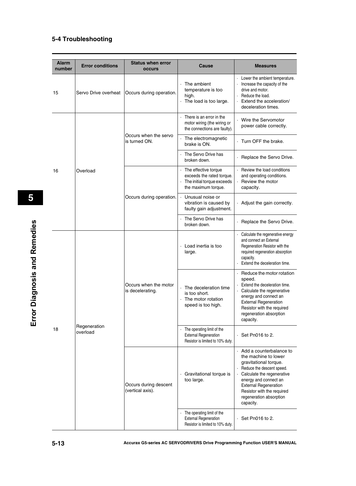| <b>Alarm</b><br>number | <b>Error conditions</b>  | <b>Status when error</b><br>occurs        | Cause                                                                                                  | <b>Measures</b>                                                                                                                                                                                                                                                               |
|------------------------|--------------------------|-------------------------------------------|--------------------------------------------------------------------------------------------------------|-------------------------------------------------------------------------------------------------------------------------------------------------------------------------------------------------------------------------------------------------------------------------------|
| 15                     | Servo Drive overheat     | Occurs during operation.                  | The ambient<br>temperature is too<br>high.<br>The load is too large.                                   | Lower the ambient temperature.<br>Increase the capacity of the<br>drive and motor.<br>Reduce the load.<br>Extend the acceleration/<br>deceleration times.                                                                                                                     |
|                        |                          |                                           | There is an error in the<br>motor wiring (the wiring or<br>the connections are faulty).                | Wire the Servomotor<br>power cable correctly.                                                                                                                                                                                                                                 |
|                        |                          | Occurs when the servo<br>is turned ON.    | The electromagnetic<br>brake is ON.                                                                    | Turn OFF the brake.                                                                                                                                                                                                                                                           |
|                        |                          |                                           | The Servo Drive has<br>broken down.                                                                    | Replace the Servo Drive.                                                                                                                                                                                                                                                      |
| 16                     | Overload                 | Occurs during operation.                  | The effective torque<br>exceeds the rated torque.<br>The initial torque exceeds<br>the maximum torque. | Review the load conditions<br>and operating conditions.<br>Review the motor<br>capacity.                                                                                                                                                                                      |
|                        |                          |                                           | Unusual noise or<br>vibration is caused by<br>faulty gain adjustment.                                  | Adjust the gain correctly.                                                                                                                                                                                                                                                    |
|                        |                          |                                           | The Servo Drive has<br>broken down.                                                                    | · Replace the Servo Drive.                                                                                                                                                                                                                                                    |
|                        |                          | Occurs when the motor<br>is decelerating. | Load inertia is too<br>large.                                                                          | Calculate the regenerative energy<br>and connect an External<br>Regeneration Resistor with the<br>required regeneration absorption<br>capacity.<br>Extend the deceleration time.                                                                                              |
|                        |                          |                                           | The deceleration time<br>is too short.<br>The motor rotation<br>speed is too high.                     | Reduce the motor rotation<br>speed.<br>Extend the deceleration time.<br>Calculate the regenerative<br>energy and connect an<br><b>External Regeneration</b><br>Resistor with the required<br>regeneration absorption<br>capacity.                                             |
| 18                     | Regeneration<br>overload |                                           | The operating limit of the<br><b>External Regeneration</b><br>Resistor is limited to 10% duty.         | $\cdot$ Set Pn016 to 2.                                                                                                                                                                                                                                                       |
|                        |                          | Occurs during descent<br>(vertical axis). | Gravitational torque is<br>too large.                                                                  | Add a counterbalance to<br>$\cdot$<br>the machine to lower<br>gravitational torque.<br>Reduce the descent speed.<br>Calculate the regenerative<br>energy and connect an<br><b>External Regeneration</b><br>Resistor with the required<br>regeneration absorption<br>capacity. |
|                        |                          |                                           | The operating limit of the<br><b>External Regeneration</b><br>Resistor is limited to 10% duty.         | $\cdot$ Set Pn016 to 2.                                                                                                                                                                                                                                                       |

Error Diagnosis and Remedies **Error Diagnosis and Remedies**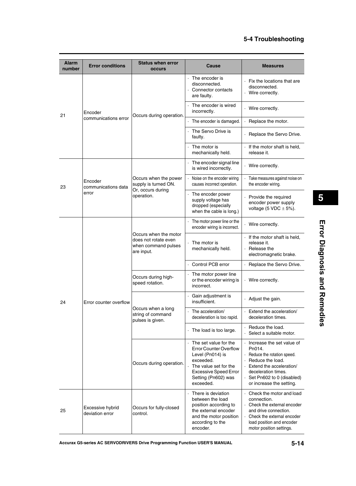| <b>Alarm</b><br>number | <b>Error conditions</b>             | <b>Status when error</b><br><b>occurs</b>                                          | <b>Cause</b>                                                                                                                                                                         | <b>Measures</b>                                                                                                                                                                                   |
|------------------------|-------------------------------------|------------------------------------------------------------------------------------|--------------------------------------------------------------------------------------------------------------------------------------------------------------------------------------|---------------------------------------------------------------------------------------------------------------------------------------------------------------------------------------------------|
|                        |                                     |                                                                                    | The encoder is<br>disconnected.<br>· Connector contacts<br>are faulty.                                                                                                               | Fix the locations that are<br>disconnected.<br>· Wire correctly.                                                                                                                                  |
| 21                     | Encoder                             | Occurs during operation.                                                           | The encoder is wired<br>incorrectly.                                                                                                                                                 | · Wire correctly.                                                                                                                                                                                 |
|                        | communications error                |                                                                                    | The encoder is damaged.                                                                                                                                                              | Replace the motor.                                                                                                                                                                                |
|                        |                                     |                                                                                    | The Servo Drive is<br>faulty.                                                                                                                                                        | · Replace the Servo Drive.                                                                                                                                                                        |
|                        |                                     |                                                                                    | The motor is<br>mechanically held.                                                                                                                                                   | If the motor shaft is held,<br>release it.                                                                                                                                                        |
|                        |                                     |                                                                                    | The encoder signal line<br>is wired incorrectly.                                                                                                                                     | · Wire correctly.                                                                                                                                                                                 |
| 23                     | Encoder<br>communications data      | Occurs when the power<br>supply is turned ON.                                      | Noise on the encoder wiring<br>causes incorrect operation.                                                                                                                           | · Take measures against noise on<br>the encoder wiring.                                                                                                                                           |
|                        | error                               | Or, occurs during<br>operation.                                                    | The encoder power<br>supply voltage has<br>dropped (especially<br>when the cable is long.)                                                                                           | Provide the required<br>encoder power supply<br>voltage (5 VDC $\pm$ 5%).                                                                                                                         |
|                        |                                     | Occurs when the motor<br>does not rotate even<br>when command pulses<br>are input. | The motor power line or the<br>encoder wiring is incorrect.                                                                                                                          | · Wire correctly.                                                                                                                                                                                 |
|                        |                                     |                                                                                    | The motor is<br>mechanically held.                                                                                                                                                   | If the motor shaft is held,<br>release it.<br>Release the<br>electromagnetic brake.                                                                                                               |
|                        |                                     |                                                                                    | Control PCB error                                                                                                                                                                    | Replace the Servo Drive.                                                                                                                                                                          |
|                        |                                     | Occurs during high-<br>speed rotation.                                             | The motor power line<br>or the encoder wiring is<br>incorrect.                                                                                                                       | · Wire correctly.                                                                                                                                                                                 |
| 24                     | Error counter overflow              | Occurs when a long<br>string of command<br>pulses is given.                        | Gain adjustment is<br>insufficient.                                                                                                                                                  | $\cdot$ Adjust the gain.                                                                                                                                                                          |
|                        |                                     |                                                                                    | The acceleration/<br>deceleration is too rapid.                                                                                                                                      | Extend the acceleration/<br>deceleration times.                                                                                                                                                   |
|                        |                                     |                                                                                    | The load is too large.                                                                                                                                                               | Reduce the load.<br>Select a suitable motor.                                                                                                                                                      |
|                        |                                     | Occurs during operation.                                                           | The set value for the<br><b>Error Counter Overflow</b><br>Level (Pn014) is<br>exceeded.<br>The value set for the<br><b>Excessive Speed Error</b><br>Setting (Pn602) was<br>exceeded. | Increase the set value of<br>Pn014.<br>Reduce the rotation speed.<br>Reduce the load.<br>Extend the acceleration/<br>deceleration times.<br>Set Pn602 to 0 (disabled)<br>or increase the setting. |
| 25                     | Excessive hybrid<br>deviation error | Occurs for fully-closed<br>control.                                                | There is deviation<br>between the load<br>position according to<br>the external encoder<br>and the motor position<br>according to the<br>encoder.                                    | Check the motor and load<br>connection.<br>$\cdot$ Check the external encoder<br>and drive connection.<br>Check the external encoder<br>load position and encoder<br>motor position settings.     |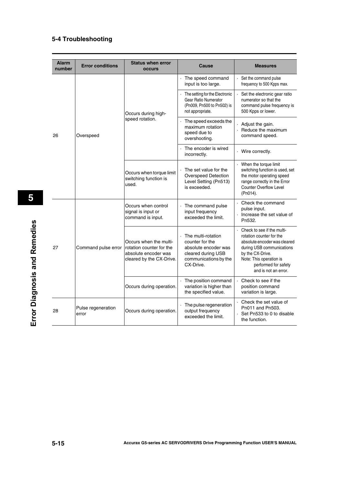| <b>Alarm</b><br>number | <b>Error conditions</b>     | <b>Status when error</b><br><b>occurs</b>                                                              | Cause                                                                                                                     | <b>Measures</b>                                                                                                                                                                                                    |
|------------------------|-----------------------------|--------------------------------------------------------------------------------------------------------|---------------------------------------------------------------------------------------------------------------------------|--------------------------------------------------------------------------------------------------------------------------------------------------------------------------------------------------------------------|
|                        |                             | Occurs during high-<br>speed rotation.                                                                 | The speed command<br>input is too large.                                                                                  | Set the command pulse<br>frequency to 500 Kpps max.                                                                                                                                                                |
|                        |                             |                                                                                                        | The setting for the Electronic<br><b>Gear Ratio Numerator</b><br>(Pn009, Pn500 to Pn502) is<br>not appropriate.           | Set the electronic gear ratio<br>numerator so that the<br>command pulse frequency is<br>500 Kpps or lower.                                                                                                         |
| 26                     | Overspeed                   |                                                                                                        | The speed exceeds the<br>maximum rotation<br>speed due to<br>overshooting.                                                | Adjust the gain.<br>Reduce the maximum<br>command speed.                                                                                                                                                           |
|                        |                             |                                                                                                        | The encoder is wired<br>incorrectly.                                                                                      | · Wire correctly.                                                                                                                                                                                                  |
|                        |                             | Occurs when torque limit<br>switching function is<br>used.                                             | The set value for the<br><b>Overspeed Detection</b><br>Level Setting (Pn513)<br>is exceeded.                              | When the torque limit<br>switching function is used, set<br>the motor operating speed<br>range correctly in the Error<br>Counter Overflow Level<br>(Pn014).                                                        |
| 27                     | Command pulse error         | Occurs when control<br>signal is input or<br>command is input.                                         | The command pulse<br>input frequency<br>exceeded the limit.                                                               | Check the command<br>pulse input.<br>$\cdot$ Increase the set value of<br>Pn532.                                                                                                                                   |
|                        |                             | Occurs when the multi-<br>rotation counter for the<br>absolute encoder was<br>cleared by the CX-Drive. | The multi-rotation<br>counter for the<br>absolute encoder was<br>cleared during USB<br>communications by the<br>CX-Drive. | Check to see if the multi-<br>rotation counter for the<br>absolute encoder was cleared<br>during USB communications<br>by the CX-Drive.<br>Note: This operation is<br>performed for safety<br>and is not an error. |
|                        |                             | Occurs during operation.                                                                               | The position command<br>variation is higher than<br>the specified value.                                                  | Check to see if the<br>position command<br>variation is large.                                                                                                                                                     |
| 28                     | Pulse regeneration<br>error | Occurs during operation.                                                                               | The pulse regeneration<br>output frequency<br>exceeded the limit.                                                         | Check the set value of<br>Pn011 and Pn503.<br>Set Pn533 to 0 to disable<br>the function.                                                                                                                           |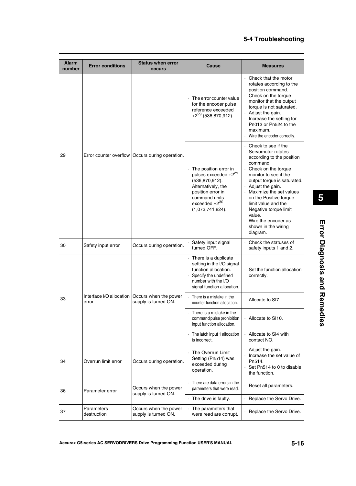| <b>Alarm</b><br>number | <b>Error conditions</b>   | <b>Status when error</b><br><b>occurs</b>                                | Cause                                                                                                                                                                                  | <b>Measures</b>                                                                                                                                                                                                                                                                                                                                                |
|------------------------|---------------------------|--------------------------------------------------------------------------|----------------------------------------------------------------------------------------------------------------------------------------------------------------------------------------|----------------------------------------------------------------------------------------------------------------------------------------------------------------------------------------------------------------------------------------------------------------------------------------------------------------------------------------------------------------|
| 29                     |                           | Error counter overflow   Occurs during operation.                        | The error counter value<br>for the encoder pulse<br>reference exceeded<br>$\pm 2^{29}$ (536,870,912).                                                                                  | Check that the motor<br>rotates according to the<br>position command.<br>Check on the torque<br>monitor that the output<br>torque is not saturated.<br>Adjust the gain.<br>Increase the setting for<br>Pn013 or Pn524 to the<br>maximum.<br>Wire the encoder correctly.                                                                                        |
|                        |                           |                                                                          | The position error in<br>pulses exceeded ±2 <sup>29</sup><br>(536, 870, 912).<br>Alternatively, the<br>position error in<br>command units<br>exceeded $\pm 2^{30}$<br>(1,073,741,824). | Check to see if the<br>Servomotor rotates<br>according to the position<br>command.<br>Check on the torque<br>monitor to see if the<br>output torque is saturated.<br>Adjust the gain.<br>Maximize the set values<br>on the Positive torque<br>limit value and the<br>Negative torque limit<br>value.<br>Wire the encoder as<br>shown in the wiring<br>diagram. |
| 30                     | Safety input error        | Occurs during operation.                                                 | Safety input signal<br>turned OFF.                                                                                                                                                     | · Check the statuses of<br>safety inputs 1 and 2.                                                                                                                                                                                                                                                                                                              |
|                        |                           |                                                                          | There is a duplicate<br>setting in the I/O signal<br>function allocation.<br>Specify the undefined<br>number with the I/O<br>signal function allocation.                               | $\cdot$ Set the function allocation<br>correctly.                                                                                                                                                                                                                                                                                                              |
| 33                     | error                     | Interface I/O allocation   Occurs when the power<br>supply is turned ON. | There is a mistake in the<br>counter function allocation.                                                                                                                              | Allocate to SI7.                                                                                                                                                                                                                                                                                                                                               |
|                        |                           |                                                                          | There is a mistake in the<br>command pulse prohibition<br>input function allocation.                                                                                                   | Allocate to SI10.                                                                                                                                                                                                                                                                                                                                              |
|                        |                           |                                                                          | The latch input 1 allocation<br>is incorrect.                                                                                                                                          | Allocate to SI4 with<br>contact NO.                                                                                                                                                                                                                                                                                                                            |
| 34                     | Overrun limit error       | Occurs during operation.                                                 | The Overrun Limit<br>Setting (Pn514) was<br>exceeded during<br>operation.                                                                                                              | Adjust the gain.<br>· Increase the set value of<br>Pn514.<br>Set Pn514 to 0 to disable<br>the function.                                                                                                                                                                                                                                                        |
| 36                     | Parameter error           | Occurs when the power<br>supply is turned ON.                            | There are data errors in the<br>parameters that were read.                                                                                                                             | Reset all parameters.                                                                                                                                                                                                                                                                                                                                          |
|                        |                           |                                                                          | The drive is faulty.                                                                                                                                                                   | Replace the Servo Drive.                                                                                                                                                                                                                                                                                                                                       |
| 37                     | Parameters<br>destruction | Occurs when the power<br>supply is turned ON.                            | The parameters that<br>were read are corrupt.                                                                                                                                          | · Replace the Servo Drive.                                                                                                                                                                                                                                                                                                                                     |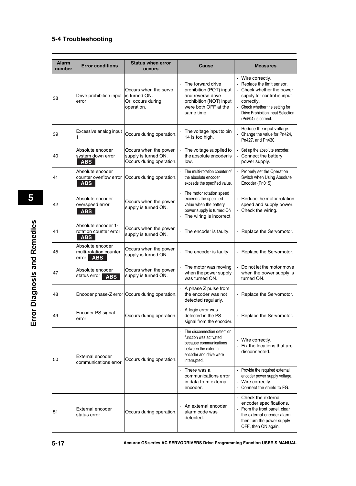| <b>Alarm</b><br>number | <b>Error conditions</b>                                           | <b>Status when error</b><br><b>occurs</b>                                 | Cause                                                                                                                                             | <b>Measures</b>                                                                                                                                                                                                     |
|------------------------|-------------------------------------------------------------------|---------------------------------------------------------------------------|---------------------------------------------------------------------------------------------------------------------------------------------------|---------------------------------------------------------------------------------------------------------------------------------------------------------------------------------------------------------------------|
| 38                     | Drive prohibition input<br>error                                  | Occurs when the servo<br>is turned ON.<br>Or, occurs during<br>operation. | The forward drive<br>prohibition (POT) input<br>and reverse drive<br>prohibition (NOT) input<br>were both OFF at the<br>same time.                | Wire correctly.<br>Replace the limit sensor.<br>Check whether the power<br>supply for control is input<br>correctly.<br>· Check whether the setting for<br>Drive Prohibition Input Selection<br>(Pn504) is correct. |
| 39                     | Excessive analog input<br>1                                       | Occurs during operation.                                                  | The voltage input to pin<br>14 is too high.                                                                                                       | Reduce the input voltage.<br>Change the value for Pn424,<br>Pn427, and Pn430.                                                                                                                                       |
| 40                     | Absolute encoder<br>system down error<br><b>ABS</b>               | Occurs when the power<br>supply is turned ON.<br>Occurs during operation. | The voltage supplied to<br>the absolute encoder is<br>low.                                                                                        | Set up the absolute encoder.<br>Connect the battery<br>power supply.                                                                                                                                                |
| 41                     | Absolute encoder<br>counter overflow error<br><b>ABS</b>          | Occurs during operation.                                                  | The multi-rotation counter of<br>the absolute encoder<br>exceeds the specified value.                                                             | Properly set the Operation<br>Switch when Using Absolute<br>Encoder (Pn015).                                                                                                                                        |
| 42                     | Absolute encoder<br>overspeed error<br><b>ABS</b>                 | Occurs when the power<br>supply is turned ON.                             | The motor rotation speed<br>exceeds the specified<br>value when the battery<br>power supply is turned ON.<br>The wiring is incorrect.             | Reduce the motor rotation<br>speed and supply power.<br>Check the wiring.                                                                                                                                           |
| 44                     | Absolute encoder 1-<br>rotation counter error<br><b>ABS</b>       | Occurs when the power<br>supply is turned ON.                             | The encoder is faulty.                                                                                                                            | Replace the Servomotor.                                                                                                                                                                                             |
| 45                     | Absolute encoder<br>multi-rotation counter<br>error<br><b>ABS</b> | Occurs when the power<br>supply is turned ON.                             | The encoder is faulty.                                                                                                                            | · Replace the Servomotor.                                                                                                                                                                                           |
| 47                     | Absolute encoder<br>status error<br><b>ABS</b>                    | Occurs when the power<br>supply is turned ON.                             | The motor was moving<br>when the power supply<br>was turned ON.                                                                                   | Do not let the motor move<br>when the power supply is<br>turned ON.                                                                                                                                                 |
| 48                     |                                                                   | Encoder phase-Z error Occurs during operation.                            | · A phase Z pulse from<br>the encoder was not<br>detected regularly.                                                                              | · Replace the Servomotor.                                                                                                                                                                                           |
| 49                     | Encoder PS signal<br>error                                        | Occurs during operation.                                                  | A logic error was<br>detected in the PS<br>signal from the encoder.                                                                               | · Replace the Servomotor.                                                                                                                                                                                           |
| 50                     | External encoder<br>communications error                          | Occurs during operation.                                                  | The disconnection detection<br>function was activated<br>because communications<br>between the external<br>encoder and drive were<br>interrupted. | · Wire correctly.<br>Fix the locations that are<br>disconnected.                                                                                                                                                    |
|                        |                                                                   |                                                                           | There was a<br>communications error<br>in data from external<br>encoder.                                                                          | Provide the required external<br>encoder power supply voltage.<br>Wire correctly.<br>Connect the shield to FG.                                                                                                      |
| 51                     | External encoder<br>status error                                  | Occurs during operation.                                                  | An external encoder<br>alarm code was<br>detected.                                                                                                | Check the external<br>$\bullet$<br>encoder specifications.<br>From the front panel, clear<br>the external encoder alarm,<br>then turn the power supply<br>OFF, then ON again.                                       |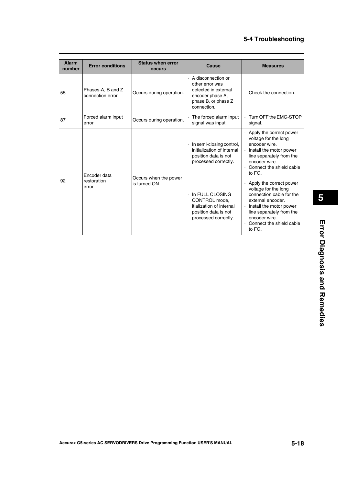| <b>Alarm</b><br>number | <b>Error conditions</b>               | <b>Status when error</b><br><b>OCCULS</b> | Cause                                                                                                                   | <b>Measures</b>                                                                                                                                                                                                                |
|------------------------|---------------------------------------|-------------------------------------------|-------------------------------------------------------------------------------------------------------------------------|--------------------------------------------------------------------------------------------------------------------------------------------------------------------------------------------------------------------------------|
| 55                     | Phases-A, B and Z<br>connection error | Occurs during operation.                  | A disconnection or<br>other error was<br>detected in external<br>encoder phase A,<br>phase B, or phase Z<br>connection. | $\cdot$ Check the connection.                                                                                                                                                                                                  |
| 87                     | Forced alarm input<br>error           | Occurs during operation.                  | The forced alarm input<br>signal was input.                                                                             | Turn OFF the EMG-STOP<br>signal.                                                                                                                                                                                               |
| 92                     | Encoder data<br>restoration<br>error  | Occurs when the power<br>is turned ON.    | In semi-closing control,<br>initialization of internal<br>position data is not<br>processed correctly.                  | Apply the correct power<br>voltage for the long<br>encoder wire.<br>· Install the motor power<br>line separately from the<br>encoder wire.<br>$\cdot$ Connect the shield cable<br>to FG.                                       |
|                        |                                       |                                           | In FULL CLOSING<br>CONTROL mode,<br>itialization of internal<br>position data is not<br>processed correctly.            | $\cdot$ Apply the correct power<br>voltage for the long<br>connection cable for the<br>external encoder.<br>$\cdot$ lnstall the motor power<br>line separately from the<br>encoder wire.<br>Connect the shield cable<br>to FG. |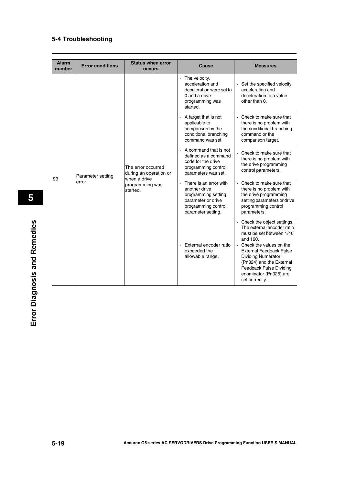| <b>Alarm</b><br>number | <b>Error conditions</b>    | <b>Status when error</b><br><b>OCCUIS</b>                                                   | Cause                                                                                                                             | <b>Measures</b>                                                                                                                                                                                                                                                                                                |
|------------------------|----------------------------|---------------------------------------------------------------------------------------------|-----------------------------------------------------------------------------------------------------------------------------------|----------------------------------------------------------------------------------------------------------------------------------------------------------------------------------------------------------------------------------------------------------------------------------------------------------------|
| 93                     | Parameter setting<br>error | The error occurred<br>during an operation or<br>when a drive<br>programming was<br>started. | $\cdot$ The velocity,<br>acceleration and<br>deceleration were set to<br>0 and a drive<br>programming was<br>started.             | $\cdot$ Set the specified velocity,<br>acceleration and<br>deceleration to a value<br>other than 0.                                                                                                                                                                                                            |
|                        |                            |                                                                                             | A target that is not<br>applicable to<br>comparison by the<br>conditional branching<br>command was set.                           | . Check to make sure that<br>there is no problem with<br>the conditional branching<br>command or the<br>comparison target.                                                                                                                                                                                     |
|                        |                            |                                                                                             | $\cdot$ A command that is not<br>defined as a command<br>code for the drive<br>programming control<br>parameters was set.         | Check to make sure that<br>there is no problem with<br>the drive programming<br>control parameters.                                                                                                                                                                                                            |
|                        |                            |                                                                                             | There is an error with<br>another drive<br>programming setting<br>parameter or drive<br>programming control<br>parameter setting. | . Check to make sure that<br>there is no problem with<br>the drive programming<br>setting parameters or drive<br>programming control<br>parameters.                                                                                                                                                            |
|                        |                            |                                                                                             | External encoder ratio<br>exceeded the<br>allowable range.                                                                        | · Check the object settings.<br>The external encoder ratio<br>must be set between 1/40<br>and 160.<br>$\cdot$ Check the values on the<br><b>External Feedback Pulse</b><br><b>Dividing Numerator</b><br>(Pn324) and the External<br><b>Feedback Pulse Dividing</b><br>enominator (Pn325) are<br>set correctly. |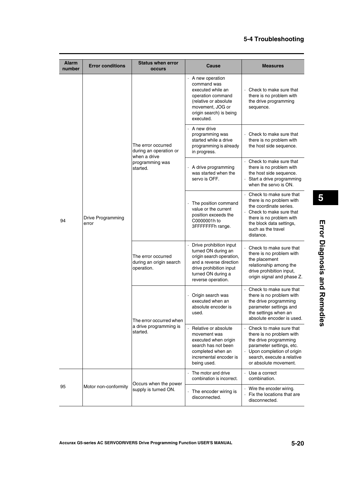| <b>Alarm</b><br>number | <b>Error conditions</b>    | <b>Status when error</b><br><b>occurs</b>                                                   | Cause                                                                                                                                                                        | <b>Measures</b>                                                                                                                                                                                     |
|------------------------|----------------------------|---------------------------------------------------------------------------------------------|------------------------------------------------------------------------------------------------------------------------------------------------------------------------------|-----------------------------------------------------------------------------------------------------------------------------------------------------------------------------------------------------|
| 94                     |                            | The error occurred<br>during an operation or<br>when a drive<br>programming was<br>started. | $\cdot$ A new operation<br>command was<br>executed while an<br>operation command<br>(relative or absolute<br>movement, JOG or<br>origin search) is being<br>executed.        | Check to make sure that<br>there is no problem with<br>the drive programming<br>sequence.                                                                                                           |
|                        |                            |                                                                                             | $\cdot$ A new drive<br>programming was<br>started while a drive<br>programming is already<br>in progress.                                                                    | Check to make sure that<br>there is no problem with<br>the host side sequence.                                                                                                                      |
|                        |                            |                                                                                             | A drive programming<br>was started when the<br>servo is OFF.                                                                                                                 | Check to make sure that<br>there is no problem with<br>the host side sequence.<br>Start a drive programming<br>when the servo is ON.                                                                |
|                        | Drive Programming<br>error |                                                                                             | The position command<br>value or the current<br>position exceeds the<br>C0000001h to<br>3FFFFFFFh range.                                                                     | Check to make sure that<br>there is no problem with<br>the coordinate series.<br>Check to make sure that<br>there is no problem with<br>the block data settings,<br>such as the travel<br>distance. |
|                        |                            | The error occurred<br>during an origin search<br>operation.                                 | Drive prohibition input<br>turned ON during an<br>origin search operation,<br>and a reverse direction<br>drive prohibition input<br>turned ON during a<br>reverse operation. | Check to make sure that<br>there is no problem with<br>the placement<br>relationship among the<br>drive prohibition input,<br>origin signal and phase Z.                                            |
|                        |                            | The error occurred when<br>a drive programming is<br>started.                               | Origin search was<br>executed when an<br>absolute encoder is<br>used.                                                                                                        | Check to make sure that<br>there is no problem with<br>the drive programming<br>parameter settings and<br>the settings when an<br>absolute encoder is used.                                         |
|                        |                            |                                                                                             | Relative or absolute<br>movement was<br>executed when origin<br>search has not been<br>completed when an<br>incremental encoder is<br>being used.                            | Check to make sure that<br>there is no problem with<br>the drive programming<br>parameter settings, etc.<br>Upon completion of origin<br>search, execute a relative<br>or absolute movement.        |
|                        |                            | Occurs when the power                                                                       | The motor and drive<br>combination is incorrect.                                                                                                                             | Use a correct<br>combination.                                                                                                                                                                       |
| 95                     | Motor non-conformity       | supply is turned ON.                                                                        | The encoder wiring is<br>disconnected.                                                                                                                                       | Wire the encoder wiring.<br>Fix the locations that are<br>disconnected.                                                                                                                             |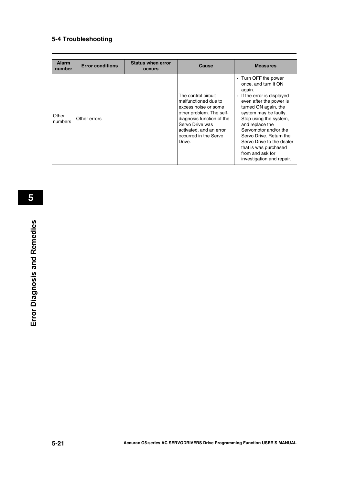| <b>Alarm</b><br>number | <b>Error conditions</b> | <b>Status when error</b><br><b>OCCULS</b> | Cause                                                                                                                                                                                                         | <b>Measures</b>                                                                                                                                                                                                                                                                                                                                                                    |
|------------------------|-------------------------|-------------------------------------------|---------------------------------------------------------------------------------------------------------------------------------------------------------------------------------------------------------------|------------------------------------------------------------------------------------------------------------------------------------------------------------------------------------------------------------------------------------------------------------------------------------------------------------------------------------------------------------------------------------|
| Other<br>numbers       | Other errors            |                                           | The control circuit<br>malfunctioned due to<br>excess noise or some<br>other problem. The self-<br>diagnosis function of the<br>Servo Drive was<br>activated, and an error<br>occurred in the Servo<br>Drive. | Turn OFF the power<br>once, and turn it ON<br>again.<br>If the error is displayed<br>$\bullet$<br>even after the power is<br>turned ON again, the<br>system may be faulty.<br>Stop using the system,<br>and replace the<br>Servomotor and/or the<br>Servo Drive, Return the<br>Servo Drive to the dealer<br>that is was purchased<br>from and ask for<br>investigation and repair. |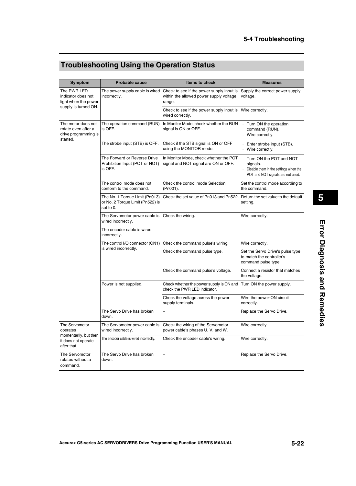# **Troubleshooting Using the Operation Status**

| Symptom                                                                       | <b>Probable cause</b>                                                           | <b>Items to check</b>                                                                          | <b>Measures</b>                                                                                                   |
|-------------------------------------------------------------------------------|---------------------------------------------------------------------------------|------------------------------------------------------------------------------------------------|-------------------------------------------------------------------------------------------------------------------|
| The PWR LED<br>indicator does not<br>light when the power                     | The power supply cable is wired<br>incorrectly.                                 | Check to see if the power supply input is<br>within the allowed power supply voltage<br>range. | Supply the correct power supply<br>voltage.                                                                       |
| supply is turned ON.                                                          |                                                                                 | Check to see if the power supply input is<br>wired correctly.                                  | Wire correctly.                                                                                                   |
| The motor does not<br>rotate even after a<br>drive programming is<br>started. | The operation command (RUN)<br>is OFF.                                          | In Monitor Mode, check whether the RUN<br>signal is ON or OFF.                                 | Turn ON the operation<br>$\cdot$<br>command (RUN).<br>· Wire correctly.                                           |
|                                                                               | The strobe input (STB) is OFF.                                                  | Check if the STB signal is ON or OFF<br>using the MONITOR mode.                                | Enter strobe input (STB).<br>· Wire correctly.                                                                    |
|                                                                               | The Forward or Reverse Drive<br>Prohibition Input (POT or NOT)<br>is OFF.       | In Monitor Mode, check whether the POT<br>signal and NOT signal are ON or OFF.                 | Turn ON the POT and NOT<br>signals.<br>Disable them in the settings when the<br>POT and NOT signals are not used. |
|                                                                               | The control mode does not<br>conform to the command.                            | Check the control mode Selection<br>(Pn001).                                                   | Set the control mode according to<br>the command.                                                                 |
|                                                                               | The No. 1 Torque Limit (Pn013)<br>or No. 2 Torque Limit (Pn522) is<br>set to 0. | Check the set value of Pn013 and Pn522.                                                        | Return the set value to the default<br>setting.                                                                   |
|                                                                               | The Servomotor power cable is<br>wired incorrectly.                             | Check the wiring.                                                                              | Wire correctly.                                                                                                   |
|                                                                               | The encoder cable is wired<br>incorrectly.                                      |                                                                                                |                                                                                                                   |
|                                                                               | The control I/O connector (CN1)                                                 | Check the command pulse's wiring.                                                              | Wire correctly.                                                                                                   |
|                                                                               | is wired incorrectly.                                                           | Check the command pulse type.                                                                  | Set the Servo Drive's pulse type<br>to match the controller's<br>command pulse type.                              |
|                                                                               |                                                                                 | Check the command pulse's voltage.                                                             | Connect a resistor that matches<br>the voltage.                                                                   |
|                                                                               | Power is not supplied.                                                          | Check whether the power supply is ON and<br>check the PWR LED indicator.                       | Turn ON the power supply.                                                                                         |
|                                                                               |                                                                                 | Check the voltage across the power<br>supply terminals.                                        | Wire the power-ON circuit<br>correctly.                                                                           |
|                                                                               | The Servo Drive has broken<br>down.                                             |                                                                                                | Replace the Servo Drive.                                                                                          |
| The Servomotor<br>operates                                                    | The Servomotor power cable is<br>wired incorrectly.                             | Check the wiring of the Servomotor<br>power cable's phases U, V, and W.                        | Wire correctly.                                                                                                   |
| momentarily, but then<br>it does not operate<br>after that.                   | The encoder cable is wired incorrectly.                                         | Check the encoder cable's wiring.                                                              | Wire correctly.                                                                                                   |
| The Servomotor<br>rotates without a<br>command.                               | The Servo Drive has broken<br>down.                                             | L,                                                                                             | Replace the Servo Drive.                                                                                          |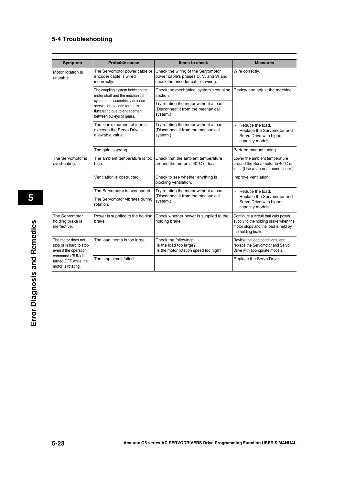| <b>Symptom</b>                                                         | <b>Probable cause</b>                                                                                                           | <b>Items to check</b>                                                                                           | <b>Measures</b>                                                                                                                          |
|------------------------------------------------------------------------|---------------------------------------------------------------------------------------------------------------------------------|-----------------------------------------------------------------------------------------------------------------|------------------------------------------------------------------------------------------------------------------------------------------|
|                                                                        |                                                                                                                                 |                                                                                                                 |                                                                                                                                          |
| Motor rotation is<br>unstable                                          | The Servomotor power cable or<br>encoder cable is wired<br>incorrectly.                                                         | Check the wiring of the Servomotor<br>power cable's phases U, V, and W and<br>check the encoder cable's wiring. | Wire correctly.                                                                                                                          |
|                                                                        | The coupling system between the<br>motor shaft and the mechanical                                                               | Check the mechanical system's coupling<br>section.                                                              | Review and adjust the machine.                                                                                                           |
|                                                                        | system has eccentricity or loose<br>screws, or the load torque is<br>fluctuating due to engagement<br>between pulleys or gears. | Try rotating the motor without a load.<br>(Disconnect it from the mechanical<br>system.)                        |                                                                                                                                          |
|                                                                        | The load's moment of inertia<br>exceeds the Servo Drive's<br>allowable value.                                                   | Try rotating the motor without a load.<br>(Disconnect it from the mechanical<br>system.)                        | $\cdot$ Reduce the load.<br>Replace the Servomotor and<br>Servo Drive with higher<br>capacity models.                                    |
|                                                                        | The gain is wrong.                                                                                                              |                                                                                                                 | Perform manual tuning.                                                                                                                   |
| The Servomotor is<br>overheating.                                      | The ambient temperature is too<br>high.                                                                                         | Check that the ambient temperature<br>around the motor is $40^{\circ}$ C or less.                               | Lower the ambient temperature<br>around the Servomotor to 40°C or<br>less. (Use a fan or air conditioner.)                               |
|                                                                        | Ventilation is obstructed.                                                                                                      | Check to see whether anything is<br>blocking ventilation.                                                       | Improve ventilation.                                                                                                                     |
|                                                                        | The Servomotor is overloaded.                                                                                                   | Try rotating the motor without a load.                                                                          | $\cdot$ Reduce the load.                                                                                                                 |
|                                                                        | The Servomotor vibrates during<br>rotation.                                                                                     | (Disconnect it from the mechanical<br>system.)                                                                  | Replace the Servomotor and<br>Servo Drive with higher<br>capacity models.                                                                |
| The Servomotor<br>holding brake is<br>ineffective.                     | Power is supplied to the holding<br>brake.                                                                                      | Check whether power is supplied to the<br>holding brake.                                                        | Configure a circuit that cuts power<br>supply to the holding brake when the<br>motor stops and the load is held by<br>the holding brake. |
| The motor does not<br>stop or is hard to stop<br>even if the operation | The load inertia is too large.                                                                                                  | Check the following:<br>Is the load too large?<br>Is the motor rotation speed too high?                         | Review the load conditions, and<br>replace the Servomotor and Servo<br>Drive with appropriate models.                                    |
| command (RUN) is<br>turned OFF while the<br>motor is rotating.         | The stop circuit failed.                                                                                                        |                                                                                                                 | Replace the Servo Drive.                                                                                                                 |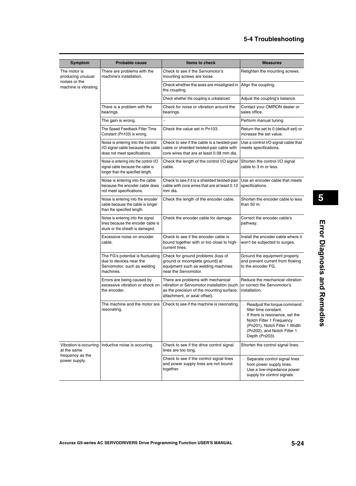| Symptom                                                   | <b>Probable cause</b>                                                                                            | <b>Items to check</b>                                                                                                                                          | <b>Measures</b>                                                                                                                                                                                                    |
|-----------------------------------------------------------|------------------------------------------------------------------------------------------------------------------|----------------------------------------------------------------------------------------------------------------------------------------------------------------|--------------------------------------------------------------------------------------------------------------------------------------------------------------------------------------------------------------------|
| The motor is<br>producing unusual                         | There are problems with the<br>machine's installation.                                                           | Check to see if the Servomotor's<br>mounting screws are loose.                                                                                                 | Retighten the mounting screws.                                                                                                                                                                                     |
| noises or the<br>machine is vibrating.                    |                                                                                                                  | Check whether the axes are misaligned in<br>the coupling.                                                                                                      | Align the coupling.                                                                                                                                                                                                |
|                                                           |                                                                                                                  | Check whether the coupling is unbalanced.                                                                                                                      | Adjust the coupling's balance.                                                                                                                                                                                     |
|                                                           | There is a problem with the<br>bearings.                                                                         | Check for noise or vibration around the<br>bearings.                                                                                                           | Contact your OMRON dealer or<br>sales office.                                                                                                                                                                      |
|                                                           | The gain is wrong.                                                                                               |                                                                                                                                                                | Perform manual tuning.                                                                                                                                                                                             |
|                                                           | The Speed Feedback Filter Time<br>Constant (Pn103) is wrong.                                                     | Check the value set in Pn103.                                                                                                                                  | Return the set to 0 (default set) or<br>increase the set value.                                                                                                                                                    |
|                                                           | Noise is entering into the control<br>I/O signal cable because the cable<br>does not meet specifications.        | Check to see if the cable is a twisted-pair<br>cable or shielded twisted-pair cable with<br>core wires that are at least 0.08 mm dia.                          | Use a control I/O signal cable that<br>meets specifications.                                                                                                                                                       |
|                                                           | Noise is entering into the control I/O<br>signal cable because the cable is<br>longer than the specified length. | Check the length of the control I/O signal<br>cable.                                                                                                           | Shorten the control I/O signal<br>cable to 3 m or less.                                                                                                                                                            |
|                                                           | Noise is entering into the cable<br>because the encoder cable does<br>not meet specifications.                   | Check to see if it is a shielded twisted-pair<br>cable with core wires that are at least 0.12<br>mm dia.                                                       | Use an encoder cable that meets<br>specifications.                                                                                                                                                                 |
|                                                           | Noise is entering into the encoder<br>cable because the cable is longer<br>than the specified length.            | Check the length of the encoder cable.                                                                                                                         | Shorten the encoder cable to less<br>than 50 m.                                                                                                                                                                    |
|                                                           | Noise is entering into the signal<br>lines because the encoder cable is<br>stuck or the sheath is damaged.       | Check the encoder cable for damage.                                                                                                                            | Correct the encoder cable's<br>pathway.                                                                                                                                                                            |
|                                                           | Excessive noise on encoder<br>cable.                                                                             | Check to see if the encoder cable is<br>bound together with or too close to high-<br>current lines.                                                            | Install the encoder cable where it<br>won't be subjected to surges.                                                                                                                                                |
|                                                           | The FG's potential is fluctuating<br>due to devices near the<br>Servomotor, such as welding<br>machines.         | Check for ground problems (loss of<br>ground or incomplete ground) at<br>equipment such as welding machines<br>near the Servomotor.                            | Ground the equipment properly<br>and prevent current from flowing<br>to the encoder FG.                                                                                                                            |
|                                                           | Errors are being caused by<br>excessive vibration or shock on<br>the encoder.                                    | There are problems with mechanical<br>vibration or Servomotor installation (such<br>as the precision of the mounting surface,<br>attachment, or axial offset). | Reduce the mechanical vibration<br>or correct the Servomotor's<br>installation.                                                                                                                                    |
|                                                           | The machine and the motor are<br>resonating.                                                                     | Check to see if the machine is resonating.                                                                                                                     | $\epsilon$<br>Readjust the torque command<br>filter time constant.<br>If there is resonance, set the<br>Notch Filter 1 Frequency<br>(Pn201), Notch Filter 1 Width<br>(Pn202), and Notch Filter 1<br>Depth (Pn203). |
| Vibration is occurring<br>at the same<br>frequency as the | Inductive noise is occurring.                                                                                    | Check to see if the drive control signal<br>lines are too long.                                                                                                | Shorten the control signal lines.                                                                                                                                                                                  |
| power supply.                                             |                                                                                                                  | Check to see if the control signal lines<br>and power supply lines are not bound<br>together.                                                                  | Separate control signal lines<br>from power supply lines.<br>· Use a low-impedance power<br>supply for control signals.                                                                                            |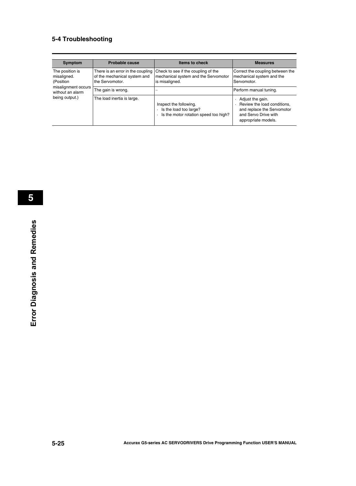| <b>Symptom</b>                              | Probable cause                                                                       | Items to check                                                                                | <b>Measures</b>                                                                                                              |
|---------------------------------------------|--------------------------------------------------------------------------------------|-----------------------------------------------------------------------------------------------|------------------------------------------------------------------------------------------------------------------------------|
| The position is<br>misaligned.<br>(Position | There is an error in the coupling<br>of the mechanical system and<br>the Servomotor. | Check to see if the coupling of the<br>mechanical system and the Servomotor<br>is misaligned. | Correct the coupling between the<br>mechanical system and the<br>Servomotor.                                                 |
| misalignment occurs<br>without an alarm     | The gain is wrong.                                                                   |                                                                                               | Perform manual tuning.                                                                                                       |
| being output.)                              | The load inertia is large.                                                           | Inspect the following.<br>Is the load too large?<br>Is the motor rotation speed too high?     | Adjust the gain.<br>Review the load conditions,<br>and replace the Servomotor<br>and Servo Drive with<br>appropriate models. |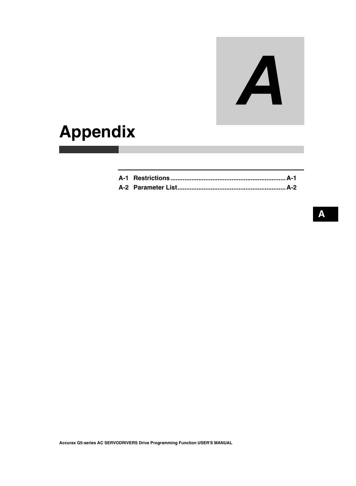# A

# **Appendix**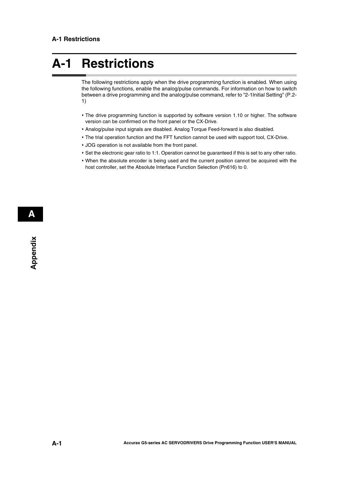# <span id="page-89-0"></span>**A-1 Restrictions**

The following restrictions apply when the drive programming function is enabled. When using the following functions, enable the analog/pulse commands. For information on how to switch between a drive programming and the analog/pulse command, refer to "2-1Initial Setting" ([P.2-](#page-21-0) [1](#page-21-0))

- The drive programming function is supported by software version 1.10 or higher. The software version can be confirmed on the front panel or the CX-Drive.
- Analog/pulse input signals are disabled. Analog Torque Feed-forward is also disabled.
- The trial operation function and the FFT function cannot be used with support tool, CX-Drive.
- JOG operation is not available from the front panel.
- Set the electronic gear ratio to 1:1. Operation cannot be guaranteed if this is set to any other ratio.
- When the absolute encoder is being used and the current position cannot be acquired with the host controller, set the Absolute Interface Function Selection (Pn616) to 0.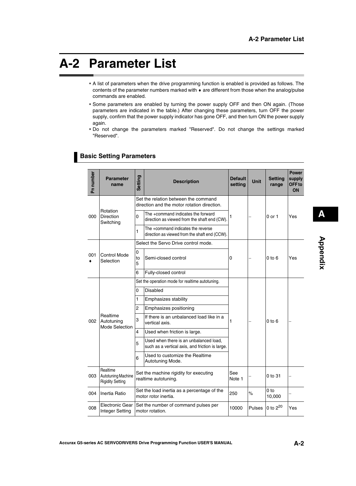# <span id="page-90-0"></span>**A-2 Parameter List**

- A list of parameters when the drive programming function is enabled is provided as follows. The contents of the parameter numbers marked with  $\bullet$  are different from those when the analog/pulse commands are enabled.
- Some parameters are enabled by turning the power supply OFF and then ON again. (Those parameters are indicated in the table.) After changing these parameters, turn OFF the power supply, confirm that the power supply indicator has gone OFF, and then turn ON the power supply again.
- Do not change the parameters marked "Reserved". Do not change the settings marked "Reserved".

| Pn number | <b>Parameter</b><br>name                                  | <b>Setting</b>                                  | <b>Description</b>                                                                        | <b>Default</b><br>setting | <b>Unit</b>                     | <b>Setting</b><br>range   | <b>Power</b><br>supply<br>OFF <sub>to</sub><br>ON |
|-----------|-----------------------------------------------------------|-------------------------------------------------|-------------------------------------------------------------------------------------------|---------------------------|---------------------------------|---------------------------|---------------------------------------------------|
|           |                                                           |                                                 | Set the relation between the command<br>direction and the motor rotation direction.       |                           |                                 | 0 or 1                    |                                                   |
| 000       | Rotation<br>Direction<br>Switching                        | 0                                               | The +command indicates the forward<br>direction as viewed from the shaft end (CW).        | 1                         |                                 |                           | Yes                                               |
|           |                                                           | 1                                               | The +command indicates the reverse<br>direction as viewed from the shaft end (CCW).       |                           |                                 |                           |                                                   |
|           |                                                           |                                                 | Select the Servo Drive control mode.                                                      |                           | 0 to 6<br>$0$ to $6$<br>0 to 31 |                           |                                                   |
| 001       | <b>Control Mode</b><br>Selection                          | 0<br>to<br>5                                    | Semi-closed control                                                                       | 0                         |                                 |                           | Yes                                               |
|           |                                                           | 6                                               | Fully-closed control                                                                      |                           |                                 |                           |                                                   |
|           |                                                           | Set the operation mode for realtime autotuning. |                                                                                           |                           |                                 |                           |                                                   |
|           |                                                           | 0                                               | <b>Disabled</b>                                                                           | 1                         |                                 |                           |                                                   |
|           |                                                           | 1                                               | Emphasizes stability                                                                      |                           |                                 |                           |                                                   |
|           |                                                           | 2                                               | Emphasizes positioning                                                                    |                           |                                 |                           |                                                   |
| 002       | Realtime<br>Autotuning<br>Mode Selection                  | 3                                               | If there is an unbalanced load like in a<br>vertical axis.                                |                           |                                 |                           |                                                   |
|           |                                                           | 4                                               | Used when friction is large.                                                              |                           |                                 |                           |                                                   |
|           |                                                           | 5                                               | Used when there is an unbalanced load,<br>such as a vertical axis, and friction is large. |                           |                                 |                           |                                                   |
|           |                                                           | 6                                               | Used to customize the Realtime<br>Autotuning Mode.                                        |                           |                                 |                           |                                                   |
| 003       | Realtime<br>Autotuning Machine<br><b>Rigidity Setting</b> |                                                 | Set the machine rigidity for executing<br>realtime autotuning.                            | See<br>Note 1             |                                 |                           |                                                   |
| 004       | Inertia Ratio                                             |                                                 | Set the load inertia as a percentage of the<br>motor rotor inertia.                       | 250                       | $\%$                            | 0 <sub>to</sub><br>10,000 |                                                   |
| 008       | <b>Electronic Gear</b><br>Integer Setting                 |                                                 | Set the number of command pulses per<br>motor rotation.                                   | 10000                     | Pulses                          | 0 to 2 <sup>20</sup>      | Yes                                               |

### **Basic Setting Parameters**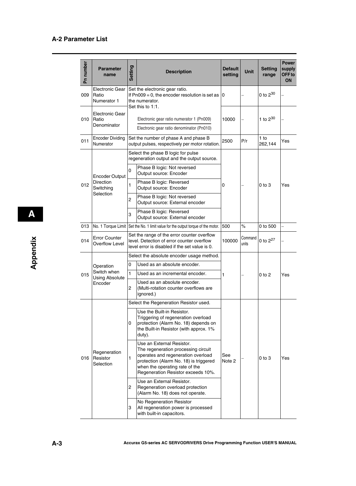| Pn number | <b>Parameter</b><br>name                       | Setting        | <b>Description</b>                                                                                                                                                                                                       | <b>Default</b><br>setting | <b>Unit</b>      | <b>Setting</b><br>range | <b>Power</b><br>supply<br>OFF to<br>ON |
|-----------|------------------------------------------------|----------------|--------------------------------------------------------------------------------------------------------------------------------------------------------------------------------------------------------------------------|---------------------------|------------------|-------------------------|----------------------------------------|
| 009       | <b>Electronic Gear</b><br>Ratio<br>Numerator 1 |                | Set the electronic gear ratio.<br>If $Pn009 = 0$ , the encoder resolution is set as<br>the numerator.<br>Set this to 1:1.                                                                                                | 0                         |                  | 0 to $2^{30}$           |                                        |
| 010       | Electronic Gear<br>Ratio<br>Denominator        |                | Electronic gear ratio numerator 1 (Pn009)<br>Electronic gear ratio denominator (Pn010)                                                                                                                                   | 10000                     |                  | 1 to $2^{30}$           |                                        |
| 011       | <b>Encoder Dividing</b><br>Numerator           |                | Set the number of phase A and phase B<br>output pulses, respectively per motor rotation.                                                                                                                                 | 2500                      | P/r              | $1$ to<br>262,144       | Yes                                    |
|           |                                                |                | Select the phase B logic for pulse<br>regeneration output and the output source.                                                                                                                                         |                           |                  |                         |                                        |
|           | <b>Encoder Output</b>                          | 0              | Phase B logic: Not reversed<br>Output source: Encoder                                                                                                                                                                    |                           |                  |                         |                                        |
| 012       | <b>Direction</b><br>Switching<br>Selection     | $\mathbf{1}$   | Phase B logic: Reversed<br>Output source: Encoder                                                                                                                                                                        | 0                         |                  | $0$ to $3$              | Yes                                    |
|           |                                                | $\overline{c}$ | Phase B logic: Not reversed<br>Output source: External encoder                                                                                                                                                           |                           |                  |                         |                                        |
|           |                                                | 3              | Phase B logic: Reversed<br>Output source: External encoder                                                                                                                                                               |                           |                  |                         |                                        |
| 013       | No. 1 Torque Limit                             |                | Set the No. 1 limit value for the output torque of the motor.                                                                                                                                                            | 500                       | $\%$             | 0 to 500                | $\overline{\phantom{0}}$               |
| 014       | <b>Error Counter</b><br><b>Overflow Level</b>  |                | Set the range of the error counter overflow<br>level. Detection of error counter overflow<br>level error is disabled if the set value is 0.                                                                              | 100000                    | Command<br>units | 0 to $2^{27}$           |                                        |
|           |                                                |                | Select the absolute encoder usage method.                                                                                                                                                                                |                           |                  |                         |                                        |
|           | Operation                                      | 0              | Used as an absolute encoder.                                                                                                                                                                                             |                           |                  | $0$ to $2$              | Yes                                    |
| 015       | Switch when<br><b>Using Absolute</b>           | 1              | Used as an incremental encoder.                                                                                                                                                                                          | 1                         |                  |                         |                                        |
|           | Encoder                                        | $\overline{2}$ | Used as an absolute encoder.<br>(Multi-rotation counter overflows are<br>ignored.)                                                                                                                                       |                           |                  |                         |                                        |
|           |                                                |                | Select the Regeneration Resistor used.                                                                                                                                                                                   |                           |                  |                         |                                        |
|           |                                                | 0              | Use the Built-in Resistor.<br>Triggering of regeneration overload<br>protection (Alarm No. 18) depends on<br>the Built-in Resistor (with approx. 1%<br>duty).                                                            |                           |                  |                         |                                        |
| 016       | Regeneration<br>Resistor<br>Selection          | $\mathbf{1}$   | Use an External Resistor.<br>The regeneration processing circuit<br>operates and regeneration overload<br>protection (Alarm No. 18) is triggered<br>when the operating rate of the<br>Regeneration Resistor exceeds 10%. | See<br>Note 2             |                  | $0$ to $3$              | Yes                                    |
|           |                                                | 2              | Use an External Resistor.<br>Regeneration overload protection<br>(Alarm No. 18) does not operate.                                                                                                                        |                           |                  |                         |                                        |
|           |                                                | 3              | No Regeneration Resistor<br>All regeneration power is processed<br>with built-in capacitors.                                                                                                                             |                           |                  |                         |                                        |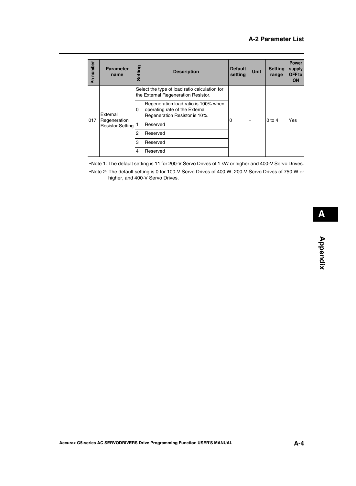| Pn number | <b>Parameter</b><br>name                            | Setting | <b>Description</b>                                                                                      | <b>Default</b><br>setting | <b>Unit</b> | <b>Setting</b><br>range | <b>Power</b><br>supply<br>OFF to<br><b>ON</b> |  |
|-----------|-----------------------------------------------------|---------|---------------------------------------------------------------------------------------------------------|---------------------------|-------------|-------------------------|-----------------------------------------------|--|
|           |                                                     |         | Select the type of load ratio calculation for<br>the External Regeneration Resistor.                    |                           |             |                         |                                               |  |
|           | External<br>Regeneration<br><b>Resistor Setting</b> | 0       | Regeneration load ratio is 100% when<br>operating rate of the External<br>Regeneration Resistor is 10%. |                           |             | $0$ to 4                | Yes                                           |  |
| 017       |                                                     |         |                                                                                                         | <b>Reserved</b>           |             |                         |                                               |  |
|           |                                                     | 2       | Reserved                                                                                                |                           |             |                         |                                               |  |
|           |                                                     | 3       | <b>Reserved</b>                                                                                         |                           |             |                         |                                               |  |
|           |                                                     | 4       | Reserved                                                                                                |                           |             |                         |                                               |  |

Note 1: The default setting is 11 for 200-V Servo Drives of 1 kW or higher and 400-V Servo Drives. Note 2: The default setting is 0 for 100-V Servo Drives of 400 W, 200-V Servo Drives of 750 W or higher, and 400-V Servo Drives.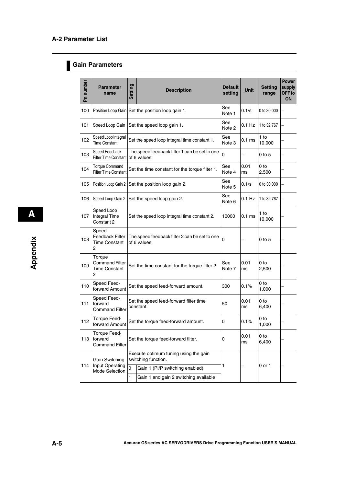## **Gain Parameters**

| Pn number | <b>Parameter</b><br>name                                     | Setting      | <b>Description</b>                                            | <b>Default</b><br>setting | Unit              | <b>Setting</b><br>range | <b>Power</b><br>supply<br>OFF to<br>ON |
|-----------|--------------------------------------------------------------|--------------|---------------------------------------------------------------|---------------------------|-------------------|-------------------------|----------------------------------------|
| 100       |                                                              |              | Position Loop Gain Set the position loop gain 1.              | See<br>Note 1             | 0.1/s             | 0 to 30,000             |                                        |
| 101       | Speed Loop Gain                                              |              | Set the speed loop gain 1.                                    | See<br>Note 2             | $0.1$ Hz          | 1 to 32,767             |                                        |
| 102       | Speed Loop Integral<br><b>Time Constant</b>                  |              | Set the speed loop integral time constant 1.                  | See<br>Note 3             | 0.1 <sub>ms</sub> | 1 to<br>10,000          |                                        |
| 103       | Speed Feedback<br>Filter Time Constant                       |              | The speed feedback filter 1 can be set to one<br>of 6 values. | $\mathbf 0$               |                   | $0$ to $5$              |                                        |
| 104       | <b>Torque Command</b><br>Filter Time Constant                |              | Set the time constant for the torque filter 1.                | See<br>Note 4             | 0.01<br>ms        | 0 to<br>2,500           |                                        |
| 105       | Position Loop Gain 2                                         |              | Set the position loop gain 2.                                 | See<br>Note 5             | 0.1/s             | 0 to 30,000             |                                        |
| 106       | Speed Loop Gain 2                                            |              | Set the speed loop gain 2.                                    | See<br>Note <sub>6</sub>  | $0.1$ Hz          | 1 to 32,767             |                                        |
| 107       | Speed Loop<br><b>Integral Time</b><br>Constant 2             |              | Set the speed loop integral time constant 2.                  | 10000                     | 0.1 <sub>ms</sub> | 1 to<br>10,000          |                                        |
| 108       | Speed<br><b>Feedback Filter</b><br><b>Time Constant</b><br>2 |              | The speed feedback filter 2 can be set to one<br>of 6 values. | 0                         |                   | $0$ to $5$              |                                        |
| 109       | Torque<br><b>Command Filter</b><br><b>Time Constant</b><br>2 |              | Set the time constant for the torque filter 2.                | See<br>Note 7             | 0.01<br>ms        | 0 to<br>2,500           |                                        |
| 110       | Speed Feed-<br>forward Amount                                |              | Set the speed feed-forward amount.                            | 300                       | 0.1%              | 0 to<br>1,000           |                                        |
| 111       | Speed Feed-<br>forward<br><b>Command Filter</b>              |              | Set the speed feed-forward filter time<br>constant.           | 50                        | 0.01<br>ms        | 0 to<br>6,400           |                                        |
| 112       | Torque Feed-<br>forward Amount                               |              | Set the torque feed-forward amount.                           | 0                         | 0.1%              | 0 to<br>1,000           |                                        |
| 113       | Torque Feed-<br>forward<br><b>Command Filter</b>             |              | Set the torque feed-forward filter.                           | 0                         | 0.01<br>ms        | 0 to<br>6,400           |                                        |
|           | Gain Switching                                               |              | Execute optimum tuning using the gain<br>switching function.  |                           |                   |                         |                                        |
| 114       | Input Operating<br>Mode Selection                            | 0            | Gain 1 (PI/P switching enabled)                               | 1                         |                   | $0$ or $1$              |                                        |
|           |                                                              | $\mathbf{1}$ | Gain 1 and gain 2 switching available                         |                           |                   |                         |                                        |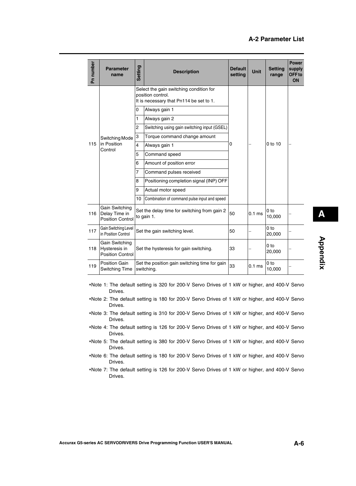| Pn number | <b>Parameter</b><br>name                                   | Setting        | <b>Description</b>                                                                                      | <b>Default</b><br>setting | <b>Unit</b> | <b>Setting</b><br>range   | <b>Power</b><br>supply<br>OFF to<br>ON |
|-----------|------------------------------------------------------------|----------------|---------------------------------------------------------------------------------------------------------|---------------------------|-------------|---------------------------|----------------------------------------|
|           |                                                            |                | Select the gain switching condition for<br>position control.<br>It is necessary that Pn114 be set to 1. |                           |             |                           |                                        |
|           |                                                            | 0              | Always gain 1                                                                                           |                           |             |                           |                                        |
|           |                                                            | 1              | Always gain 2                                                                                           |                           |             |                           |                                        |
|           |                                                            | $\overline{c}$ | Switching using gain switching input (GSEL)                                                             |                           |             |                           |                                        |
|           | Switching Mode                                             | 3              | Torque command change amount                                                                            |                           |             | $0$ to 10                 |                                        |
| 115       | in Position<br>Control                                     | $\overline{4}$ | Always gain 1                                                                                           | 0                         |             |                           |                                        |
|           |                                                            | 5              | Command speed                                                                                           |                           |             |                           |                                        |
|           |                                                            | 6              | Amount of position error                                                                                |                           |             |                           |                                        |
|           |                                                            | 7              | Command pulses received                                                                                 |                           |             |                           |                                        |
|           |                                                            | 8              | Positioning completion signal (INP) OFF                                                                 |                           |             |                           |                                        |
|           |                                                            | 9              | Actual motor speed                                                                                      |                           |             |                           |                                        |
|           |                                                            | 10             | Combination of command pulse input and speed                                                            |                           |             |                           |                                        |
| 116       | Gain Switching<br>Delay Time in<br><b>Position Control</b> |                | Set the delay time for switching from gain 2<br>to gain 1.                                              | 50                        | $0.1$ ms    | 0 <sub>to</sub><br>10,000 |                                        |
| 117       | Gain Switching Level<br>in Position Control                |                | Set the gain switching level.                                                                           | 50                        |             | 0 <sub>to</sub><br>20,000 |                                        |
| 118       | Gain Switching<br>Hysteresis in<br><b>Position Control</b> |                | Set the hysteresis for gain switching.                                                                  | 33                        |             | 0 <sub>to</sub><br>20,000 |                                        |
| 119       | Position Gain<br>Switching Time                            |                | Set the position gain switching time for gain<br>switching.                                             | 33                        | $0.1$ ms    | 0 to<br>10,000            |                                        |

- Note 1: The default setting is 320 for 200-V Servo Drives of 1 kW or higher, and 400-V Servo Drives.
- Note 2: The default setting is 180 for 200-V Servo Drives of 1 kW or higher, and 400-V Servo Drives.
- Note 3: The default setting is 310 for 200-V Servo Drives of 1 kW or higher, and 400-V Servo Drives.
- Note 4: The default setting is 126 for 200-V Servo Drives of 1 kW or higher, and 400-V Servo Drives.
- Note 5: The default setting is 380 for 200-V Servo Drives of 1 kW or higher, and 400-V Servo Drives.
- Note 6: The default setting is 180 for 200-V Servo Drives of 1 kW or higher, and 400-V Servo Drives.
- Note 7: The default setting is 126 for 200-V Servo Drives of 1 kW or higher, and 400-V Servo Drives.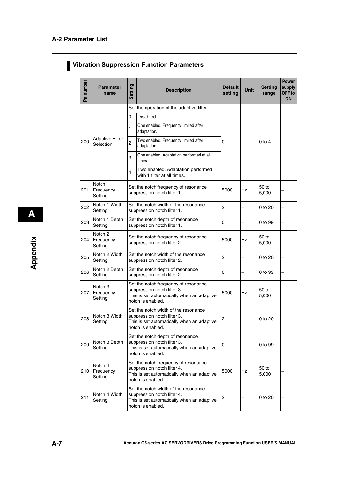# **Vibration Suppression Function Parameters**

| Pn number | <b>Parameter</b><br>name                   | Setting | <b>Description</b>                                                                                                                     | <b>Default</b><br>setting | <b>Unit</b> | <b>Setting</b><br>range | <b>Power</b><br>supply<br>OFF to<br>ON |
|-----------|--------------------------------------------|---------|----------------------------------------------------------------------------------------------------------------------------------------|---------------------------|-------------|-------------------------|----------------------------------------|
|           |                                            |         | Set the operation of the adaptive filter.                                                                                              |                           |             |                         |                                        |
|           |                                            | 0       | Disabled                                                                                                                               |                           |             |                         |                                        |
|           |                                            | 1       | One enabled. Frequency limited after<br>adaptation.                                                                                    |                           |             |                         |                                        |
| 200       | <b>Adaptive Filter</b><br>Selection        | 2       | Two enabled. Frequency limited after<br>adaptation.                                                                                    | 0                         |             | $0$ to 4                |                                        |
|           |                                            | 3       | One enabled. Adaptation performed at all<br>times.                                                                                     |                           |             |                         |                                        |
|           |                                            | 4       | Two enabled. Adaptation performed<br>with 1 filter at all times.                                                                       |                           |             |                         |                                        |
| 201       | Notch 1<br>Frequency<br>Setting            |         | Set the notch frequency of resonance<br>suppression notch filter 1.                                                                    | 5000                      | <b>Hz</b>   | 50 to<br>5,000          |                                        |
| 202       | Notch 1 Width<br>Setting                   |         | Set the notch width of the resonance<br>suppression notch filter 1.                                                                    | $\overline{c}$            |             | 0 to 20                 |                                        |
| 203       | Notch 1 Depth<br>Setting                   |         | Set the notch depth of resonance<br>suppression notch filter 1.                                                                        | 0                         |             | 0 to 99                 |                                        |
| 204       | Notch <sub>2</sub><br>Frequency<br>Setting |         | Set the notch frequency of resonance<br>suppression notch filter 2.                                                                    | 5000                      | Hz          | 50 to<br>5,000          |                                        |
| 205       | Notch 2 Width<br>Setting                   |         | Set the notch width of the resonance<br>suppression notch filter 2.                                                                    | $\overline{c}$            |             | 0 to 20                 |                                        |
| 206       | Notch 2 Depth<br>Setting                   |         | Set the notch depth of resonance<br>suppression notch filter 2.                                                                        | 0                         |             | 0 to 99                 |                                        |
| 207       | Notch <sub>3</sub><br>Frequency<br>Setting |         | Set the notch frequency of resonance<br>suppression notch filter 3.<br>This is set automatically when an adaptive<br>notch is enabled. | 5000                      | <b>Hz</b>   | 50 to<br>5,000          |                                        |
| 208       | Notch 3 Width<br>Setting                   |         | Set the notch width of the resonance<br>suppression notch filter 3.<br>This is set automatically when an adaptive<br>notch is enabled. | 2                         |             | 0 to 20                 |                                        |
| 209       | Notch 3 Depth<br>Setting                   |         | Set the notch depth of resonance<br>suppression notch filter 3.<br>This is set automatically when an adaptive<br>notch is enabled.     | 0                         |             | 0 to 99                 |                                        |
| 210       | Notch 4<br>Frequency<br>Setting            |         | Set the notch frequency of resonance<br>suppression notch filter 4.<br>This is set automatically when an adaptive<br>notch is enabled. | 5000                      | Hz          | 50 to<br>5,000          |                                        |
| 211       | Notch 4 Width<br>Setting                   |         | Set the notch width of the resonance<br>suppression notch filter 4.<br>This is set automatically when an adaptive<br>notch is enabled. | 2                         |             | 0 to 20                 |                                        |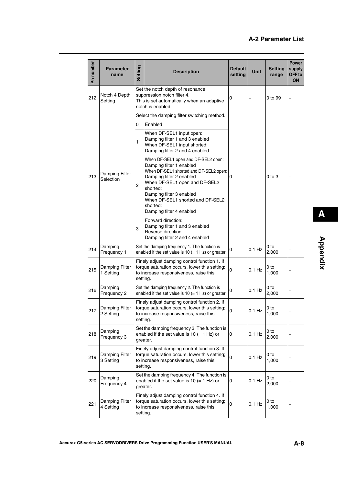| Pn number | <b>Parameter</b><br>name    | Setting  | <b>Description</b>                                                                                                                                                                                                                                                                         | <b>Default</b><br>setting | <b>Unit</b> | <b>Setting</b><br>range  | <b>Power</b><br>supply<br>OFF <sub>to</sub><br><b>ON</b> |
|-----------|-----------------------------|----------|--------------------------------------------------------------------------------------------------------------------------------------------------------------------------------------------------------------------------------------------------------------------------------------------|---------------------------|-------------|--------------------------|----------------------------------------------------------|
| 212       | Notch 4 Depth<br>Setting    |          | Set the notch depth of resonance<br>suppression notch filter 4.<br>This is set automatically when an adaptive<br>notch is enabled.                                                                                                                                                         | 0                         |             | 0 to 99                  |                                                          |
|           |                             |          | Select the damping filter switching method.                                                                                                                                                                                                                                                |                           |             |                          |                                                          |
|           |                             | 0        | Enabled                                                                                                                                                                                                                                                                                    |                           |             |                          |                                                          |
|           |                             | 1        | When DF-SEL1 input open:<br>Damping filter 1 and 3 enabled<br>When DF-SEL1 input shorted:<br>Damping filter 2 and 4 enabled                                                                                                                                                                |                           |             | $0$ to $3$               |                                                          |
| 213       | Damping Filter<br>Selection | 2        | When DF-SEL1 open and DF-SEL2 open:<br>Damping filter 1 enabled<br>When DF-SEL1 shorted and DF-SEL2 open:<br>Damping filter 2 enabled<br>When DF-SEL1 open and DF-SEL2<br>shorted:<br>Damping filter 3 enabled<br>When DF-SEL1 shorted and DF-SEL2<br>shorted:<br>Damping filter 4 enabled | 0                         |             |                          |                                                          |
|           |                             | 3        | Forward direction:<br>Damping filter 1 and 3 enabled<br>Reverse direction:<br>Damping filter 2 and 4 enabled                                                                                                                                                                               |                           |             |                          |                                                          |
| 214       | Damping<br>Frequency 1      |          | Set the damping frequency 1. The function is<br>enabled if the set value is 10 $(= 1$ Hz) or greater.                                                                                                                                                                                      | 0                         | $0.1$ Hz    | 0 to<br>2,000            |                                                          |
| 215       | Damping Filter<br>1 Setting | setting. | Finely adjust damping control function 1. If<br>torque saturation occurs, lower this setting;<br>to increase responsiveness, raise this                                                                                                                                                    | 0                         | $0.1$ Hz    | 0 to<br>1,000            |                                                          |
| 216       | Damping<br>Frequency 2      |          | Set the damping frequency 2. The function is<br>enabled if the set value is 10 $(= 1$ Hz) or greater.                                                                                                                                                                                      | 0                         | $0.1$ Hz    | 0 <sub>to</sub><br>2,000 |                                                          |
| 217       | Damping Filter<br>2 Setting | setting. | Finely adjust damping control function 2. If<br>torque saturation occurs, lower this setting;<br>to increase responsiveness, raise this                                                                                                                                                    | 0                         | $0.1$ Hz    | 0 to<br>1,000            |                                                          |
| 218       | Damping<br>Frequency 3      |          | Set the damping frequency 3. The function is<br>enabled if the set value is 10 $(= 1$ Hz) or<br>greater.                                                                                                                                                                                   | 0                         | $0.1$ Hz    | 0 to<br>2,000            |                                                          |
| 219       | Damping Filter<br>3 Setting |          | Finely adjust damping control function 3. If<br>torque saturation occurs, lower this setting;<br>to increase responsiveness, raise this<br>setting.                                                                                                                                        | 0                         | $0.1$ Hz    | 0 to<br>1,000            |                                                          |
| 220       | Damping<br>Frequency 4      |          | Set the damping frequency 4. The function is<br>enabled if the set value is $10 (= 1 Hz)$ or<br>greater.                                                                                                                                                                                   | 0                         | $0.1$ Hz    | 0 to<br>2,000            |                                                          |
| 221       | Damping Filter<br>4 Setting | setting. | Finely adjust damping control function 4. If<br>torque saturation occurs, lower this setting;<br>to increase responsiveness, raise this                                                                                                                                                    | 0                         | $0.1$ Hz    | 0 to<br>1,000            |                                                          |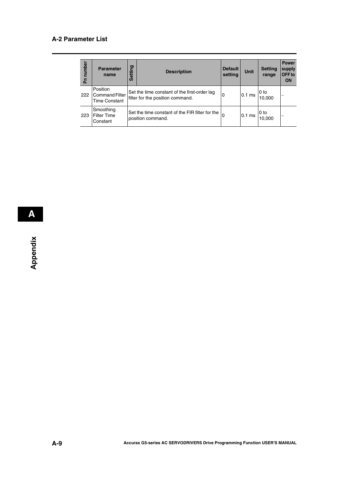### **A-2 Parameter List**

| number<br>둡 | <b>Parameter</b><br>name                                  | ත<br><b>Settin</b> | <b>Description</b>                                                               | <b>Default</b><br>setting | <b>Unit</b> | <b>Setting</b><br>range | <b>Power</b><br>supply<br>OFF to<br>ON |
|-------------|-----------------------------------------------------------|--------------------|----------------------------------------------------------------------------------|---------------------------|-------------|-------------------------|----------------------------------------|
| 222         | Position<br><b>Command Filter</b><br><b>Time Constant</b> |                    | Set the time constant of the first-order lag<br>filter for the position command. | 0                         | $10.1$ ms   | l 0 to<br>10,000        |                                        |
| 223         | Smoothing<br><b>Filter Time</b><br>Constant               |                    | Set the time constant of the FIR filter for the<br>position command.             |                           | $0.1$ ms    | l 0 to<br>10,000        | -                                      |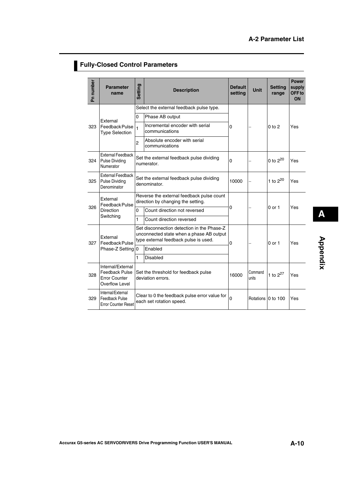# **Fully-Closed Control Parameters**

| Pn number | <b>Parameter</b><br>name                                                      | Setting        | <b>Description</b>                                                                                                              | <b>Default</b><br>setting | <b>Unit</b>         | <b>Setting</b><br>range | <b>Power</b><br>supply<br>OFF <sub>to</sub><br>ON |
|-----------|-------------------------------------------------------------------------------|----------------|---------------------------------------------------------------------------------------------------------------------------------|---------------------------|---------------------|-------------------------|---------------------------------------------------|
|           | External                                                                      |                | Select the external feedback pulse type.                                                                                        |                           |                     |                         |                                                   |
| 323       |                                                                               | 0              | Phase AB output                                                                                                                 |                           |                     |                         |                                                   |
|           | Feedback Pulse<br><b>Type Selection</b>                                       | $\blacksquare$ | Incremental encoder with serial<br>communications                                                                               | 0                         |                     | 0 to 2                  | Yes                                               |
|           |                                                                               | $\overline{c}$ | Absolute encoder with serial<br>communications                                                                                  |                           |                     |                         |                                                   |
| 324       | <b>External Feedback</b><br><b>Pulse Dividing</b><br>Numerator                |                | Set the external feedback pulse dividing<br>numerator.                                                                          | 0                         |                     | 0 to $2^{20}$           | Yes                                               |
| 325       | <b>External Feedback</b><br><b>Pulse Dividing</b><br>Denominator              |                | Set the external feedback pulse dividing<br>denominator.                                                                        | 10000                     |                     | 1 to $2^{20}$           | Yes                                               |
|           | External<br>Feedback Pulse<br><b>Direction</b>                                |                | Reverse the external feedback pulse count<br>direction by changing the setting.                                                 |                           |                     |                         |                                                   |
| 326       |                                                                               | 0              | Count direction not reversed                                                                                                    | 0                         |                     | 0 or 1                  | Yes                                               |
|           | Switching                                                                     | 1              | Count direction reversed                                                                                                        |                           |                     |                         |                                                   |
| 327       | External<br>Feedback Pulse                                                    |                | Set disconnection detection in the Phase-Z<br>unconnected state when a phase AB output<br>type external feedback pulse is used. | 0                         |                     | $0$ or $1$              | Yes                                               |
|           | Phase-Z Setting 0                                                             |                | Enabled                                                                                                                         |                           |                     |                         |                                                   |
|           |                                                                               | 1              | <b>Disabled</b>                                                                                                                 |                           |                     |                         |                                                   |
| 328       | Internal/External<br>Feedback Pulse<br><b>Error Counter</b><br>Overflow Level |                | Set the threshold for feedback pulse<br>deviation errors.                                                                       | 16000                     | Command<br>units    | 1 to $2^{27}$           | Yes                                               |
| 329       | Internal/External<br>Feedback Pulse<br><b>Error Counter Reset</b>             |                | Clear to 0 the feedback pulse error value for<br>each set rotation speed.                                                       | 0                         | Rotations 10 to 100 |                         | Yes                                               |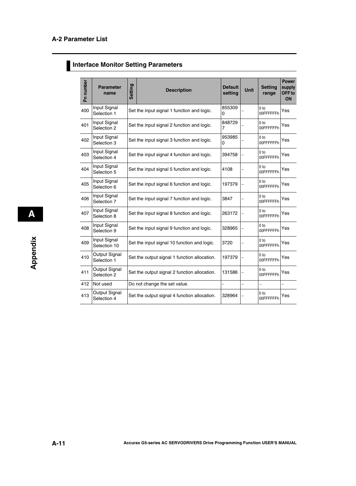# **Interface Monitor Setting Parameters**

| Pn number | <b>Parameter</b><br>name                | Setting | <b>Description</b>                           | <b>Default</b><br>setting | Unit | <b>Setting</b><br>range      | <b>Power</b><br>supply<br>OFF <sub>to</sub><br>ON |
|-----------|-----------------------------------------|---------|----------------------------------------------|---------------------------|------|------------------------------|---------------------------------------------------|
| 400       | Input Signal<br>Selection 1             |         | Set the input signal 1 function and logic.   | 855309<br>$\Omega$        |      | 0 <sub>to</sub><br>00FFFFFFh | Yes                                               |
| 401       | Input Signal<br>Selection 2             |         | Set the input signal 2 function and logic.   | 848729<br>7               |      | 0 <sub>to</sub><br>00FFFFFFh | Yes                                               |
| 402       | Input Signal<br>Selection 3             |         | Set the input signal 3 function and logic.   | 953985<br>0               |      | 0 <sub>to</sub><br>00FFFFFFh | Yes                                               |
| 403       | Input Signal<br>Selection 4             |         | Set the input signal 4 function and logic.   | 394758                    |      | 0 to<br>00FFFFFFh            | Yes                                               |
| 404       | Input Signal<br>Selection 5             |         | Set the input signal 5 function and logic.   | 4108                      |      | 0 <sub>to</sub><br>00FFFFFFh | Yes                                               |
| 405       | Input Signal<br>Selection 6             |         | Set the input signal 6 function and logic.   | 197379                    |      | 0 <sub>to</sub><br>00FFFFFFh | Yes                                               |
| 406       | Input Signal<br>Selection 7             |         | Set the input signal 7 function and logic.   | 3847                      |      | 0 <sub>to</sub><br>00FFFFFFh | Yes                                               |
| 407       | Input Signal<br>Selection 8             |         | Set the input signal 8 function and logic.   | 263172                    |      | 0 <sub>to</sub><br>00FFFFFFh | Yes                                               |
| 408       | Input Signal<br>Selection 9             |         | Set the input signal 9 function and logic.   | 328965                    |      | 0 <sub>to</sub><br>00FFFFFFh | Yes                                               |
| 409       | Input Signal<br>Selection 10            |         | Set the input signal 10 function and logic.  | 3720                      |      | 0 <sub>to</sub><br>00FFFFFFh | Yes                                               |
| 410       | Output Signal<br>Selection 1            |         | Set the output signal 1 function allocation. | 197379                    |      | 0 <sub>to</sub><br>00FFFFFFh | Yes                                               |
| 411       | Output Signal<br>Selection <sub>2</sub> |         | Set the output signal 2 function allocation. | 131586                    |      | $0$ to<br>00FFFFFFh          | Yes                                               |
| 412       | Not used                                |         | Do not change the set value.                 |                           |      | -                            |                                                   |
| 413       | Output Signal<br>Selection 4            |         | Set the output signal 4 function allocation. | 328964                    |      | 0 <sub>to</sub><br>00FFFFFFh | Yes                                               |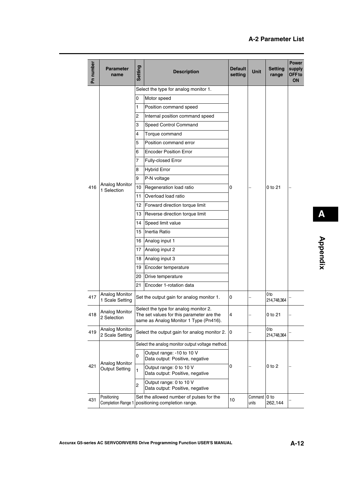| Pn number | <b>Parameter</b><br>name                 | Setting         | <b>Description</b>                                                                                                           | <b>Default</b><br>setting | <b>Unit</b>      | <b>Setting</b><br>range | <b>Power</b><br>supply<br>OFF to<br>ON |
|-----------|------------------------------------------|-----------------|------------------------------------------------------------------------------------------------------------------------------|---------------------------|------------------|-------------------------|----------------------------------------|
|           |                                          |                 | Select the type for analog monitor 1.                                                                                        |                           |                  |                         |                                        |
|           |                                          | 0               | Motor speed                                                                                                                  |                           |                  |                         |                                        |
|           |                                          | $\mathbf{1}$    | Position command speed                                                                                                       |                           |                  |                         |                                        |
|           |                                          | $\overline{c}$  | Internal position command speed                                                                                              |                           |                  |                         |                                        |
|           |                                          | 3               | Speed Control Command                                                                                                        |                           |                  |                         |                                        |
|           |                                          | 4               | Torque command                                                                                                               |                           |                  |                         |                                        |
|           |                                          | 5               | Position command error                                                                                                       |                           |                  |                         |                                        |
|           |                                          | 6               | <b>Encoder Position Error</b>                                                                                                |                           |                  |                         |                                        |
|           |                                          | $\overline{7}$  | Fully-closed Error                                                                                                           |                           |                  |                         |                                        |
|           |                                          | 8               | <b>Hybrid Error</b>                                                                                                          |                           |                  | 0 to 21                 |                                        |
|           |                                          | 9               | P-N voltage                                                                                                                  |                           |                  |                         |                                        |
| 416       | <b>Analog Monitor</b><br>1 Selection     | 10              | Regeneration load ratio                                                                                                      | $\mathbf 0$               |                  |                         |                                        |
|           |                                          | 11              | Overload load ratio                                                                                                          |                           |                  |                         |                                        |
|           |                                          | 12 <sup>1</sup> | Forward direction torque limit                                                                                               |                           |                  |                         |                                        |
|           |                                          |                 | 13   Reverse direction torque limit                                                                                          |                           |                  |                         |                                        |
|           |                                          | 14              | Speed limit value                                                                                                            |                           |                  |                         |                                        |
|           |                                          | 15              | Inertia Ratio                                                                                                                |                           |                  |                         |                                        |
|           |                                          |                 | 16 Analog input 1                                                                                                            |                           |                  |                         |                                        |
|           |                                          |                 | 17 Analog input 2                                                                                                            |                           |                  |                         |                                        |
|           |                                          | 18              | Analog input 3                                                                                                               |                           |                  |                         |                                        |
|           |                                          | 19              | Encoder temperature                                                                                                          |                           |                  |                         |                                        |
|           |                                          | 20              | Drive temperature                                                                                                            |                           |                  |                         |                                        |
|           |                                          | 21              | Encoder 1-rotation data                                                                                                      |                           |                  |                         |                                        |
| 417       | <b>Analog Monitor</b><br>1 Scale Setting |                 | Set the output gain for analog monitor 1.                                                                                    | 0                         |                  | 0 to<br>214,748,364     |                                        |
| 418       | <b>Analog Monitor</b><br>2 Selection     |                 | Select the type for analog monitor 2.<br>The set values for this parameter are the<br>same as Analog Monitor 1 Type (Pn416). | 4                         |                  | 0 to 21                 |                                        |
| 419       | <b>Analog Monitor</b><br>2 Scale Setting |                 | Select the output gain for analog monitor 2.                                                                                 | 10                        |                  | 0 to<br>214,748,364     |                                        |
|           |                                          |                 | Select the analog monitor output voltage method.                                                                             |                           |                  |                         |                                        |
|           |                                          | $\mathsf 0$     | Output range: -10 to 10 V<br>Data output: Positive, negative                                                                 |                           |                  |                         |                                        |
| 421       | Analog Monitor<br><b>Output Setting</b>  | $\mathbf{1}$    | Output range: 0 to 10 V<br>Data output: Positive, negative                                                                   | 0                         |                  | $0$ to $2$              |                                        |
|           |                                          | $\overline{c}$  | Output range: 0 to 10 V<br>Data output: Positive, negative                                                                   |                           |                  |                         |                                        |
| 431       | Positioning<br>Completion Range 1        |                 | Set the allowed number of pulses for the<br>positioning completion range.                                                    | 10                        | Command<br>units | 0 to<br>262,144         |                                        |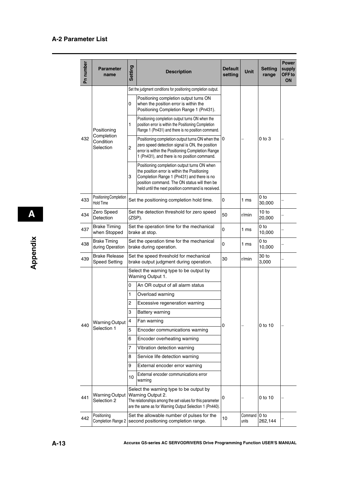| Pn number | <b>Parameter</b><br>name                     | <b>Setting</b> | <b>Description</b>                                                                                                                                                                                                                             | <b>Default</b><br>setting | <b>Unit</b>      | <b>Setting</b><br>range    | <b>Power</b><br>supply<br>OFF to<br><b>ON</b> |
|-----------|----------------------------------------------|----------------|------------------------------------------------------------------------------------------------------------------------------------------------------------------------------------------------------------------------------------------------|---------------------------|------------------|----------------------------|-----------------------------------------------|
|           |                                              |                | Set the judgment conditions for positioning completion output.                                                                                                                                                                                 |                           |                  |                            |                                               |
|           |                                              | 0              | Positioning completion output turns ON<br>when the position error is within the<br>Positioning Completion Range 1 (Pn431).                                                                                                                     |                           |                  |                            |                                               |
|           | Positioning                                  | 1              | Positioning completion output turns ON when the<br>position error is within the Positioning Completion<br>Range 1 (Pn431) and there is no position command.                                                                                    |                           |                  |                            |                                               |
| 432       | Completion<br>Condition<br>Selection         | 2              | Positioning completion output turns ON when the  O<br>zero speed detection signal is ON, the position<br>error is within the Positioning Completion Range<br>1 (Pn431), and there is no position command.                                      |                           |                  | $0$ to $3$                 |                                               |
|           |                                              | 3              | Positioning completion output turns ON when<br>the position error is within the Positioning<br>Completion Range 1 (Pn431) and there is no<br>position command. The ON status will then be<br>held until the next position command is received. |                           |                  |                            |                                               |
| 433       | Positioning Completion<br><b>Hold Time</b>   |                | Set the positioning completion hold time.                                                                                                                                                                                                      | 0                         | 1 <sub>ms</sub>  | 0 <sub>to</sub><br>30,000  |                                               |
| 434       | Zero Speed<br>Detection                      |                | Set the detection threshold for zero speed<br>50<br>$(ZSP)$ .                                                                                                                                                                                  |                           | r/min            | 10 to<br>20,000            |                                               |
| 437       | <b>Brake Timing</b><br>when Stopped          |                | Set the operation time for the mechanical<br>0<br>brake at stop.                                                                                                                                                                               |                           | 1 <sub>ms</sub>  | 0 <sub>to</sub><br>10,000  |                                               |
| 438       | <b>Brake Timing</b><br>during Operation      |                | Set the operation time for the mechanical<br>0<br>brake during operation.                                                                                                                                                                      |                           | 1 <sub>ms</sub>  | 0 to<br>10,000             |                                               |
| 439       | <b>Brake Release</b><br><b>Speed Setting</b> |                | Set the speed threshold for mechanical<br>30<br>brake output judgment during operation.                                                                                                                                                        |                           | r/min            | 30 to<br>3,000             |                                               |
|           |                                              |                | Select the warning type to be output by<br>Warning Output 1.                                                                                                                                                                                   |                           |                  |                            |                                               |
|           |                                              | 0              | An OR output of all alarm status                                                                                                                                                                                                               |                           |                  |                            |                                               |
|           |                                              | 1              | Overload warning                                                                                                                                                                                                                               |                           |                  |                            |                                               |
|           |                                              | 2              | Excessive regeneration warning                                                                                                                                                                                                                 |                           |                  |                            |                                               |
|           |                                              | 3              | <b>Battery warning</b>                                                                                                                                                                                                                         |                           |                  |                            |                                               |
|           | <b>Warning Output</b>                        | 4              | Fan warning                                                                                                                                                                                                                                    |                           |                  |                            |                                               |
| 440       | Selection 1                                  | 5              | Encoder communications warning                                                                                                                                                                                                                 | 0                         |                  | 0 to 10                    |                                               |
|           |                                              | 6              | Encoder overheating warning                                                                                                                                                                                                                    |                           |                  |                            |                                               |
|           |                                              | 7              | Vibration detection warning                                                                                                                                                                                                                    |                           |                  |                            |                                               |
|           |                                              | 8              | Service life detection warning                                                                                                                                                                                                                 |                           |                  |                            |                                               |
|           |                                              | 9              | External encoder error warning                                                                                                                                                                                                                 |                           |                  |                            |                                               |
|           |                                              | 10             | External encoder communications error<br>warning                                                                                                                                                                                               |                           |                  |                            |                                               |
| 441       | <b>Warning Output</b><br>Selection 2         |                | Select the warning type to be output by<br>Warning Output 2.<br>The relationships among the set values for this parameter<br>are the same as for Warning Output Selection 1 (Pn440).                                                           | 0                         |                  | 0 to 10                    |                                               |
| 442       | Positioning                                  |                | Set the allowable number of pulses for the<br>Completion Range 2   second positioning completion range.                                                                                                                                        | 10                        | Command<br>units | 0 <sub>to</sub><br>262,144 |                                               |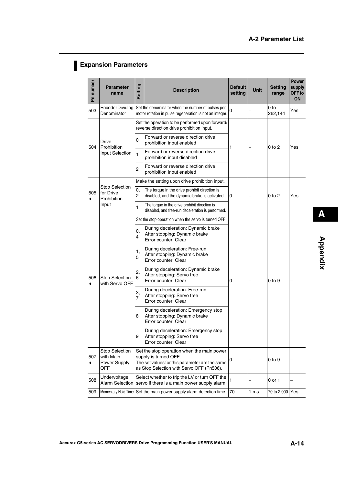# **Expansion Parameters**

| Pn number | <b>Parameter</b><br>name                                          | <b>Setting</b>       | <b>Description</b>                                                                                                                                                 | <b>Default</b><br>setting | Unit            | <b>Setting</b><br>range | <b>Power</b><br>supply<br>OFF <sub>to</sub><br>ON |
|-----------|-------------------------------------------------------------------|----------------------|--------------------------------------------------------------------------------------------------------------------------------------------------------------------|---------------------------|-----------------|-------------------------|---------------------------------------------------|
| 503       | <b>EncoderDividing</b><br>Denominator                             |                      | Set the denominator when the number of pulses per<br>motor rotation in pulse regeneration is not an integer.                                                       | 0                         |                 | 0 to<br>262,144         | Yes                                               |
| 504       |                                                                   |                      | Set the operation to be performed upon forward/<br>reverse direction drive prohibition input.                                                                      |                           |                 |                         |                                                   |
|           | Drive                                                             | 0                    | Forward or reverse direction drive<br>prohibition input enabled                                                                                                    |                           |                 |                         |                                                   |
|           | Prohibition<br>Input Selection                                    | $\mathbf{1}$         | Forward or reverse direction drive<br>prohibition input disabled                                                                                                   | 1                         |                 | 0 to 2                  | Yes                                               |
|           |                                                                   | $\overline{c}$       | Forward or reverse direction drive<br>prohibition input enabled                                                                                                    |                           |                 |                         |                                                   |
|           |                                                                   |                      | Make the setting upon drive prohibition input.                                                                                                                     |                           |                 |                         |                                                   |
| 505       | <b>Stop Selection</b><br>for Drive<br><b>Prohibition</b><br>Input | 0,<br>$\overline{c}$ | The torque in the drive prohibit direction is<br>disabled, and the dynamic brake is activated.                                                                     | 0                         |                 | 0 to 2                  | Yes                                               |
|           |                                                                   | 1                    | The torque in the drive prohibit direction is<br>disabled, and free-run deceleration is performed.                                                                 |                           |                 |                         |                                                   |
|           |                                                                   |                      | Set the stop operation when the servo is turned OFF.                                                                                                               |                           |                 |                         |                                                   |
|           |                                                                   | 0,<br>4              | During deceleration: Dynamic brake<br>After stopping: Dynamic brake<br>Error counter: Clear                                                                        | 0                         |                 | 0 to 9                  |                                                   |
|           |                                                                   | 1,<br>5              | During deceleration: Free-run<br>After stopping: Dynamic brake<br>Error counter: Clear                                                                             |                           |                 |                         |                                                   |
| 506       | <b>Stop Selection</b><br>with Servo OFF                           | 2,<br>6              | During deceleration: Dynamic brake<br>After stopping: Servo free<br>Error counter: Clear                                                                           |                           |                 |                         |                                                   |
|           |                                                                   | 3,<br>7              | During deceleration: Free-run<br>After stopping: Servo free<br>Error counter: Clear                                                                                |                           |                 |                         |                                                   |
|           |                                                                   | 8                    | During deceleration: Emergency stop<br>After stopping: Dynamic brake<br>Error counter: Clear                                                                       |                           |                 |                         |                                                   |
|           |                                                                   | 9                    | During deceleration: Emergency stop<br>After stopping: Servo free<br>Error counter: Clear                                                                          |                           |                 |                         |                                                   |
| 507       | <b>Stop Selection</b><br>with Main<br>Power Supply<br>OFF         |                      | Set the stop operation when the main power<br>supply is turned OFF.<br>The set values for this parameter are the same<br>as Stop Selection with Servo OFF (Pn506). | 0                         |                 | $0$ to $9$              |                                                   |
| 508       | Undervoltage<br><b>Alarm Selection</b>                            |                      | Select whether to trip the LV or turn OFF the<br>servo if there is a main power supply alarm.                                                                      | $\mathbf{1}$              |                 | 0 or 1                  |                                                   |
| 509       | Momentary Hold Time                                               |                      | Set the main power supply alarm detection time.                                                                                                                    | 70                        | 1 <sub>ms</sub> | 70 to 2,000 Yes         |                                                   |

**Appendix**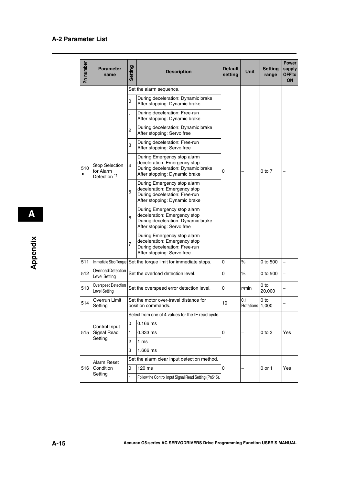| Pn number | <b>Parameter</b><br>name                                      | <b>Setting</b> | <b>Description</b>                                                                                                                 | <b>Default</b><br>setting | Unit             | <b>Setting</b><br>range | <b>Power</b><br>supply<br>OFF <sub>to</sub><br><b>ON</b> |
|-----------|---------------------------------------------------------------|----------------|------------------------------------------------------------------------------------------------------------------------------------|---------------------------|------------------|-------------------------|----------------------------------------------------------|
|           |                                                               |                | Set the alarm sequence.                                                                                                            |                           |                  |                         |                                                          |
|           |                                                               | 0              | During deceleration: Dynamic brake<br>After stopping: Dynamic brake                                                                |                           |                  | $0$ to $7$              |                                                          |
|           |                                                               | 1              | During deceleration: Free-run<br>After stopping: Dynamic brake                                                                     |                           |                  |                         |                                                          |
|           |                                                               | 2              | During deceleration: Dynamic brake<br>After stopping: Servo free                                                                   |                           |                  |                         |                                                          |
|           |                                                               | 3              | During deceleration: Free-run<br>After stopping: Servo free                                                                        |                           |                  |                         |                                                          |
| 510       | <b>Stop Selection</b><br>for Alarm<br>Detection <sup>*1</sup> | $\overline{4}$ | During Emergency stop alarm<br>deceleration: Emergency stop<br>During deceleration: Dynamic brake<br>After stopping: Dynamic brake | 0                         |                  |                         |                                                          |
|           |                                                               | 5              | During Emergency stop alarm<br>deceleration: Emergency stop<br>During deceleration: Free-run<br>After stopping: Dynamic brake      |                           |                  |                         |                                                          |
|           |                                                               | 6              | During Emergency stop alarm<br>deceleration: Emergency stop<br>During deceleration: Dynamic brake<br>After stopping: Servo free    |                           |                  |                         |                                                          |
|           |                                                               | 7              | During Emergency stop alarm<br>deceleration: Emergency stop<br>During deceleration: Free-run<br>After stopping: Servo free         |                           |                  |                         |                                                          |
| 511       |                                                               |                | Immediate Stop Torque Set the torque limit for immediate stops.                                                                    | 0                         | $\%$             | 0 to 500                |                                                          |
| 512       | Overload Detection<br><b>Level Setting</b>                    |                | Set the overload detection level.                                                                                                  | 0                         | $\%$             | 0 to 500                |                                                          |
| 513       | Overspeed Detection<br>Level Setting                          |                | Set the overspeed error detection level.                                                                                           | 0                         | r/min            | 0 to<br>20,000          |                                                          |
| 514       | Overrun Limit<br>Setting                                      |                | Set the motor over-travel distance for<br>position commands.                                                                       | 10                        | 0.1<br>Rotations | 0 to<br>1,000           |                                                          |
|           |                                                               |                | Select from one of 4 values for the IF read cycle.                                                                                 |                           |                  |                         |                                                          |
|           | Control Input                                                 | 0              | $0.166$ ms                                                                                                                         |                           |                  |                         |                                                          |
| 515       | Signal Read                                                   | 1              | 0.333 ms                                                                                                                           | 0                         |                  | 0 to 3                  | Yes                                                      |
|           | Setting                                                       | $\overline{c}$ | 1 ms                                                                                                                               |                           |                  |                         |                                                          |
|           |                                                               | 3              | 1.666 ms                                                                                                                           |                           |                  |                         |                                                          |
|           | Alarm Reset                                                   |                | Set the alarm clear input detection method.                                                                                        |                           |                  |                         |                                                          |
| 516       | Condition                                                     | 0              | 120 ms                                                                                                                             | 0                         |                  | 0 or 1                  | Yes                                                      |
|           | Setting                                                       | 1              | Follow the Control Input Signal Read Setting (Pn515).                                                                              |                           |                  |                         |                                                          |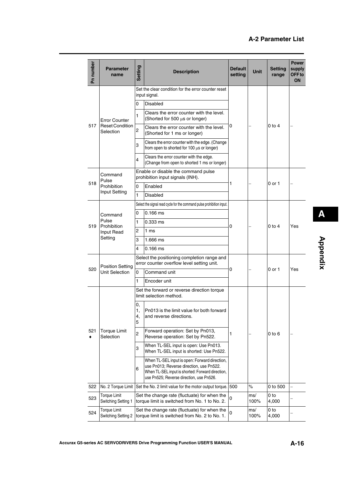| Pn number                           | <b>Parameter</b><br>name                                    | <b>Setting</b>      | <b>Description</b>                                                                                                                                                                        | <b>Default</b><br>setting | <b>Unit</b> | <b>Setting</b><br>range | <b>Power</b><br>supply<br>OFF <sub>to</sub><br>ON |
|-------------------------------------|-------------------------------------------------------------|---------------------|-------------------------------------------------------------------------------------------------------------------------------------------------------------------------------------------|---------------------------|-------------|-------------------------|---------------------------------------------------|
|                                     |                                                             |                     | Set the clear condition for the error counter reset<br>input signal.                                                                                                                      |                           |             |                         |                                                   |
|                                     |                                                             | 0                   | Disabled                                                                                                                                                                                  |                           |             |                         |                                                   |
|                                     | <b>Error Counter</b><br><b>Reset Condition</b><br>Selection | 1                   | Clears the error counter with the level.<br>(Shorted for 500 µs or longer)                                                                                                                |                           |             |                         |                                                   |
| 517                                 |                                                             | 2                   | Clears the error counter with the level.<br>(Shorted for 1 ms or longer)                                                                                                                  | 0                         |             | $0$ to $4$              |                                                   |
|                                     |                                                             | 3                   | Clears the error counter with the edge. (Change<br>from open to shorted for 100 µs or longer)                                                                                             |                           |             |                         |                                                   |
|                                     |                                                             | $\overline{4}$      | Clears the error counter with the edge.<br>(Change from open to shorted 1 ms or longer)                                                                                                   |                           |             |                         |                                                   |
|                                     | Command<br>Pulse                                            |                     | Enable or disable the command pulse<br>prohibition input signals (INH).                                                                                                                   |                           |             | 0 or 1                  |                                                   |
| 518<br>Prohibition<br>Input Setting |                                                             | 0                   | Enabled                                                                                                                                                                                   | 1                         |             |                         |                                                   |
|                                     | 1                                                           | <b>Disabled</b>     |                                                                                                                                                                                           |                           |             |                         |                                                   |
| 519                                 | Command<br>Pulse<br>Prohibition<br>Input Read               |                     | Select the signal read cycle for the command pulse prohibition input.                                                                                                                     |                           |             |                         |                                                   |
|                                     |                                                             | 0                   | $0.166$ ms                                                                                                                                                                                |                           |             |                         |                                                   |
|                                     |                                                             | 1                   | 0.333 ms                                                                                                                                                                                  | 0                         |             | 0 to 4                  | Yes                                               |
|                                     |                                                             | 2                   | 1 <sub>ms</sub>                                                                                                                                                                           |                           |             |                         |                                                   |
|                                     | Setting                                                     | 3                   | 1.666 ms                                                                                                                                                                                  |                           |             |                         |                                                   |
|                                     |                                                             | 4                   | $0.166$ ms                                                                                                                                                                                |                           |             |                         |                                                   |
|                                     | <b>Position Setting</b>                                     |                     | Select the positioning completion range and<br>error counter overflow level setting unit.                                                                                                 |                           |             |                         |                                                   |
| 520                                 | <b>Unit Selection</b>                                       | 0                   | Command unit                                                                                                                                                                              | 0                         |             | 0 or 1                  | Yes                                               |
|                                     |                                                             | 1                   | Encoder unit                                                                                                                                                                              |                           |             |                         |                                                   |
|                                     |                                                             |                     | Set the forward or reverse direction torque<br>limit selection method.                                                                                                                    |                           |             |                         |                                                   |
|                                     |                                                             | 0,<br>1,<br>4,<br>5 | Pn013 is the limit value for both forward<br>and reverse directions.                                                                                                                      |                           |             |                         |                                                   |
| 521                                 | <b>Torque Limit</b><br>Selection                            | $\overline{c}$      | Forward operation: Set by Pn013,<br>Reverse operation: Set by Pn522.                                                                                                                      | 1                         |             | $0$ to $6$              |                                                   |
|                                     |                                                             | 3                   | When TL-SEL input is open: Use Pn013.<br>When TL-SEL input is shorted: Use Pn522.                                                                                                         |                           |             |                         |                                                   |
|                                     |                                                             | 6                   | When TL-SEL input is open: Forward direction,<br>use Pn013; Reverse direction, use Pn522.<br>When TL-SEL input is shorted: Forward direction,<br>use Pn525; Reverse direction, use Pn526. |                           |             |                         |                                                   |
| 522                                 | No. 2 Torque Limit                                          |                     | Set the No. 2 limit value for the motor output torque. 500                                                                                                                                |                           | $\%$        | 0 to 500                |                                                   |
| 523                                 | <b>Torque Limit</b><br>Switching Setting 1                  |                     | Set the change rate (fluctuate) for when the<br>torque limit is switched from No. 1 to No. 2.                                                                                             | 0                         | ms/<br>100% | 0 to<br>4,000           |                                                   |
| 524                                 | Torque Limit<br>Switching Setting 2                         |                     | Set the change rate (fluctuate) for when the<br>torque limit is switched from No. 2 to No. 1.                                                                                             | 0                         | ms/<br>100% | 0 to<br>4,000           |                                                   |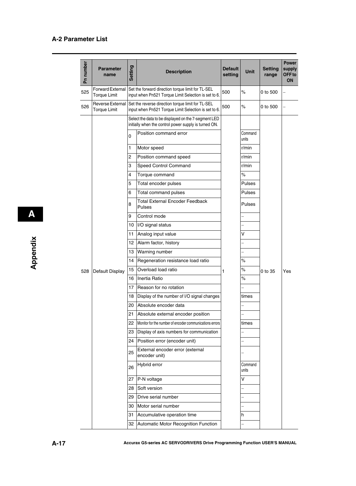| Pn number | <b>Parameter</b><br>name                       | Setting        | <b>Description</b>                                                                                                         | Default<br>setting | <b>Unit</b>              | <b>Setting</b><br>range | <b>Power</b><br>supply<br>OFF to<br><b>ON</b> |
|-----------|------------------------------------------------|----------------|----------------------------------------------------------------------------------------------------------------------------|--------------------|--------------------------|-------------------------|-----------------------------------------------|
| 525       | <b>Forward External</b><br><b>Torque Limit</b> |                | Set the forward direction torque limit for TL-SEL<br>input when Pn521 Torque Limit Selection is set to 6.                  | 500                | $\%$                     | 0 to 500                |                                               |
| 526       | <b>Torque Limit</b>                            |                | Reverse External Set the reverse direction torque limit for TL-SEL<br>input when Pn521 Torque Limit Selection is set to 6. | 500                | $\%$                     | 0 to 500                |                                               |
|           |                                                |                | Select the data to be displayed on the 7-segment LED<br>initially when the control power supply is turned ON.              |                    |                          |                         |                                               |
|           |                                                | $\overline{0}$ | Position command error                                                                                                     |                    | Command<br>units         |                         |                                               |
|           |                                                | 1              | Motor speed                                                                                                                |                    | r/min                    |                         |                                               |
|           |                                                | $\overline{c}$ | Position command speed                                                                                                     |                    | r/min                    |                         |                                               |
|           |                                                | 3              | Speed Control Command                                                                                                      |                    | r/min                    |                         |                                               |
|           |                                                | 4              | Torque command                                                                                                             |                    | $\%$                     |                         |                                               |
|           |                                                | 5              | Total encoder pulses                                                                                                       |                    | <b>Pulses</b>            |                         |                                               |
|           |                                                | 6              | Total command pulses                                                                                                       |                    | Pulses                   |                         |                                               |
|           |                                                | 8              | <b>Total External Encoder Feedback</b><br>Pulses                                                                           |                    | Pulses                   |                         |                                               |
|           |                                                | 9              | Control mode                                                                                                               |                    |                          |                         |                                               |
|           |                                                | 10             | I/O signal status                                                                                                          |                    |                          |                         |                                               |
|           |                                                | 11             | Analog input value                                                                                                         |                    | V                        |                         |                                               |
|           |                                                | 12             | Alarm factor, history                                                                                                      |                    |                          |                         |                                               |
|           |                                                | 13             | Warning number                                                                                                             |                    | $\overline{\phantom{0}}$ |                         |                                               |
|           |                                                | 14             | Regeneration resistance load ratio                                                                                         |                    | $\%$                     |                         |                                               |
| 528       | Default Display                                | 15             | Overload load ratio                                                                                                        | 1                  | $\%$                     | 0 to 35                 | Yes                                           |
|           |                                                | 16             | Inertia Ratio                                                                                                              |                    | $\%$                     |                         |                                               |
|           |                                                | 17             | Reason for no rotation                                                                                                     |                    |                          |                         |                                               |
|           |                                                | 18             | Display of the number of I/O signal changes                                                                                |                    | times                    |                         |                                               |
|           |                                                | 20             | Absolute encoder data                                                                                                      |                    |                          |                         |                                               |
|           |                                                | 21             | Absolute external encoder position                                                                                         |                    |                          |                         |                                               |
|           |                                                | 22             | Monitor for the number of encoder communications errors                                                                    |                    | times                    |                         |                                               |
|           |                                                | 23.            | Display of axis numbers for communication                                                                                  |                    |                          |                         |                                               |
|           |                                                | 24             | Position error (encoder unit)                                                                                              |                    |                          |                         |                                               |
|           |                                                | 25             | External encoder error (external<br>encoder unit)                                                                          |                    |                          |                         |                                               |
|           |                                                | 26             | Hybrid error                                                                                                               |                    | Command<br>units         |                         |                                               |
|           |                                                | 27             | P-N voltage                                                                                                                |                    | V                        |                         |                                               |
|           |                                                | 28             | Soft version                                                                                                               |                    |                          |                         |                                               |
|           |                                                | 29.            | Drive serial number                                                                                                        |                    |                          |                         |                                               |
|           |                                                | 30             | Motor serial number                                                                                                        |                    |                          |                         |                                               |
|           |                                                | 31             | Accumulative operation time                                                                                                |                    | h                        |                         |                                               |
|           |                                                |                | 32 Automatic Motor Recognition Function                                                                                    |                    |                          |                         |                                               |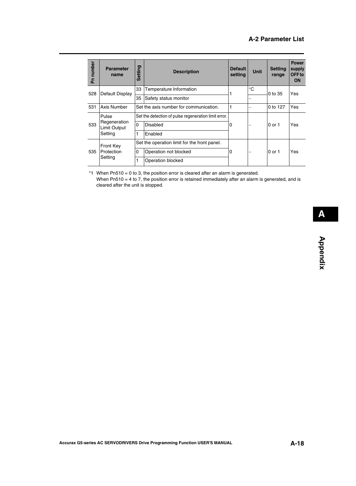| Pn number | <b>Parameter</b><br>name            | <b>Setting</b> | <b>Description</b>                                   | <b>Default</b><br>setting | <b>Unit</b> | <b>Setting</b><br>range | <b>Power</b><br>supply<br>OFF to<br><b>ON</b> |
|-----------|-------------------------------------|----------------|------------------------------------------------------|---------------------------|-------------|-------------------------|-----------------------------------------------|
| 528       | Default Display                     | 33             | Temperature Information                              |                           | $^{\circ}C$ | 0 to 35                 | Yes                                           |
|           |                                     | 35             | Safety status monitor                                |                           |             |                         |                                               |
| 531       | Axis Number                         |                | Set the axis number for communication.               |                           |             | 0 to 127                | Yes                                           |
|           | Pulse                               |                | Set the detection of pulse regeneration limit error. |                           |             | 0 or 1                  | Yes                                           |
| 533       | Regeneration<br><b>Limit Output</b> | $\Omega$       | Disabled                                             | 0                         |             |                         |                                               |
|           | Setting                             | 1              | Enabled                                              |                           |             |                         |                                               |
|           | <b>Front Key</b>                    |                | Set the operation limit for the front panel.         |                           |             |                         | Yes                                           |
| 535       | Protection                          | 0              | Operation not blocked                                | 0                         | -           | 0 or 1                  |                                               |
|           | Setting                             |                | Operation blocked                                    |                           |             |                         |                                               |

\*1 When Pn510 = 0 to 3, the position error is cleared after an alarm is generated. When Pn510 = 4 to 7, the position error is retained immediately after an alarm is generated, and is cleared after the unit is stopped.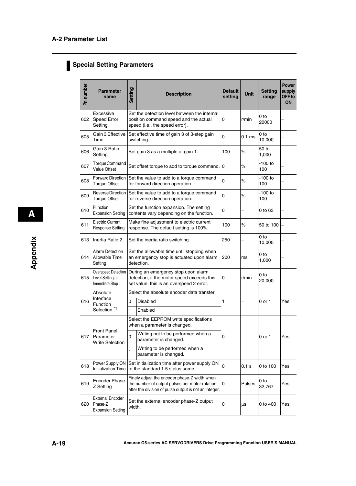# **Special Setting Parameters**

| Pn number | <b>Parameter</b><br>name                                       | Setting | <b>Description</b>                                                                                                                                      | <b>Default</b><br>setting | <b>Unit</b> | <b>Setting</b><br>range   | <b>Power</b><br>supply<br>OFF <sub>to</sub><br><b>ON</b> |
|-----------|----------------------------------------------------------------|---------|---------------------------------------------------------------------------------------------------------------------------------------------------------|---------------------------|-------------|---------------------------|----------------------------------------------------------|
| 602       | Excessive<br>Speed Error<br>Setting                            |         | Set the detection level between the internal<br>position command speed and the actual<br>speed (i.e., the speed error).                                 | 0                         | r/min       | 0 to<br>20000             |                                                          |
| 605       | Gain 3 Effective<br>Time                                       |         | Set effective time of gain 3 of 3-step gain<br>switching.                                                                                               | $\mathbf 0$               | $0.1$ ms    | 0 to<br>10,000            |                                                          |
| 606       | Gain 3 Ratio<br>Setting                                        |         | Set gain 3 as a multiple of gain 1.                                                                                                                     | 100                       | $\%$        | 50 to<br>1,000            |                                                          |
| 607       | Torque Command<br>Value Offset                                 |         | Set offset torque to add to torque command.                                                                                                             | 0                         | $\%$        | $-100$ to<br>100          |                                                          |
| 608       | <b>Forward Direction</b><br><b>Torque Offset</b>               |         | Set the value to add to a torque command<br>for forward direction operation.                                                                            | $\mathbf 0$               | $\%$        | $-100$ to<br>100          |                                                          |
| 609       | Reverse Direction<br><b>Torque Offset</b>                      |         | Set the value to add to a torque command<br>$\mathbf 0$<br>for reverse direction operation.                                                             |                           | $\%$        | $-100$ to<br>100          |                                                          |
| 610       | Function<br><b>Expansion Setting</b>                           |         | Set the function expansion. The setting<br>contents vary depending on the function.                                                                     | 0                         |             | 0 to 63                   |                                                          |
| 611       | <b>Electric Current</b><br><b>Response Setting</b>             |         | Make fine adjustment to electric current<br>response. The default setting is 100%.                                                                      | 100                       | $\%$        | 50 to 100                 |                                                          |
| 613       | Inertia Ratio 2                                                |         | Set the inertia ratio switching.                                                                                                                        | 250                       |             | 0 <sub>to</sub><br>10,000 |                                                          |
| 614       | <b>Alarm Detection</b><br>Allowable Time<br>Setting            |         | Set the allowable time until stopping when<br>an emergency stop is actuated upon alarm<br>detection.                                                    | 200                       | ms          | 0 to<br>1,000             |                                                          |
| 615       | Overspeed Detection<br>Level Setting at<br>Immediate Stop      |         | During an emergency stop upon alarm<br>detection, if the motor speed exceeds this<br>set value, this is an overspeed 2 error.                           | 0                         | r/min       | 0 <sub>to</sub><br>20,000 |                                                          |
|           | Absolute                                                       |         | Select the absolute encoder data transfer.                                                                                                              |                           |             |                           | Yes                                                      |
| 616       | Interface<br>Function                                          | 0       | <b>Disabled</b>                                                                                                                                         | 1                         |             | 0 or 1                    |                                                          |
|           | Selection <sup>*1</sup>                                        | 1       | Enabled                                                                                                                                                 |                           |             |                           |                                                          |
|           |                                                                |         | Select the EEPROM write specifications<br>when a parameter is changed.                                                                                  |                           |             |                           |                                                          |
| 617       | <b>Front Panel</b><br>Parameter<br><b>Write Selection</b>      | 0       | Writing not to be performed when a<br>parameter is changed.                                                                                             | 0                         |             | $0$ or 1                  | Yes                                                      |
|           |                                                                | 1       | Writing to be performed when a<br>parameter is changed.                                                                                                 |                           |             |                           |                                                          |
| 618       | Power Supply ON<br>Initialization Time                         |         | Set initialization time after power supply ON<br>to the standard 1.5 s plus some.                                                                       | $\mathbf 0$               | 0.1 s       | 0 to 100                  | Yes                                                      |
| 619       | <b>Encoder Phase-</b><br>Z Setting                             |         | Finely adjust the encoder phase-Z width when<br>the number of output pulses per motor rotation<br>after the division of pulse output is not an integer. | 0                         | Pulses      | 0 to<br>32,767            | Yes                                                      |
| 620       | <b>External Encoder</b><br>Phase-Z<br><b>Expansion Setting</b> | width.  | Set the external encoder phase-Z output                                                                                                                 | 0                         | $\mu$ s     | 0 to 400                  | Yes                                                      |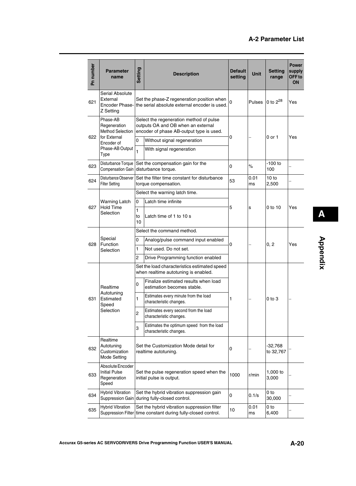| Pn number | <b>Parameter</b><br>name                                                                                     | Setting                  | <b>Description</b>                                                                                                                                                                                                                                                                                                                                                            | <b>Default</b><br>setting | <b>Unit</b> | <b>Setting</b><br>range | <b>Power</b><br>supply<br>OFF <sub>to</sub><br>ON |
|-----------|--------------------------------------------------------------------------------------------------------------|--------------------------|-------------------------------------------------------------------------------------------------------------------------------------------------------------------------------------------------------------------------------------------------------------------------------------------------------------------------------------------------------------------------------|---------------------------|-------------|-------------------------|---------------------------------------------------|
| 621       | Serial Absolute<br>External<br>Encoder Phase-<br>Z Setting                                                   |                          | Set the phase-Z regeneration position when<br>the serial absolute external encoder is used.                                                                                                                                                                                                                                                                                   | 0                         | Pulses      | 0 to $2^{28}$           | Yes                                               |
| 622       | Phase-AB<br>Regeneration<br><b>Method Selection</b><br>for External<br>Encoder of<br>Phase-AB Output<br>Type | 0<br>1                   | Select the regeneration method of pulse<br>outputs OA and OB when an external<br>encoder of phase AB-output type is used.<br>Without signal regeneration<br>With signal regeneration                                                                                                                                                                                          | 0                         |             | 0 or 1                  | Yes                                               |
| 623       | Disturbance Torque<br><b>Compensation Gain</b>                                                               |                          | Set the compensation gain for the<br>disturbance torque.                                                                                                                                                                                                                                                                                                                      | 0                         | $\%$        | $-100$ to<br>100        |                                                   |
| 624       | Disturbance Observer<br><b>Filter Setting</b>                                                                |                          | Set the filter time constant for disturbance<br>torque compensation.                                                                                                                                                                                                                                                                                                          | 53                        | 0.01<br>ms  | 10 to<br>2,500          |                                                   |
| 627       | <b>Warning Latch</b><br><b>Hold Time</b><br>Selection                                                        | 0<br>1<br>to<br>10       | Select the warning latch time.<br>Latch time infinite<br>5<br>Latch time of 1 to 10 s                                                                                                                                                                                                                                                                                         |                           | s           | 0 to 10                 | Yes                                               |
| 628       | Special<br>Function<br>Selection                                                                             | 0<br>1<br>$\overline{c}$ | Select the command method.<br>Analog/pulse command input enabled<br>0<br>Not used. Do not set.<br>Drive Programming function enabled                                                                                                                                                                                                                                          |                           |             | 0, 2                    | Yes                                               |
| 631       | Realtime<br>Autotuning<br>Estimated<br>Speed<br>Selection                                                    | 0<br>1<br>2<br>3         | Set the load characteristics estimated speed<br>when realtime autotuning is enabled.<br>Finalize estimated results when load<br>estimation becomes stable.<br>Estimates every minute from the load<br>1<br>characteristic changes.<br>Estimates every second from the load<br>characteristic changes.<br>Estimates the optimum speed from the load<br>characteristic changes. |                           |             | $0$ to $3$              |                                                   |
| 632       | Realtime<br>Autotuning<br>Customization<br><b>Mode Setting</b>                                               |                          | Set the Customization Mode detail for<br>realtime autotuning.                                                                                                                                                                                                                                                                                                                 | 0                         |             | $-32,768$<br>to 32,767  |                                                   |
| 633       | Absolute Encoder<br><b>Initial Pulse</b><br>Regeneration<br>Speed                                            |                          | Set the pulse regeneration speed when the<br>initial pulse is output.                                                                                                                                                                                                                                                                                                         | 1000                      | r/min       | 1,000 to<br>3,000       |                                                   |
| 634       | <b>Hybrid Vibration</b>                                                                                      |                          | Set the hybrid vibration suppression gain<br>Suppression Gain during fully-closed control.                                                                                                                                                                                                                                                                                    | 0                         | 0.1/s       | 0 to<br>30,000          |                                                   |
| 635       | <b>Hybrid Vibration</b>                                                                                      |                          | Set the hybrid vibration suppression filter<br>Suppression Filter time constant during fully-closed control.                                                                                                                                                                                                                                                                  | 10                        | 0.01<br>ms  | 0 to<br>6,400           |                                                   |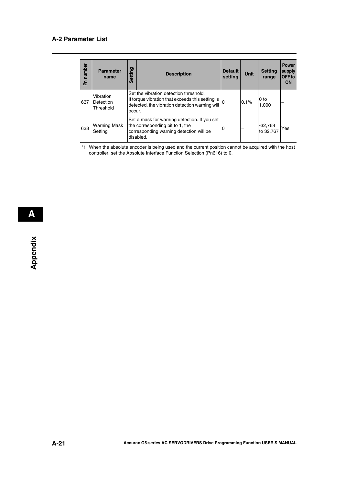| number<br>운 | <b>Parameter</b><br>name            | <b>Setting</b> | <b>Description</b>                                                                                                                           | <b>Default</b><br>setting | <b>Unit</b> | <b>Setting</b><br>range | <b>Power</b><br>supply<br>OFF to<br><b>ON</b> |
|-------------|-------------------------------------|----------------|----------------------------------------------------------------------------------------------------------------------------------------------|---------------------------|-------------|-------------------------|-----------------------------------------------|
| 637         | Vibration<br>Detection<br>Threshold | occur.         | Set the vibration detection threshold.<br>If torque vibration that exceeds this setting is<br>detected, the vibration detection warning will |                           | 0.1%        | 0 to<br>1.000           |                                               |
| 638         | Warning Mask<br>Setting             |                | Set a mask for warning detection. If you set<br>the corresponding bit to 1, the<br>corresponding warning detection will be<br>disabled.      | 0                         |             | $-32,768$<br>lto 32.767 | Yes                                           |

\*1 When the absolute encoder is being used and the current position cannot be acquired with the host controller, set the Absolute Interface Function Selection (Pn616) to 0.

 **A**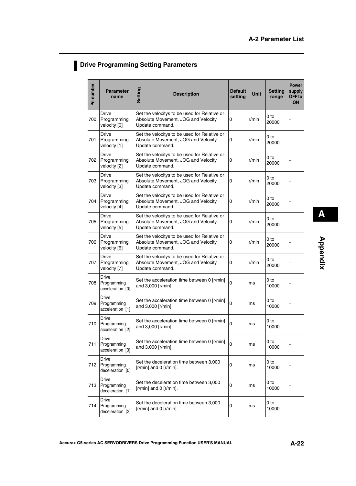## **Drive Programming Setting Parameters**

| Pn number | <b>Parameter</b><br>name                        | <b>Setting</b> | <b>Description</b>                                                                                          | <b>Default</b><br>setting | Unit  | <b>Setting</b><br>range  | <b>Power</b><br>supply<br>OFF <sub>to</sub><br>ON |
|-----------|-------------------------------------------------|----------------|-------------------------------------------------------------------------------------------------------------|---------------------------|-------|--------------------------|---------------------------------------------------|
| 700       | <b>Drive</b><br>Programming<br>velocity [0]     |                | Set the velocitys to be used for Relative or<br>Absolute Movement, JOG and Velocity<br>0<br>Update command. |                           | r/min | 0 to<br>20000            |                                                   |
| 701       | <b>Drive</b><br>Programming<br>velocity [1]     |                | Set the velocitys to be used for Relative or<br>Absolute Movement, JOG and Velocity<br>Update command.      | 0                         | r/min | 0 <sub>to</sub><br>20000 |                                                   |
| 702       | <b>Drive</b><br>Programming<br>velocity [2]     |                | Set the velocitys to be used for Relative or<br>Absolute Movement, JOG and Velocity<br>Update command.      | 0                         | r/min | 0 to<br>20000            |                                                   |
| 703       | <b>Drive</b><br>Programming<br>velocity [3]     |                | Set the velocitys to be used for Relative or<br>Absolute Movement, JOG and Velocity<br>Update command.      | 0                         | r/min | 0 to<br>20000            |                                                   |
| 704       | <b>Drive</b><br>Programming<br>velocity [4]     |                | Set the velocitys to be used for Relative or<br>Absolute Movement, JOG and Velocity<br>0<br>Update command. |                           | r/min | 0 to<br>20000            |                                                   |
| 705       | <b>Drive</b><br>Programming<br>velocity [5]     |                | Set the velocitys to be used for Relative or<br>Absolute Movement, JOG and Velocity<br>0<br>Update command. |                           | r/min | 0 to<br>20000            |                                                   |
| 706       | <b>Drive</b><br>Programming<br>velocity [6]     |                | Set the velocitys to be used for Relative or<br>Absolute Movement, JOG and Velocity<br>0<br>Update command. |                           | r/min | 0 to<br>20000            |                                                   |
| 707       | <b>Drive</b><br>Programming<br>velocity [7]     |                | Set the velocitys to be used for Relative or<br>Absolute Movement, JOG and Velocity<br>0<br>Update command. |                           | r/min | 0 <sub>to</sub><br>20000 |                                                   |
| 708       | <b>Drive</b><br>Programming<br>acceleration [0] |                | Set the acceleration time between 0 [r/min]<br>and 3,000 [r/min].                                           | $\mathbf 0$               | ms    | 0 to<br>10000            |                                                   |
| 709       | Drive<br>Programming<br>acceleration [1]        |                | Set the acceleration time between 0 [r/min]<br>and 3,000 [r/min].                                           | 0                         | ms    | 0 to<br>10000            |                                                   |
| 710       | Drive<br>Programming<br>acceleration [2]        |                | Set the acceleration time between 0 [r/min]<br>and 3,000 [r/min].                                           | $\Omega$                  | ms    | 0 to<br>10000            |                                                   |
| 711       | Drive<br>Programming<br>acceleration [3]        |                | Set the acceleration time between 0 [r/min]<br>and 3,000 [r/min].                                           | 0                         | ms    | 0 to<br>10000            |                                                   |
| 712       | Drive<br>Programming<br>deceleration [0]        |                | Set the deceleration time between 3,000<br>0<br>$[r/min]$ and 0 $[r/min]$ .                                 |                           | ms    | 0 to<br>10000            |                                                   |
| 713       | <b>Drive</b><br>Programming<br>deceleration [1] |                | Set the deceleration time between 3,000<br>0<br>$[r/min]$ and 0 $[r/min]$ .                                 |                           | ms    | 0 to<br>10000            |                                                   |
| 714       | Drive<br>Programming<br>deceleration [2]        |                | Set the deceleration time between 3,000<br>$[r/min]$ and 0 $[r/min]$ .                                      | 0                         | ms    | 0 to<br>10000            |                                                   |

**Appendix**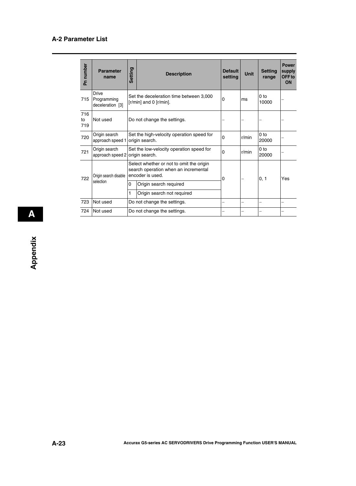| Pn number        | <b>Parameter</b><br>name                 | Setting | <b>Description</b>                                                                                   | <b>Default</b><br>settina | Unit  | <b>Setting</b><br>range  | <b>Power</b><br>supply<br>OFF to<br><b>ON</b> |
|------------------|------------------------------------------|---------|------------------------------------------------------------------------------------------------------|---------------------------|-------|--------------------------|-----------------------------------------------|
| 715              | Drive<br>Programming<br>deceleration [3] |         | Set the deceleration time between 3,000<br>$[r/min]$ and 0 $[r/min]$ .                               | 0                         | ms    | 0 <sub>to</sub><br>10000 |                                               |
| 716<br>to<br>719 | Not used                                 |         | Do not change the settings.                                                                          |                           |       |                          |                                               |
| 720              | Origin search<br>approach speed 1        |         | Set the high-velocity operation speed for<br>origin search.                                          | $\Omega$                  | r/min | 0 <sub>to</sub><br>20000 |                                               |
| 721              | Origin search<br>approach speed 2        |         | Set the low-velocity operation speed for<br>origin search.                                           |                           | r/min | 0 <sub>to</sub><br>20000 |                                               |
| 722              | Origin search disable                    |         | Select whether or not to omit the origin<br>search operation when an incremental<br>encoder is used. |                           |       | 0, 1                     | Yes                                           |
|                  | selection                                | 0       | Origin search required                                                                               |                           |       |                          |                                               |
|                  |                                          | 1       | Origin search not required                                                                           |                           |       |                          |                                               |
| 723              | Not used                                 |         | Do not change the settings.                                                                          |                           |       |                          | —                                             |
| 724              | Not used                                 |         | Do not change the settings.                                                                          |                           |       |                          |                                               |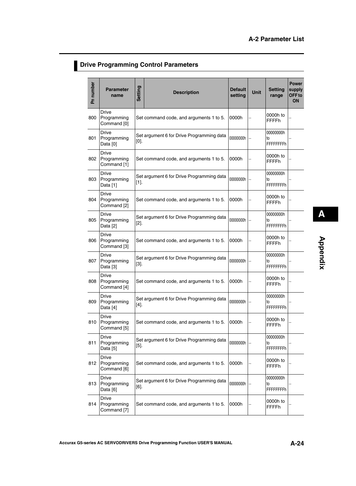## **Drive Programming Control Parameters**

| Pn number | <b>Parameter</b><br>name                              | <b>Setting</b> | <b>Description</b>                        | <b>Default</b><br>setting | Unit | <b>Setting</b><br>range              | Power<br>supply<br>OFF <sub>to</sub><br>ON |
|-----------|-------------------------------------------------------|----------------|-------------------------------------------|---------------------------|------|--------------------------------------|--------------------------------------------|
| 800       | <b>Drive</b><br>Programming<br>Command [0]            |                | Set command code, and arguments 1 to 5.   | 0000h                     |      | 0000h to<br><b>FFFFh</b>             |                                            |
| 801       | <b>Drive</b><br>Programming<br>Data [0]               | $[0]$ .        | Set argument 6 for Drive Programming data | 00000000h                 |      | 00000000h<br>to<br><b>FFFFFFFFh</b>  |                                            |
| 802       | <b>Drive</b><br>Programming<br>Command [1]            |                | Set command code, and arguments 1 to 5.   | 0000h                     |      | 0000h to<br><b>FFFFh</b>             |                                            |
| 803       | <b>Drive</b><br>Programming<br>Data [1]               | $[1]$ .        | Set argument 6 for Drive Programming data | 00000000h                 |      | 00000000h<br>to<br><b>FFFFFFFFh</b>  |                                            |
| 804       | <b>Drive</b><br>Programming<br>Command <sup>[2]</sup> |                | Set command code, and arguments 1 to 5.   | 0000h                     |      | 0000h to<br><b>FFFFh</b>             |                                            |
| 805       | <b>Drive</b><br>Programming<br>Data [2]               | $[2]$ .        | Set argument 6 for Drive Programming data | 00000000h                 |      | 00000000h<br>to<br><b>FFFFFFFFh</b>  |                                            |
| 806       | <b>Drive</b><br>Programming<br>Command [3]            |                | Set command code, and arguments 1 to 5.   | 0000h                     |      | 0000h to<br><b>FFFFh</b>             |                                            |
| 807       | Drive<br>Programming<br>Data [3]                      | $[3]$ .        | Set argument 6 for Drive Programming data | 00000000h                 |      | 00000000h<br>to<br><b>FFFFFFFFh</b>  |                                            |
| 808       | <b>Drive</b><br>Programming<br>Command [4]            |                | Set command code, and arguments 1 to 5.   | 0000h                     |      | 0000h to<br><b>FFFFh</b>             |                                            |
| 809       | Drive<br>Programming<br>Data [4]                      | $[4]$ .        | Set argument 6 for Drive Programming data | 00000000h                 |      | 00000000h<br>to<br><b>FFFFFFFFFh</b> |                                            |
| 810       | Drive<br>Programming<br>Command [5]                   |                | Set command code, and arguments 1 to 5.   | 0000h                     |      | 0000h to<br><b>FFFFh</b>             |                                            |
| 811       | Drive<br>Programming<br>Data [5]                      | $[5]$ .        | Set argument 6 for Drive Programming data | 00000000h                 |      | 00000000h<br>to<br><b>FFFFFFFFh</b>  |                                            |
| 812       | <b>Drive</b><br>Programming<br>Command [6]            |                | Set command code, and arguments 1 to 5.   | 0000h                     |      | 0000h to<br><b>FFFFh</b>             |                                            |
| 813       | <b>Drive</b><br>Programming<br>Data [6]               | $[6]$ .        | Set argument 6 for Drive Programming data | 00000000h                 |      | 00000000h<br>to<br><b>FFFFFFFFh</b>  |                                            |
| 814       | Drive<br>Programming<br>Command [7]                   |                | Set command code, and arguments 1 to 5.   | 0000h                     |      | 0000h to<br><b>FFFFh</b>             |                                            |

**Appendix**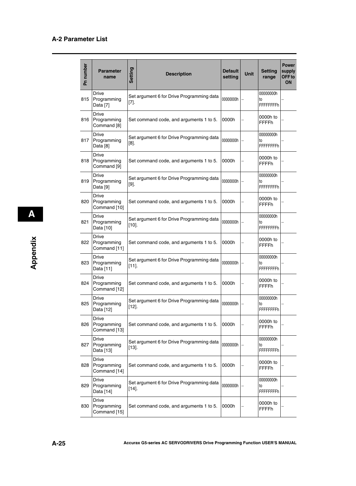| Pn number | <b>Parameter</b><br>name                    | Setting  | <b>Description</b>                        | <b>Default</b><br>setting | Unit | <b>Setting</b><br>range              | <b>Power</b><br>supply<br>OFF <sub>to</sub><br>ON |
|-----------|---------------------------------------------|----------|-------------------------------------------|---------------------------|------|--------------------------------------|---------------------------------------------------|
| 815       | <b>Drive</b><br>Programming<br>Data [7]     | $[7].$   | Set argument 6 for Drive Programming data | 00000000h                 |      | 00000000h<br>to<br><b>FFFFFFFFFh</b> |                                                   |
| 816       | Drive<br>Programming<br>Command [8]         |          | Set command code, and arguments 1 to 5.   | 0000h                     |      | 0000h to<br><b>FFFFh</b>             |                                                   |
| 817       | Drive<br>Programming<br>Data [8]            | $[8]$ .  | Set argument 6 for Drive Programming data | 00000000h                 |      | 00000000h<br>to<br><b>FFFFFFFFh</b>  |                                                   |
| 818       | <b>Drive</b><br>Programming<br>Command [9]  |          | Set command code, and arguments 1 to 5.   | 0000h                     |      | 0000h to<br><b>FFFFh</b>             |                                                   |
| 819       | Drive<br>Programming<br>Data [9]            | $[9]$ .  | Set argument 6 for Drive Programming data | 00000000h                 |      | 00000000h<br>to<br><b>FFFFFFFFFh</b> |                                                   |
| 820       | Drive<br>Programming<br>Command [10]        |          | Set command code, and arguments 1 to 5.   | 0000h                     |      | 0000h to<br><b>FFFFh</b>             |                                                   |
| 821       | <b>Drive</b><br>Programming<br>Data [10]    | $[10]$ . | Set argument 6 for Drive Programming data | 00000000h                 |      | 00000000h<br>to<br><b>FFFFFFFFh</b>  |                                                   |
| 822       | Drive<br>Programming<br>Command [11]        |          | Set command code, and arguments 1 to 5.   | 0000h                     |      | 0000h to<br><b>FFFFh</b>             |                                                   |
| 823       | <b>Drive</b><br>Programming<br>Data [11]    | $[11]$ . | Set argument 6 for Drive Programming data | 00000000h                 |      | 00000000h<br>to<br><b>FFFFFFFFh</b>  |                                                   |
| 824       | Drive<br>Programming<br>Command [12]        |          | Set command code, and arguments 1 to 5.   | 0000h                     |      | 0000h to<br><b>FFFFh</b>             |                                                   |
| 825       | Drive<br>Programming<br>Data [12]           | $[12]$ . | Set argument 6 for Drive Programming data | 00000000h                 |      | 00000000h<br>to<br>FFFFFFFFh         |                                                   |
| 826       | <b>Drive</b><br>Programming<br>Command [13] |          | Set command code, and arguments 1 to 5.   | 0000h                     |      | 0000h to<br><b>FFFFh</b>             |                                                   |
| 827       | <b>Drive</b><br>Programming<br>Data [13]    | $[13]$ . | Set argument 6 for Drive Programming data | 00000000h                 |      | 00000000h<br>to<br><b>FFFFFFFFFh</b> |                                                   |
| 828       | <b>Drive</b><br>Programming<br>Command [14] |          | Set command code, and arguments 1 to 5.   | 0000h                     |      | 0000h to<br><b>FFFFh</b>             |                                                   |
| 829       | <b>Drive</b><br>Programming<br>Data [14]    | $[14]$   | Set argument 6 for Drive Programming data | 00000000h                 |      | 00000000h<br>to<br>FFFFFFFFh         |                                                   |
| 830       | <b>Drive</b><br>Programming<br>Command [15] |          | Set command code, and arguments 1 to 5.   | 0000h                     |      | 0000h to<br><b>FFFFh</b>             |                                                   |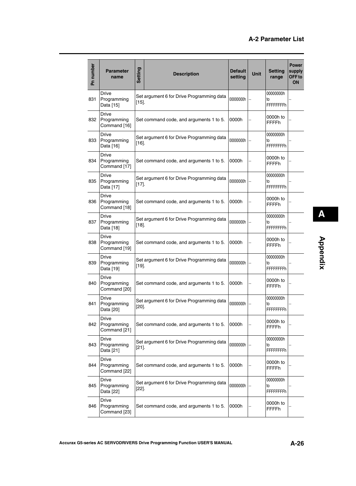| Pn number | <b>Parameter</b><br>name                    | Setting  | <b>Description</b>                        | <b>Default</b><br>setting | <b>Unit</b> | <b>Setting</b><br>range             | <b>Power</b><br>supply<br>OFF <sub>to</sub><br><b>ON</b> |
|-----------|---------------------------------------------|----------|-------------------------------------------|---------------------------|-------------|-------------------------------------|----------------------------------------------------------|
| 831       | <b>Drive</b><br>Programming<br>Data [15]    | $[15]$ . | Set argument 6 for Drive Programming data | 00000000h                 |             | 00000000h<br>to<br><b>FFFFFFFFh</b> |                                                          |
| 832       | <b>Drive</b><br>Programming<br>Command [16] |          | Set command code, and arguments 1 to 5.   | 0000h                     |             | 0000h to<br><b>FFFFh</b>            |                                                          |
| 833       | <b>Drive</b><br>Programming<br>Data [16]    | $[16]$ . | Set argument 6 for Drive Programming data | 00000000h                 |             | 00000000h<br>to<br><b>FFFFFFFFh</b> |                                                          |
| 834       | <b>Drive</b><br>Programming<br>Command [17] |          | Set command code, and arguments 1 to 5.   | 0000h                     |             | 0000h to<br><b>FFFFh</b>            |                                                          |
| 835       | <b>Drive</b><br>Programming<br>Data [17]    | $[17]$ . | Set argument 6 for Drive Programming data | 00000000h                 |             | 00000000h<br>to<br><b>FFFFFFFFh</b> |                                                          |
| 836       | <b>Drive</b><br>Programming<br>Command [18] |          | Set command code, and arguments 1 to 5.   | 0000h                     |             | 0000h to<br><b>FFFFh</b>            |                                                          |
| 837       | <b>Drive</b><br>Programming<br>Data [18]    | $[18]$ . | Set argument 6 for Drive Programming data | 00000000h                 |             | 00000000h<br>to<br><b>FFFFFFFFh</b> |                                                          |
| 838       | <b>Drive</b><br>Programming<br>Command [19] |          | Set command code, and arguments 1 to 5.   | 0000h                     |             | 0000h to<br><b>FFFFh</b>            |                                                          |
| 839       | Drive<br>Programming<br>Data [19]           | $[19]$ . | Set argument 6 for Drive Programming data | 00000000h                 |             | 00000000h<br>to<br><b>FFFFFFFFh</b> |                                                          |
| 840       | <b>Drive</b><br>Programming<br>Command [20] |          | Set command code, and arguments 1 to 5.   | 0000h                     |             | 0000h to<br><b>FFFFh</b>            |                                                          |
| 841       | <b>Drive</b><br>Programming<br>Data [20]    | $[20]$ . | Set argument 6 for Drive Programming data | 00000000h                 |             | 00000000h<br>to<br><b>FFFFFFFFh</b> |                                                          |
| 842       | Drive<br>Programming<br>Command [21]        |          | Set command code, and arguments 1 to 5.   | 0000h                     |             | 0000h to<br><b>FFFFh</b>            |                                                          |
| 843       | <b>Drive</b><br>Programming<br>Data [21]    | $[21]$ . | Set argument 6 for Drive Programming data | 00000000h                 |             | 00000000h<br>to<br><b>FFFFFFFFh</b> |                                                          |
| 844       | <b>Drive</b><br>Programming<br>Command [22] |          | Set command code, and arguments 1 to 5.   | 0000h                     |             | 0000h to<br><b>FFFFh</b>            |                                                          |
| 845       | <b>Drive</b><br>Programming<br>Data [22]    | $[22]$ . | Set argument 6 for Drive Programming data | 00000000h                 |             | 00000000h<br>to<br><b>FFFFFFFFh</b> |                                                          |
| 846       | Drive<br>Programming<br>Command [23]        |          | Set command code, and arguments 1 to 5.   | 0000h                     |             | 0000h to<br><b>FFFFh</b>            |                                                          |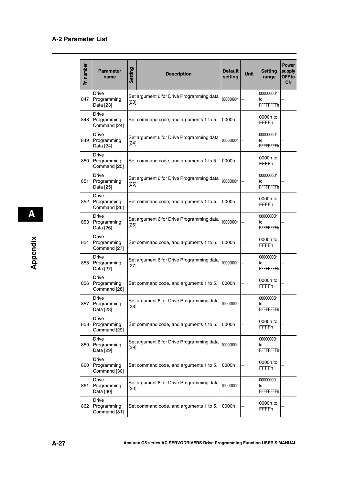| Pn number | <b>Parameter</b><br>name                    | <b>Setting</b> | <b>Description</b>                        | <b>Default</b><br>setting | <b>Unit</b> | <b>Setting</b><br>range              | <b>Power</b><br>supply<br>OFF <sub>to</sub><br><b>ON</b> |
|-----------|---------------------------------------------|----------------|-------------------------------------------|---------------------------|-------------|--------------------------------------|----------------------------------------------------------|
| 847       | <b>Drive</b><br>Programming<br>Data [23]    | $[23]$ .       | Set argument 6 for Drive Programming data | 00000000h                 |             | 00000000h<br>to<br><b>FFFFFFFFFh</b> |                                                          |
| 848       | <b>Drive</b><br>Programming<br>Command [24] |                | Set command code, and arguments 1 to 5.   | 0000h                     |             | 0000h to<br><b>FFFFh</b>             |                                                          |
| 849       | <b>Drive</b><br>Programming<br>Data [24]    | $[24]$         | Set argument 6 for Drive Programming data | 00000000h                 |             | 00000000h<br>to<br><b>FFFFFFFFh</b>  |                                                          |
| 850       | <b>Drive</b><br>Programming<br>Command [25] |                | Set command code, and arguments 1 to 5.   | 0000h                     |             | 0000h to<br><b>FFFFFh</b>            |                                                          |
| 851       | <b>Drive</b><br>Programming<br>Data [25]    | $[25]$ .       | Set argument 6 for Drive Programming data | 00000000h                 |             | 00000000h<br>to<br><b>FFFFFFFFFh</b> |                                                          |
| 852       | <b>Drive</b><br>Programming<br>Command [26] |                | Set command code, and arguments 1 to 5.   | 0000h                     |             | 0000h to<br><b>FFFFh</b>             |                                                          |
| 853       | <b>Drive</b><br>Programming<br>Data [26]    | $[26]$ .       | Set argument 6 for Drive Programming data | 00000000h                 |             | 00000000h<br>to<br><b>FFFFFFFFh</b>  |                                                          |
| 854       | <b>Drive</b><br>Programming<br>Command [27] |                | Set command code, and arguments 1 to 5.   | 0000h                     |             | 0000h to<br><b>FFFFh</b>             |                                                          |
| 855       | Drive<br>Programming<br>Data [27]           | $[27]$ .       | Set argument 6 for Drive Programming data | 00000000h                 |             | 00000000h<br>to<br><b>FFFFFFFFFh</b> |                                                          |
| 856       | Drive<br>Programming<br>Command [28]        |                | Set command code, and arguments 1 to 5.   | 0000h                     |             | 0000h to<br><b>FFFFh</b>             |                                                          |
| 857       | Drive<br>Programming<br>Data [28]           | $[28]$ .       | Set argument 6 for Drive Programming data | 00000000h                 |             | 00000000h<br>to<br><b>FFFFFFFFh</b>  |                                                          |
| 858       | <b>Drive</b><br>Programming<br>Command [29] |                | Set command code, and arguments 1 to 5.   | 0000h                     |             | 0000h to<br>FFFFh                    |                                                          |
| 859       | <b>Drive</b><br>Programming<br>Data [29]    | $[29]$ .       | Set argument 6 for Drive Programming data | 00000000h                 |             | 00000000h<br>to<br><b>FFFFFFFFFh</b> |                                                          |
| 860       | <b>Drive</b><br>Programming<br>Command [30] |                | Set command code, and arguments 1 to 5.   | 0000h                     |             | 0000h to<br>FFFFh                    |                                                          |
| 861       | <b>Drive</b><br>Programming<br>Data [30]    | $[30]$ .       | Set argument 6 for Drive Programming data | 00000000h                 |             | 00000000h<br>to<br>FFFFFFFFh         |                                                          |
| 862       | <b>Drive</b><br>Programming<br>Command [31] |                | Set command code, and arguments 1 to 5.   | 0000h                     |             | 0000h to<br>FFFFh                    |                                                          |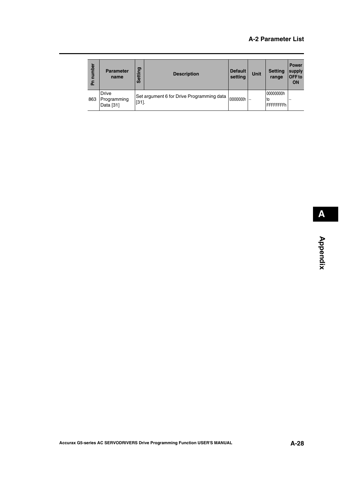| number<br>ᇍ | <b>Parameter</b><br>name          | <b>D</b><br>⊂<br>Setti | <b>Description</b>                        | <b>Default</b><br>setting | Unit                     | <b>Setting</b><br>range          | <b>Power</b><br>supply<br>OFF to<br>ON |
|-------------|-----------------------------------|------------------------|-------------------------------------------|---------------------------|--------------------------|----------------------------------|----------------------------------------|
| 863         | Drive<br>Programming<br>Data [31] | $[31]$ .               | Set argument 6 for Drive Programming data | 00000000h                 | $\overline{\phantom{0}}$ | 00000000h<br>Ito<br>IFFFFFFFFh I |                                        |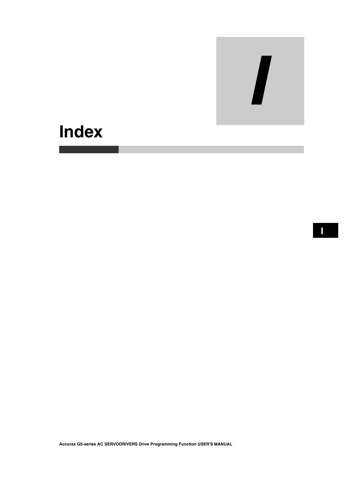

# **Index**

**Accurax G5-series AC SERVODRIVERS Drive Programming Function USER'S MANUAL**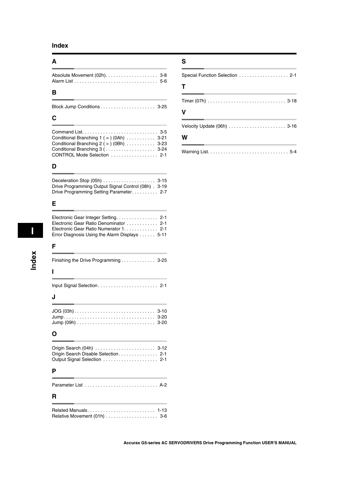#### **Index**

#### **A**

#### **B**

#### **C**

| Conditional Branching $1 (= )$ (0Ah) $\ldots \ldots \ldots$ 3-21 |  |
|------------------------------------------------------------------|--|
| Conditional Branching $2$ ( $>$ ) (0Bh)  3-23                    |  |
| Conditional Branching 3 ( 3-24                                   |  |
| CONTROL Mode Selection  2-1                                      |  |

#### **D**

| Drive Programming Output Signal Control (08h) . 3-19 |  |
|------------------------------------------------------|--|
| Drive Programming Setting Parameter 2-7              |  |

#### **E**

| Electronic Gear Ratio Denominator  2-1<br>Electronic Gear Ratio Numerator 1. 2-1<br>Error Diagnosis Using the Alarm Displays 5-11 |
|-----------------------------------------------------------------------------------------------------------------------------------|
| F                                                                                                                                 |
| Finishing the Drive Programming 3-25                                                                                              |
| ı                                                                                                                                 |
|                                                                                                                                   |
| J                                                                                                                                 |
| $Jump (09h) \ldots \ldots \ldots \ldots \ldots \ldots \ldots \ldots$<br>$3 - 20$                                                  |
| O                                                                                                                                 |
| Origin Search (04h)  3-12<br>Origin Search Disable Selection 2-1                                                                  |
| Р                                                                                                                                 |
|                                                                                                                                   |

## **R**

#### **S**

| $\mathbf T$ |  |
|-------------|--|
|             |  |

# **V**

#### **W**

|--|--|--|--|--|--|--|--|--|--|--|--|--|--|--|--|--|--|--|--|--|--|--|--|--|